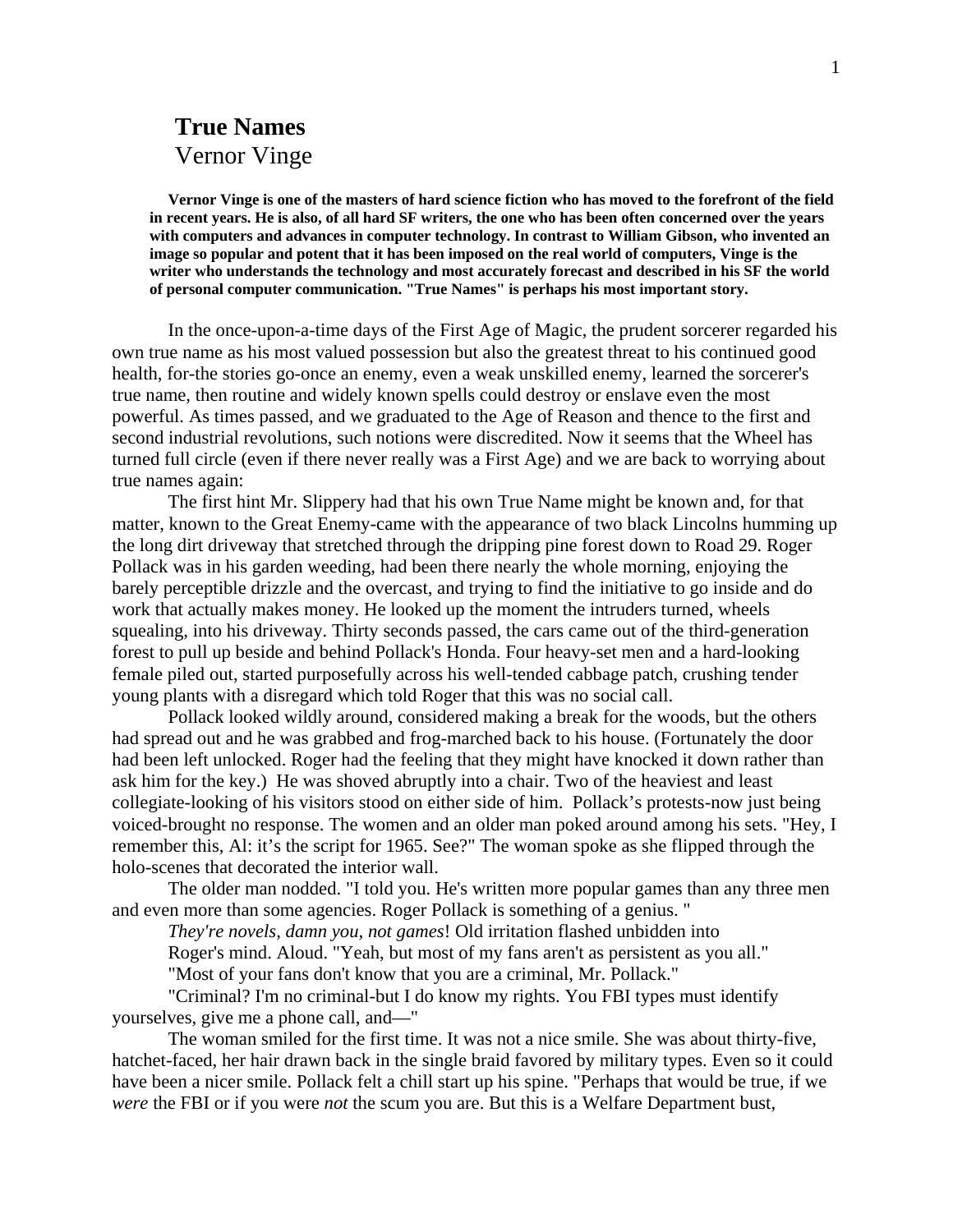## **True Names**  Vernor Vinge

**Vernor Vinge is one of the masters of hard science fiction who has moved to the forefront of the field in recent years. He is also, of all hard SF writers, the one who has been often concerned over the years with computers and advances in computer technology. In contrast to William Gibson, who invented an image so popular and potent that it has been imposed on the real world of computers, Vinge is the writer who understands the technology and most accurately forecast and described in his SF the world of personal computer communication. "True Names" is perhaps his most important story.** 

In the once-upon-a-time days of the First Age of Magic, the prudent sorcerer regarded his own true name as his most valued possession but also the greatest threat to his continued good health, for-the stories go-once an enemy, even a weak unskilled enemy, learned the sorcerer's true name, then routine and widely known spells could destroy or enslave even the most powerful. As times passed, and we graduated to the Age of Reason and thence to the first and second industrial revolutions, such notions were discredited. Now it seems that the Wheel has turned full circle (even if there never really was a First Age) and we are back to worrying about true names again:

The first hint Mr. Slippery had that his own True Name might be known and, for that matter, known to the Great Enemy-came with the appearance of two black Lincolns humming up the long dirt driveway that stretched through the dripping pine forest down to Road 29. Roger Pollack was in his garden weeding, had been there nearly the whole morning, enjoying the barely perceptible drizzle and the overcast, and trying to find the initiative to go inside and do work that actually makes money. He looked up the moment the intruders turned, wheels squealing, into his driveway. Thirty seconds passed, the cars came out of the third-generation forest to pull up beside and behind Pollack's Honda. Four heavy-set men and a hard-looking female piled out, started purposefully across his well-tended cabbage patch, crushing tender young plants with a disregard which told Roger that this was no social call.

Pollack looked wildly around, considered making a break for the woods, but the others had spread out and he was grabbed and frog-marched back to his house. (Fortunately the door had been left unlocked. Roger had the feeling that they might have knocked it down rather than ask him for the key.) He was shoved abruptly into a chair. Two of the heaviest and least collegiate-looking of his visitors stood on either side of him. Pollack's protests-now just being voiced-brought no response. The women and an older man poked around among his sets. "Hey, I remember this, Al: it's the script for 1965. See?" The woman spoke as she flipped through the holo-scenes that decorated the interior wall.

The older man nodded. "I told you. He's written more popular games than any three men and even more than some agencies. Roger Pollack is something of a genius. "

*They're novels, damn you, not games*! Old irritation flashed unbidden into

Roger's mind. Aloud. "Yeah, but most of my fans aren't as persistent as you all."

"Most of your fans don't know that you are a criminal, Mr. Pollack."

"Criminal? I'm no criminal-but I do know my rights. You FBI types must identify yourselves, give me a phone call, and—"

The woman smiled for the first time. It was not a nice smile. She was about thirty-five, hatchet-faced, her hair drawn back in the single braid favored by military types. Even so it could have been a nicer smile. Pollack felt a chill start up his spine. "Perhaps that would be true, if we *were* the FBI or if you were *not* the scum you are. But this is a Welfare Department bust,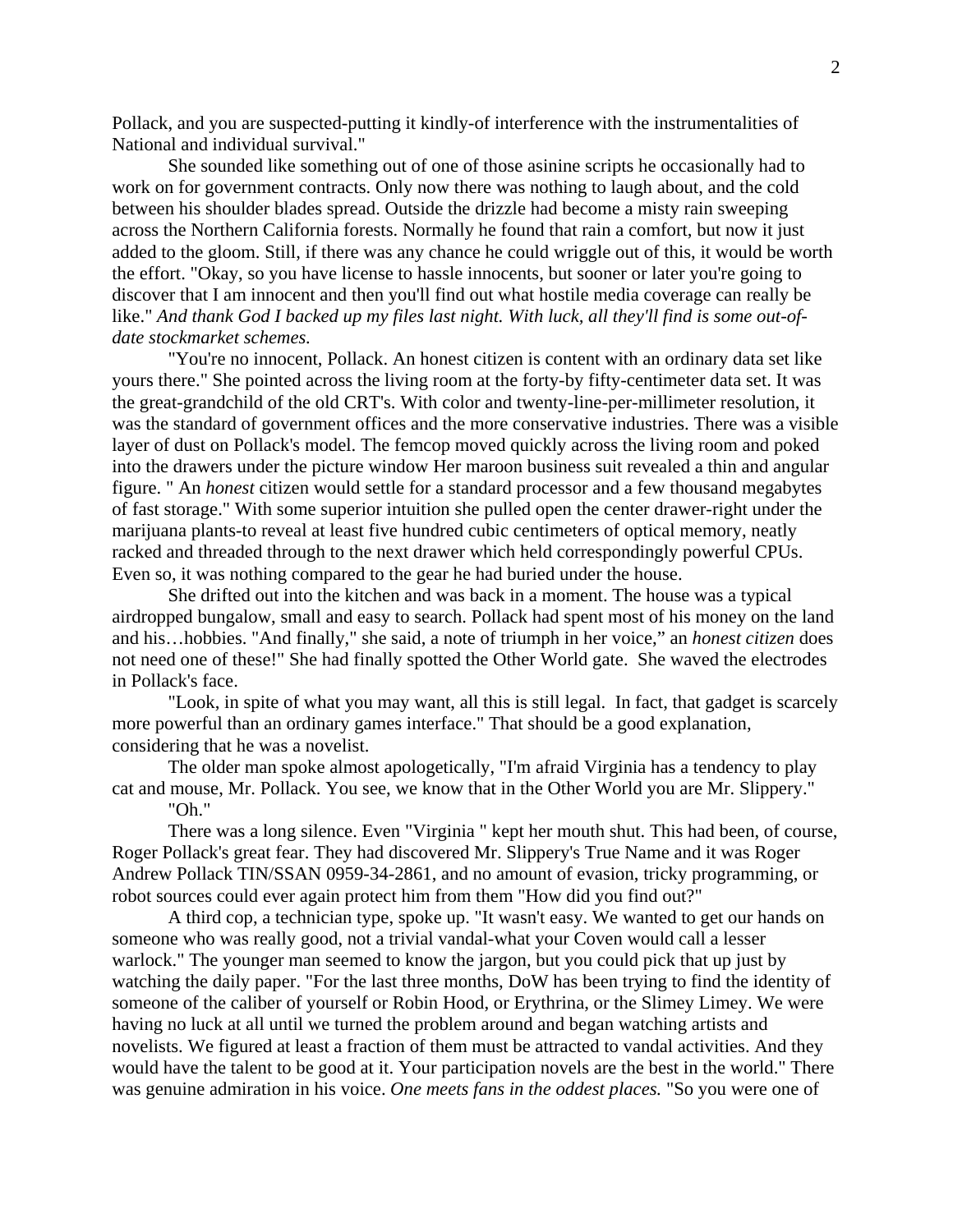Pollack, and you are suspected-putting it kindly-of interference with the instrumentalities of National and individual survival."

She sounded like something out of one of those asinine scripts he occasionally had to work on for government contracts. Only now there was nothing to laugh about, and the cold between his shoulder blades spread. Outside the drizzle had become a misty rain sweeping across the Northern California forests. Normally he found that rain a comfort, but now it just added to the gloom. Still, if there was any chance he could wriggle out of this, it would be worth the effort. "Okay, so you have license to hassle innocents, but sooner or later you're going to discover that I am innocent and then you'll find out what hostile media coverage can really be like." *And thank God I backed up my files last night. With luck, all they'll find is some out-ofdate stockmarket schemes.*

"You're no innocent, Pollack. An honest citizen is content with an ordinary data set like yours there." She pointed across the living room at the forty-by fifty-centimeter data set. It was the great-grandchild of the old CRT's. With color and twenty-line-per-millimeter resolution, it was the standard of government offices and the more conservative industries. There was a visible layer of dust on Pollack's model. The femcop moved quickly across the living room and poked into the drawers under the picture window Her maroon business suit revealed a thin and angular figure. " An *honest* citizen would settle for a standard processor and a few thousand megabytes of fast storage." With some superior intuition she pulled open the center drawer-right under the marijuana plants-to reveal at least five hundred cubic centimeters of optical memory, neatly racked and threaded through to the next drawer which held correspondingly powerful CPUs. Even so, it was nothing compared to the gear he had buried under the house.

She drifted out into the kitchen and was back in a moment. The house was a typical airdropped bungalow, small and easy to search. Pollack had spent most of his money on the land and his…hobbies. "And finally," she said, a note of triumph in her voice," an *honest citizen* does not need one of these!" She had finally spotted the Other World gate. She waved the electrodes in Pollack's face.

"Look, in spite of what you may want, all this is still legal. In fact, that gadget is scarcely more powerful than an ordinary games interface." That should be a good explanation, considering that he was a novelist.

The older man spoke almost apologetically, "I'm afraid Virginia has a tendency to play cat and mouse, Mr. Pollack. You see, we know that in the Other World you are Mr. Slippery." "Oh."

There was a long silence. Even "Virginia " kept her mouth shut. This had been, of course, Roger Pollack's great fear. They had discovered Mr. Slippery's True Name and it was Roger Andrew Pollack TIN/SSAN 0959-34-2861, and no amount of evasion, tricky programming, or robot sources could ever again protect him from them "How did you find out?"

A third cop, a technician type, spoke up. "It wasn't easy. We wanted to get our hands on someone who was really good, not a trivial vandal-what your Coven would call a lesser warlock." The younger man seemed to know the jargon, but you could pick that up just by watching the daily paper. "For the last three months, DoW has been trying to find the identity of someone of the caliber of yourself or Robin Hood, or Erythrina, or the Slimey Limey. We were having no luck at all until we turned the problem around and began watching artists and novelists. We figured at least a fraction of them must be attracted to vandal activities. And they would have the talent to be good at it. Your participation novels are the best in the world." There was genuine admiration in his voice. *One meets fans in the oddest places.* "So you were one of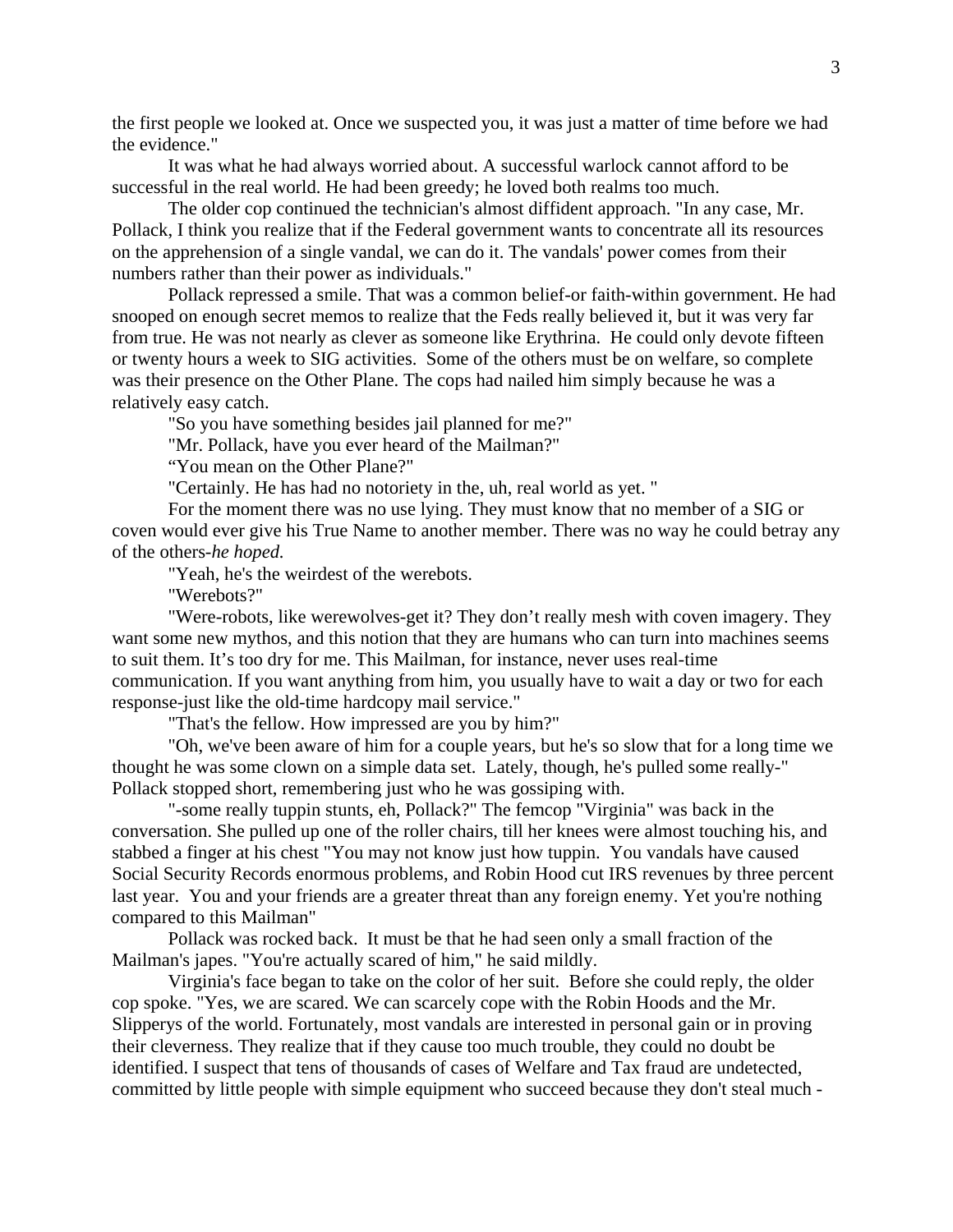the first people we looked at. Once we suspected you, it was just a matter of time before we had the evidence."

It was what he had always worried about. A successful warlock cannot afford to be successful in the real world. He had been greedy; he loved both realms too much.

The older cop continued the technician's almost diffident approach. "In any case, Mr. Pollack, I think you realize that if the Federal government wants to concentrate all its resources on the apprehension of a single vandal, we can do it. The vandals' power comes from their numbers rather than their power as individuals."

Pollack repressed a smile. That was a common belief-or faith-within government. He had snooped on enough secret memos to realize that the Feds really believed it, but it was very far from true. He was not nearly as clever as someone like Erythrina. He could only devote fifteen or twenty hours a week to SIG activities. Some of the others must be on welfare, so complete was their presence on the Other Plane. The cops had nailed him simply because he was a relatively easy catch.

"So you have something besides jail planned for me?"

"Mr. Pollack, have you ever heard of the Mailman?"

"You mean on the Other Plane?"

"Certainly. He has had no notoriety in the, uh, real world as yet. "

For the moment there was no use lying. They must know that no member of a SIG or coven would ever give his True Name to another member. There was no way he could betray any of the others*-he hoped.* 

"Yeah, he's the weirdest of the werebots.

"Werebots?"

"Were-robots, like werewolves-get it? They don't really mesh with coven imagery. They want some new mythos, and this notion that they are humans who can turn into machines seems to suit them. It's too dry for me. This Mailman, for instance, never uses real-time communication. If you want anything from him, you usually have to wait a day or two for each response-just like the old-time hardcopy mail service."

"That's the fellow. How impressed are you by him?"

"Oh, we've been aware of him for a couple years, but he's so slow that for a long time we thought he was some clown on a simple data set. Lately, though, he's pulled some really-" Pollack stopped short, remembering just who he was gossiping with.

"-some really tuppin stunts, eh, Pollack?" The femcop "Virginia" was back in the conversation. She pulled up one of the roller chairs, till her knees were almost touching his, and stabbed a finger at his chest "You may not know just how tuppin. You vandals have caused Social Security Records enormous problems, and Robin Hood cut IRS revenues by three percent last year. You and your friends are a greater threat than any foreign enemy. Yet you're nothing compared to this Mailman"

Pollack was rocked back. It must be that he had seen only a small fraction of the Mailman's japes. "You're actually scared of him," he said mildly.

Virginia's face began to take on the color of her suit. Before she could reply, the older cop spoke. "Yes, we are scared. We can scarcely cope with the Robin Hoods and the Mr. Slipperys of the world. Fortunately, most vandals are interested in personal gain or in proving their cleverness. They realize that if they cause too much trouble, they could no doubt be identified. I suspect that tens of thousands of cases of Welfare and Tax fraud are undetected, committed by little people with simple equipment who succeed because they don't steal much -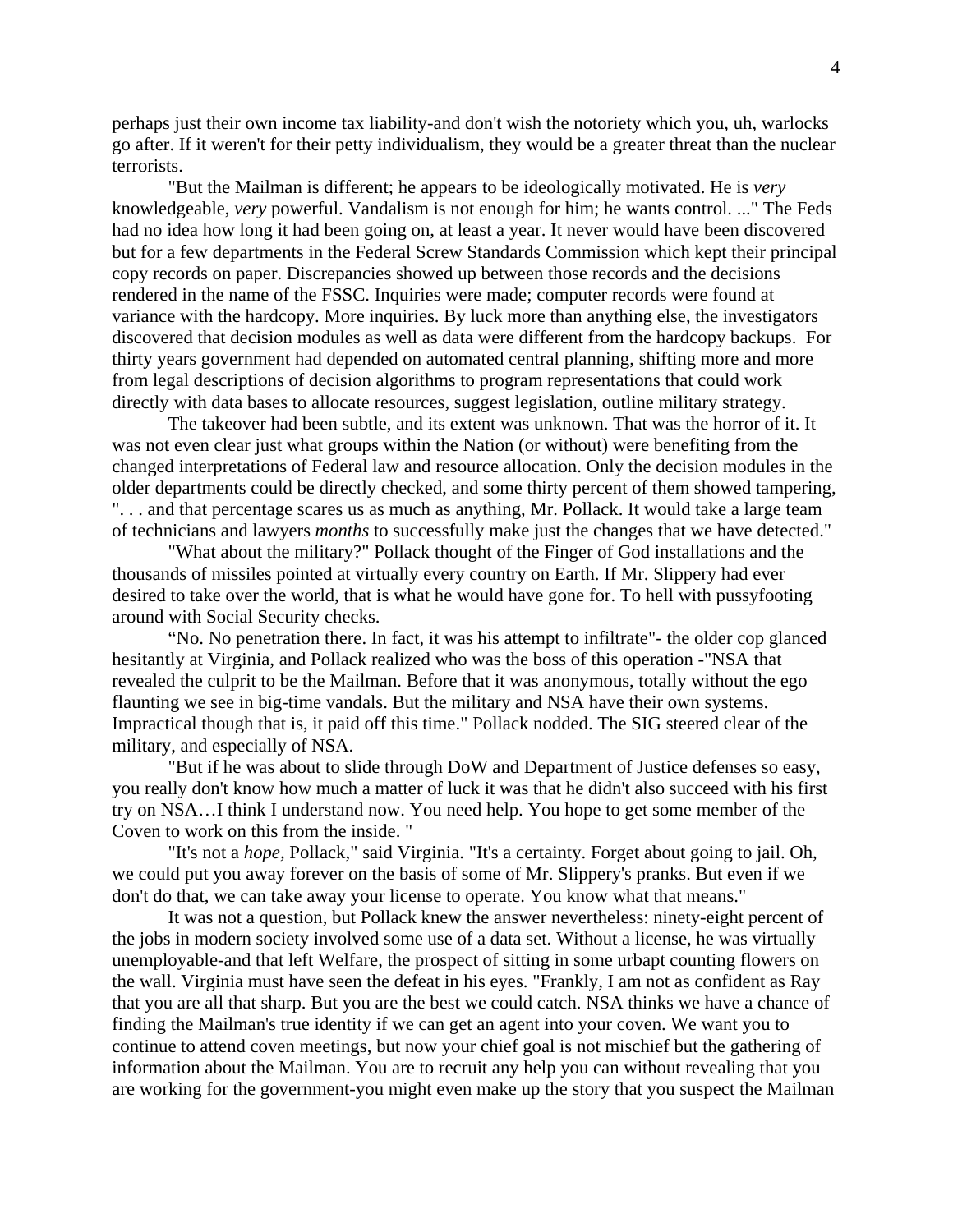perhaps just their own income tax liability-and don't wish the notoriety which you, uh, warlocks go after. If it weren't for their petty individualism, they would be a greater threat than the nuclear terrorists.

"But the Mailman is different; he appears to be ideologically motivated. He is *very*  knowledgeable, *very* powerful. Vandalism is not enough for him; he wants control. ..." The Feds had no idea how long it had been going on, at least a year. It never would have been discovered but for a few departments in the Federal Screw Standards Commission which kept their principal copy records on paper. Discrepancies showed up between those records and the decisions rendered in the name of the FSSC. Inquiries were made; computer records were found at variance with the hardcopy. More inquiries. By luck more than anything else, the investigators discovered that decision modules as well as data were different from the hardcopy backups. For thirty years government had depended on automated central planning, shifting more and more from legal descriptions of decision algorithms to program representations that could work directly with data bases to allocate resources, suggest legislation, outline military strategy.

The takeover had been subtle, and its extent was unknown. That was the horror of it. It was not even clear just what groups within the Nation (or without) were benefiting from the changed interpretations of Federal law and resource allocation. Only the decision modules in the older departments could be directly checked, and some thirty percent of them showed tampering, ". . . and that percentage scares us as much as anything, Mr. Pollack. It would take a large team of technicians and lawyers *months* to successfully make just the changes that we have detected."

"What about the military?" Pollack thought of the Finger of God installations and the thousands of missiles pointed at virtually every country on Earth. If Mr. Slippery had ever desired to take over the world, that is what he would have gone for. To hell with pussyfooting around with Social Security checks.

"No. No penetration there. In fact, it was his attempt to infiltrate"- the older cop glanced hesitantly at Virginia, and Pollack realized who was the boss of this operation -"NSA that revealed the culprit to be the Mailman. Before that it was anonymous, totally without the ego flaunting we see in big-time vandals. But the military and NSA have their own systems. Impractical though that is, it paid off this time." Pollack nodded. The SIG steered clear of the military, and especially of NSA.

"But if he was about to slide through DoW and Department of Justice defenses so easy, you really don't know how much a matter of luck it was that he didn't also succeed with his first try on NSA…I think I understand now. You need help. You hope to get some member of the Coven to work on this from the inside. "

"It's not a *hope,* Pollack," said Virginia. "It's a certainty. Forget about going to jail. Oh, we could put you away forever on the basis of some of Mr. Slippery's pranks. But even if we don't do that, we can take away your license to operate. You know what that means."

It was not a question, but Pollack knew the answer nevertheless: ninety-eight percent of the jobs in modern society involved some use of a data set. Without a license, he was virtually unemployable-and that left Welfare, the prospect of sitting in some urbapt counting flowers on the wall. Virginia must have seen the defeat in his eyes. "Frankly, I am not as confident as Ray that you are all that sharp. But you are the best we could catch. NSA thinks we have a chance of finding the Mailman's true identity if we can get an agent into your coven. We want you to continue to attend coven meetings, but now your chief goal is not mischief but the gathering of information about the Mailman. You are to recruit any help you can without revealing that you are working for the government-you might even make up the story that you suspect the Mailman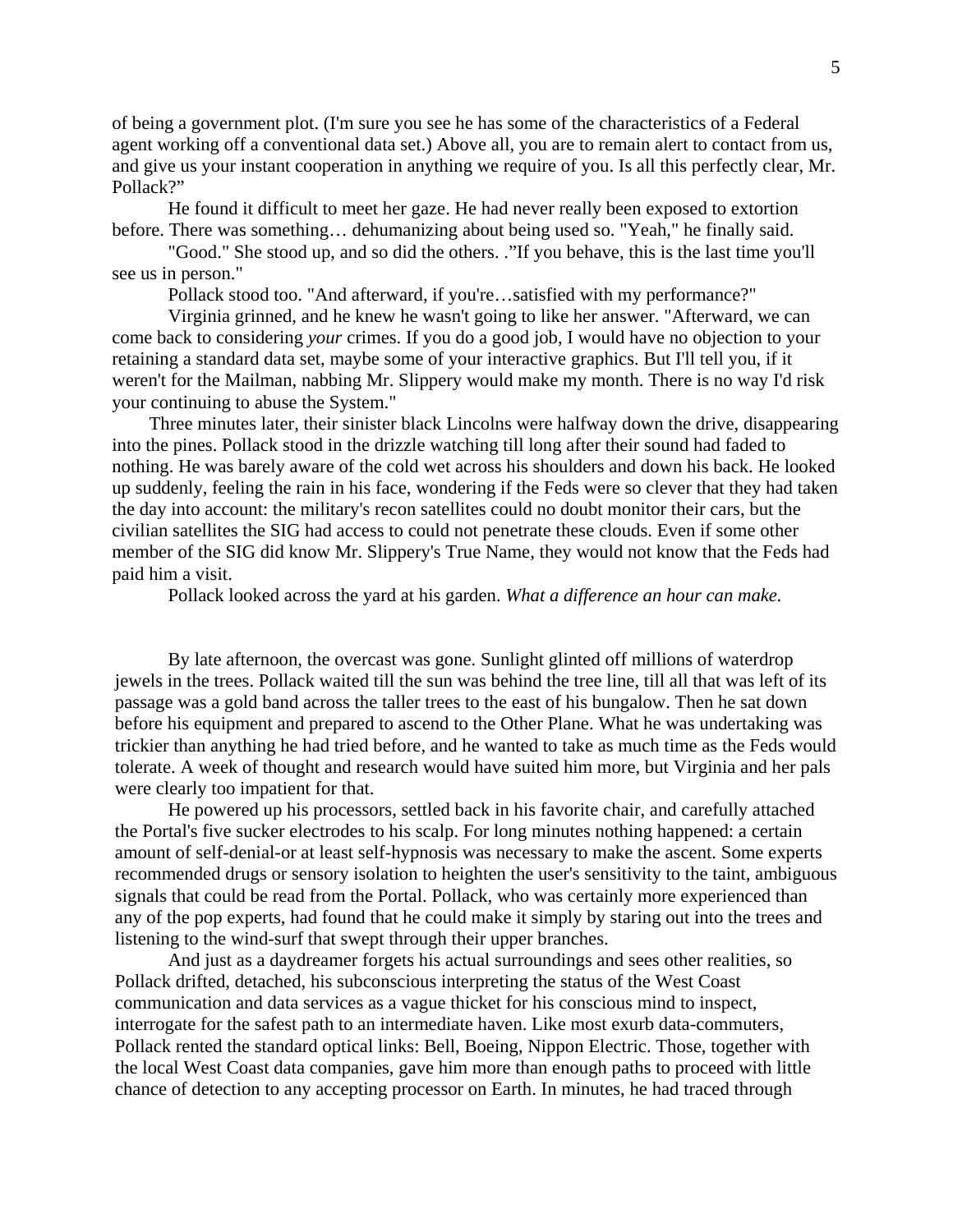of being a government plot. (I'm sure you see he has some of the characteristics of a Federal agent working off a conventional data set.) Above all, you are to remain alert to contact from us, and give us your instant cooperation in anything we require of you. Is all this perfectly clear, Mr. Pollack?"

He found it difficult to meet her gaze. He had never really been exposed to extortion before. There was something… dehumanizing about being used so. "Yeah," he finally said.

"Good." She stood up, and so did the others. ."If you behave, this is the last time you'll see us in person."

Pollack stood too. "And afterward, if you're…satisfied with my performance?"

Virginia grinned, and he knew he wasn't going to like her answer. "Afterward, we can come back to considering *your* crimes. If you do a good job, I would have no objection to your retaining a standard data set, maybe some of your interactive graphics. But I'll tell you, if it weren't for the Mailman, nabbing Mr. Slippery would make my month. There is no way I'd risk your continuing to abuse the System."

Three minutes later, their sinister black Lincolns were halfway down the drive, disappearing into the pines. Pollack stood in the drizzle watching till long after their sound had faded to nothing. He was barely aware of the cold wet across his shoulders and down his back. He looked up suddenly, feeling the rain in his face, wondering if the Feds were so clever that they had taken the day into account: the military's recon satellites could no doubt monitor their cars, but the civilian satellites the SIG had access to could not penetrate these clouds. Even if some other member of the SIG did know Mr. Slippery's True Name, they would not know that the Feds had paid him a visit.

Pollack looked across the yard at his garden. *What a difference an hour can make.* 

By late afternoon, the overcast was gone. Sunlight glinted off millions of waterdrop jewels in the trees. Pollack waited till the sun was behind the tree line, till all that was left of its passage was a gold band across the taller trees to the east of his bungalow. Then he sat down before his equipment and prepared to ascend to the Other Plane. What he was undertaking was trickier than anything he had tried before, and he wanted to take as much time as the Feds would tolerate. A week of thought and research would have suited him more, but Virginia and her pals were clearly too impatient for that.

He powered up his processors, settled back in his favorite chair, and carefully attached the Portal's five sucker electrodes to his scalp. For long minutes nothing happened: a certain amount of self-denial-or at least self-hypnosis was necessary to make the ascent. Some experts recommended drugs or sensory isolation to heighten the user's sensitivity to the taint, ambiguous signals that could be read from the Portal. Pollack, who was certainly more experienced than any of the pop experts, had found that he could make it simply by staring out into the trees and listening to the wind-surf that swept through their upper branches.

And just as a daydreamer forgets his actual surroundings and sees other realities, so Pollack drifted, detached, his subconscious interpreting the status of the West Coast communication and data services as a vague thicket for his conscious mind to inspect, interrogate for the safest path to an intermediate haven. Like most exurb data-commuters, Pollack rented the standard optical links: Bell, Boeing, Nippon Electric. Those, together with the local West Coast data companies, gave him more than enough paths to proceed with little chance of detection to any accepting processor on Earth. In minutes, he had traced through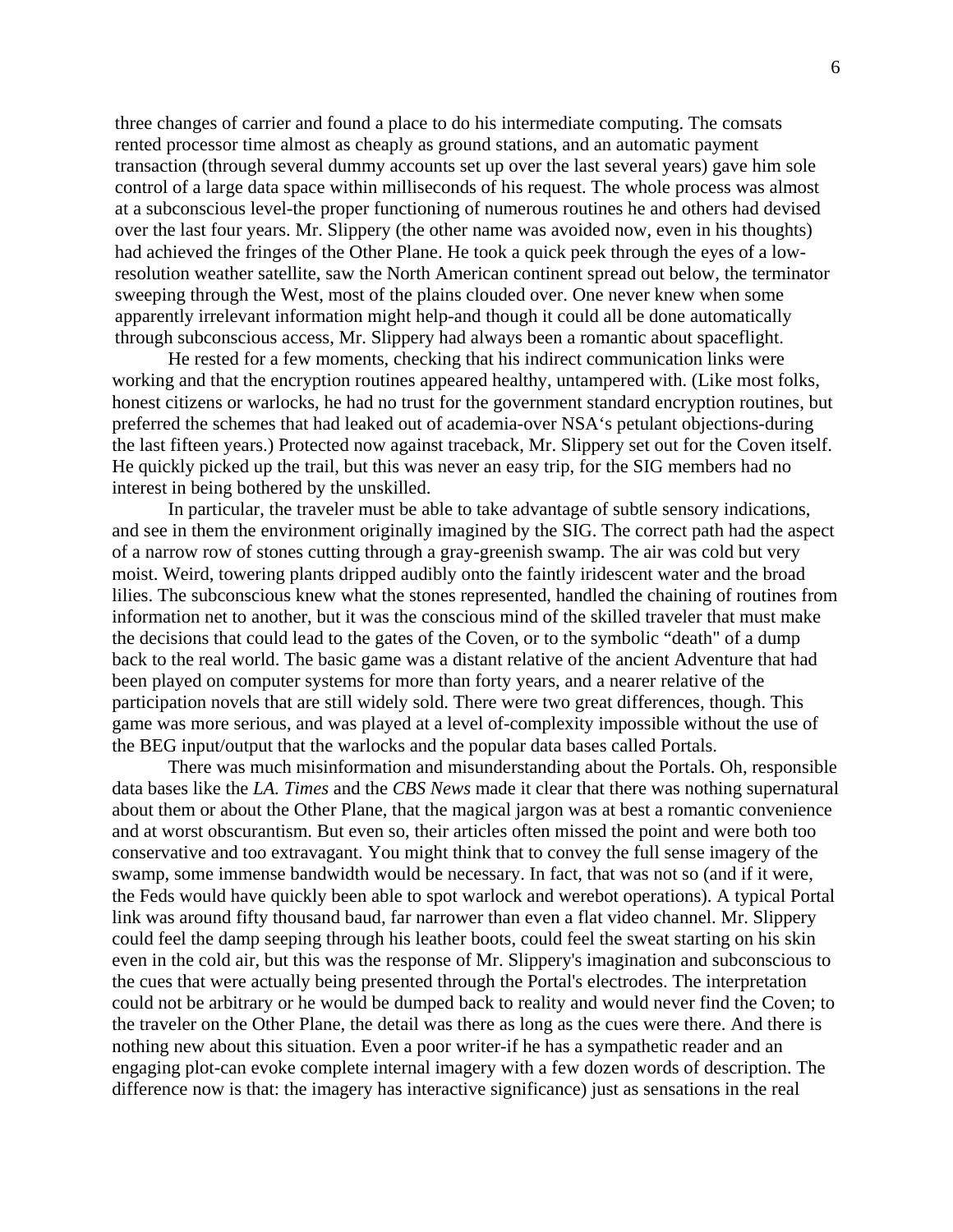three changes of carrier and found a place to do his intermediate computing. The comsats rented processor time almost as cheaply as ground stations, and an automatic payment transaction (through several dummy accounts set up over the last several years) gave him sole control of a large data space within milliseconds of his request. The whole process was almost at a subconscious level-the proper functioning of numerous routines he and others had devised over the last four years. Mr. Slippery (the other name was avoided now, even in his thoughts) had achieved the fringes of the Other Plane. He took a quick peek through the eyes of a lowresolution weather satellite, saw the North American continent spread out below, the terminator sweeping through the West, most of the plains clouded over. One never knew when some apparently irrelevant information might help-and though it could all be done automatically through subconscious access, Mr. Slippery had always been a romantic about spaceflight.

He rested for a few moments, checking that his indirect communication links were working and that the encryption routines appeared healthy, untampered with. (Like most folks, honest citizens or warlocks, he had no trust for the government standard encryption routines, but preferred the schemes that had leaked out of academia-over NSA's petulant objections-during the last fifteen years.) Protected now against traceback, Mr. Slippery set out for the Coven itself. He quickly picked up the trail, but this was never an easy trip, for the SIG members had no interest in being bothered by the unskilled.

In particular, the traveler must be able to take advantage of subtle sensory indications, and see in them the environment originally imagined by the SIG. The correct path had the aspect of a narrow row of stones cutting through a gray-greenish swamp. The air was cold but very moist. Weird, towering plants dripped audibly onto the faintly iridescent water and the broad lilies. The subconscious knew what the stones represented, handled the chaining of routines from information net to another, but it was the conscious mind of the skilled traveler that must make the decisions that could lead to the gates of the Coven, or to the symbolic "death" of a dump back to the real world. The basic game was a distant relative of the ancient Adventure that had been played on computer systems for more than forty years, and a nearer relative of the participation novels that are still widely sold. There were two great differences, though. This game was more serious, and was played at a level of-complexity impossible without the use of the BEG input/output that the warlocks and the popular data bases called Portals.

There was much misinformation and misunderstanding about the Portals. Oh, responsible data bases like the *LA. Times* and the *CBS News* made it clear that there was nothing supernatural about them or about the Other Plane, that the magical jargon was at best a romantic convenience and at worst obscurantism. But even so, their articles often missed the point and were both too conservative and too extravagant. You might think that to convey the full sense imagery of the swamp, some immense bandwidth would be necessary. In fact, that was not so (and if it were, the Feds would have quickly been able to spot warlock and werebot operations). A typical Portal link was around fifty thousand baud, far narrower than even a flat video channel. Mr. Slippery could feel the damp seeping through his leather boots, could feel the sweat starting on his skin even in the cold air, but this was the response of Mr. Slippery's imagination and subconscious to the cues that were actually being presented through the Portal's electrodes. The interpretation could not be arbitrary or he would be dumped back to reality and would never find the Coven; to the traveler on the Other Plane, the detail was there as long as the cues were there. And there is nothing new about this situation. Even a poor writer-if he has a sympathetic reader and an engaging plot-can evoke complete internal imagery with a few dozen words of description. The difference now is that: the imagery has interactive significance) just as sensations in the real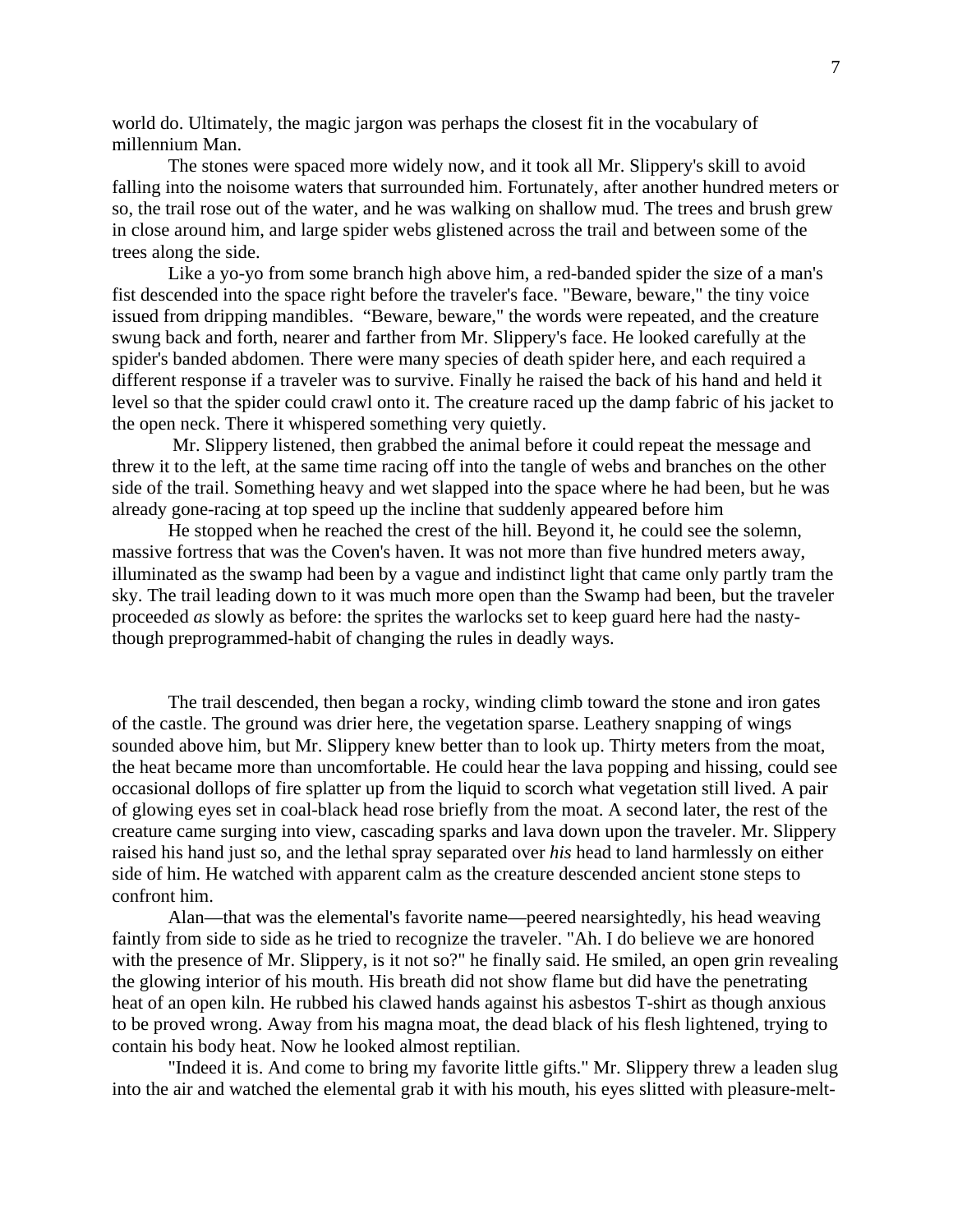world do. Ultimately, the magic jargon was perhaps the closest fit in the vocabulary of millennium Man.

The stones were spaced more widely now, and it took all Mr. Slippery's skill to avoid falling into the noisome waters that surrounded him. Fortunately, after another hundred meters or so, the trail rose out of the water, and he was walking on shallow mud. The trees and brush grew in close around him, and large spider webs glistened across the trail and between some of the trees along the side.

Like a yo-yo from some branch high above him, a red-banded spider the size of a man's fist descended into the space right before the traveler's face. "Beware, beware," the tiny voice issued from dripping mandibles. "Beware, beware," the words were repeated, and the creature swung back and forth, nearer and farther from Mr. Slippery's face. He looked carefully at the spider's banded abdomen. There were many species of death spider here, and each required a different response if a traveler was to survive. Finally he raised the back of his hand and held it level so that the spider could crawl onto it. The creature raced up the damp fabric of his jacket to the open neck. There it whispered something very quietly.

 Mr. Slippery listened, then grabbed the animal before it could repeat the message and threw it to the left, at the same time racing off into the tangle of webs and branches on the other side of the trail. Something heavy and wet slapped into the space where he had been, but he was already gone-racing at top speed up the incline that suddenly appeared before him

He stopped when he reached the crest of the hill. Beyond it, he could see the solemn, massive fortress that was the Coven's haven. It was not more than five hundred meters away, illuminated as the swamp had been by a vague and indistinct light that came only partly tram the sky. The trail leading down to it was much more open than the Swamp had been, but the traveler proceeded *as* slowly as before: the sprites the warlocks set to keep guard here had the nastythough preprogrammed-habit of changing the rules in deadly ways.

The trail descended, then began a rocky, winding climb toward the stone and iron gates of the castle. The ground was drier here, the vegetation sparse. Leathery snapping of wings sounded above him, but Mr. Slippery knew better than to look up. Thirty meters from the moat, the heat became more than uncomfortable. He could hear the lava popping and hissing, could see occasional dollops of fire splatter up from the liquid to scorch what vegetation still lived. A pair of glowing eyes set in coal-black head rose briefly from the moat. A second later, the rest of the creature came surging into view, cascading sparks and lava down upon the traveler. Mr. Slippery raised his hand just so, and the lethal spray separated over *his* head to land harmlessly on either side of him. He watched with apparent calm as the creature descended ancient stone steps to confront him.

Alan—that was the elemental's favorite name—peered nearsightedly, his head weaving faintly from side to side as he tried to recognize the traveler. "Ah. I do believe we are honored with the presence of Mr. Slippery, is it not so?" he finally said. He smiled, an open grin revealing the glowing interior of his mouth. His breath did not show flame but did have the penetrating heat of an open kiln. He rubbed his clawed hands against his asbestos T-shirt as though anxious to be proved wrong. Away from his magna moat, the dead black of his flesh lightened, trying to contain his body heat. Now he looked almost reptilian.

"Indeed it is. And come to bring my favorite little gifts." Mr. Slippery threw a leaden slug into the air and watched the elemental grab it with his mouth, his eyes slitted with pleasure-melt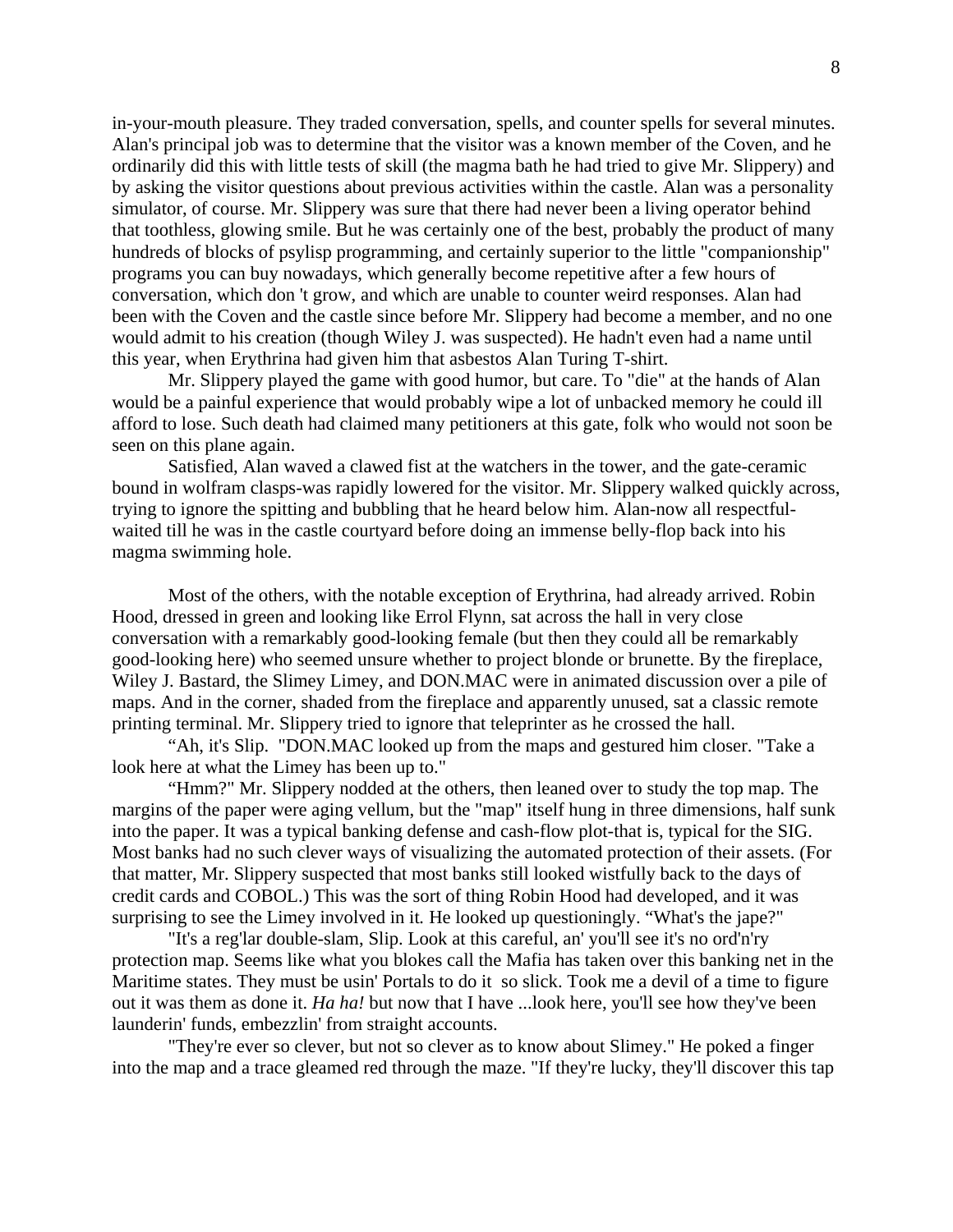in-your-mouth pleasure. They traded conversation, spells, and counter spells for several minutes. Alan's principal job was to determine that the visitor was a known member of the Coven, and he ordinarily did this with little tests of skill (the magma bath he had tried to give Mr. Slippery) and by asking the visitor questions about previous activities within the castle. Alan was a personality simulator, of course. Mr. Slippery was sure that there had never been a living operator behind that toothless, glowing smile. But he was certainly one of the best, probably the product of many hundreds of blocks of psylisp programming, and certainly superior to the little "companionship" programs you can buy nowadays, which generally become repetitive after a few hours of conversation, which don 't grow, and which are unable to counter weird responses. Alan had been with the Coven and the castle since before Mr. Slippery had become a member, and no one would admit to his creation (though Wiley J. was suspected). He hadn't even had a name until this year, when Erythrina had given him that asbestos Alan Turing T-shirt.

Mr. Slippery played the game with good humor, but care. To "die" at the hands of Alan would be a painful experience that would probably wipe a lot of unbacked memory he could ill afford to lose. Such death had claimed many petitioners at this gate, folk who would not soon be seen on this plane again.

Satisfied, Alan waved a clawed fist at the watchers in the tower, and the gate-ceramic bound in wolfram clasps-was rapidly lowered for the visitor. Mr. Slippery walked quickly across, trying to ignore the spitting and bubbling that he heard below him. Alan-now all respectfulwaited till he was in the castle courtyard before doing an immense belly-flop back into his magma swimming hole.

Most of the others, with the notable exception of Erythrina, had already arrived. Robin Hood, dressed in green and looking like Errol Flynn, sat across the hall in very close conversation with a remarkably good-looking female (but then they could all be remarkably good-looking here) who seemed unsure whether to project blonde or brunette. By the fireplace, Wiley J. Bastard, the Slimey Limey, and DON.MAC were in animated discussion over a pile of maps. And in the corner, shaded from the fireplace and apparently unused, sat a classic remote printing terminal. Mr. Slippery tried to ignore that teleprinter as he crossed the hall.

"Ah, it's Slip. "DON.MAC looked up from the maps and gestured him closer. "Take a look here at what the Limey has been up to."

"Hmm?" Mr. Slippery nodded at the others, then leaned over to study the top map. The margins of the paper were aging vellum, but the "map" itself hung in three dimensions, half sunk into the paper. It was a typical banking defense and cash-flow plot-that is, typical for the SIG. Most banks had no such clever ways of visualizing the automated protection of their assets. (For that matter, Mr. Slippery suspected that most banks still looked wistfully back to the days of credit cards and COBOL.) This was the sort of thing Robin Hood had developed, and it was surprising to see the Limey involved in it*.* He looked up questioningly. "What's the jape?"

"It's a reg'lar double-slam, Slip. Look at this careful, an' you'll see it's no ord'n'ry protection map. Seems like what you blokes call the Mafia has taken over this banking net in the Maritime states. They must be usin' Portals to do it so slick. Took me a devil of a time to figure out it was them as done it. *Ha ha!* but now that I have ...look here, you'll see how they've been launderin' funds, embezzlin' from straight accounts.

"They're ever so clever, but not so clever as to know about Slimey." He poked a finger into the map and a trace gleamed red through the maze. "If they're lucky, they'll discover this tap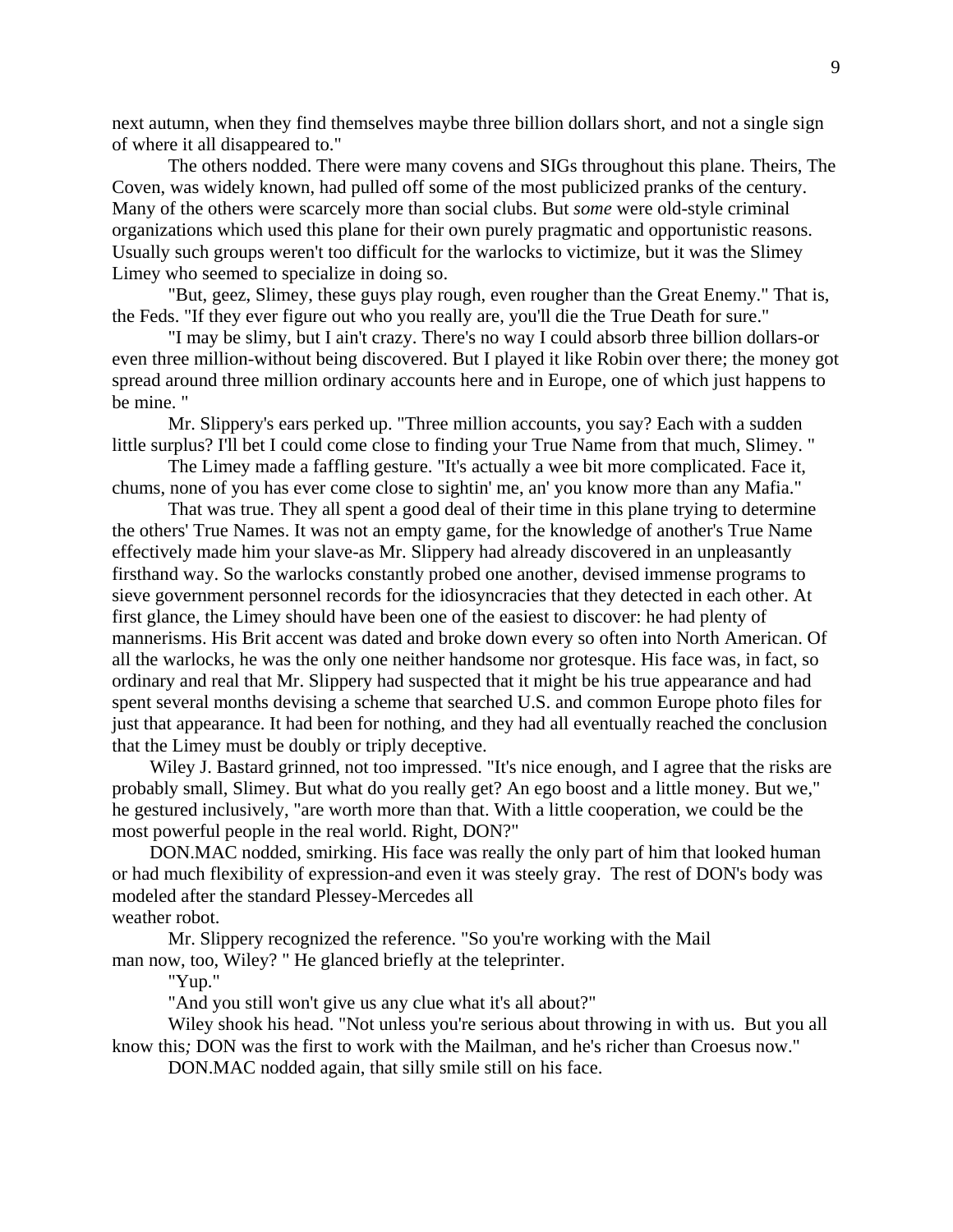next autumn, when they find themselves maybe three billion dollars short, and not a single sign of where it all disappeared to."

The others nodded. There were many covens and SIGs throughout this plane. Theirs, The Coven, was widely known, had pulled off some of the most publicized pranks of the century. Many of the others were scarcely more than social clubs. But *some* were old-style criminal organizations which used this plane for their own purely pragmatic and opportunistic reasons. Usually such groups weren't too difficult for the warlocks to victimize, but it was the Slimey Limey who seemed to specialize in doing so.

"But, geez, Slimey, these guys play rough, even rougher than the Great Enemy." That is, the Feds. "If they ever figure out who you really are, you'll die the True Death for sure."

"I may be slimy, but I ain't crazy. There's no way I could absorb three billion dollars-or even three million-without being discovered. But I played it like Robin over there; the money got spread around three million ordinary accounts here and in Europe, one of which just happens to be mine. "

Mr. Slippery's ears perked up. "Three million accounts, you say? Each with a sudden little surplus? I'll bet I could come close to finding your True Name from that much, Slimey. "

The Limey made a faffling gesture. "It's actually a wee bit more complicated. Face it, chums, none of you has ever come close to sightin' me, an' you know more than any Mafia."

That was true. They all spent a good deal of their time in this plane trying to determine the others' True Names. It was not an empty game, for the knowledge of another's True Name effectively made him your slave-as Mr. Slippery had already discovered in an unpleasantly firsthand way. So the warlocks constantly probed one another, devised immense programs to sieve government personnel records for the idiosyncracies that they detected in each other. At first glance, the Limey should have been one of the easiest to discover: he had plenty of mannerisms. His Brit accent was dated and broke down every so often into North American. Of all the warlocks, he was the only one neither handsome nor grotesque. His face was, in fact, so ordinary and real that Mr. Slippery had suspected that it might be his true appearance and had spent several months devising a scheme that searched U.S. and common Europe photo files for just that appearance. It had been for nothing, and they had all eventually reached the conclusion that the Limey must be doubly or triply deceptive.

Wiley J. Bastard grinned, not too impressed. "It's nice enough, and I agree that the risks are probably small, Slimey. But what do you really get? An ego boost and a little money. But we," he gestured inclusively, "are worth more than that. With a little cooperation, we could be the most powerful people in the real world. Right, DON?"

DON.MAC nodded, smirking. His face was really the only part of him that looked human or had much flexibility of expression-and even it was steely gray. The rest of DON's body was modeled after the standard Plessey-Mercedes all weather robot.

Mr. Slippery recognized the reference. "So you're working with the Mail man now, too, Wiley? " He glanced briefly at the teleprinter.

"Yup."

"And you still won't give us any clue what it's all about?"

Wiley shook his head. "Not unless you're serious about throwing in with us. But you all know this*;* DON was the first to work with the Mailman, and he's richer than Croesus now."

DON.MAC nodded again, that silly smile still on his face.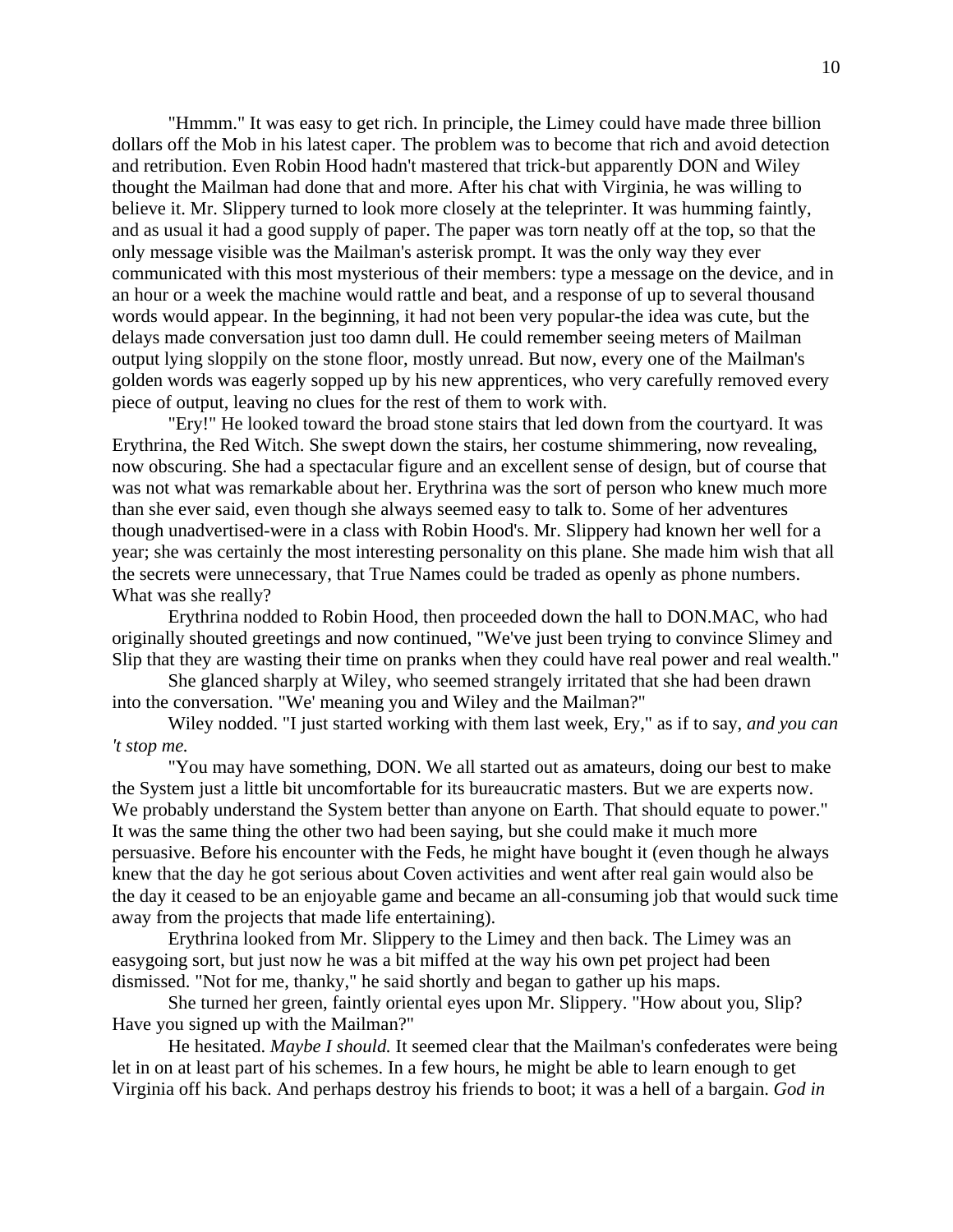"Hmmm." It was easy to get rich. In principle, the Limey could have made three billion dollars off the Mob in his latest caper. The problem was to become that rich and avoid detection and retribution. Even Robin Hood hadn't mastered that trick-but apparently DON and Wiley thought the Mailman had done that and more. After his chat with Virginia, he was willing to believe it. Mr. Slippery turned to look more closely at the teleprinter. It was humming faintly, and as usual it had a good supply of paper. The paper was torn neatly off at the top, so that the only message visible was the Mailman's asterisk prompt. It was the only way they ever communicated with this most mysterious of their members: type a message on the device, and in an hour or a week the machine would rattle and beat, and a response of up to several thousand words would appear. In the beginning, it had not been very popular-the idea was cute, but the delays made conversation just too damn dull. He could remember seeing meters of Mailman output lying sloppily on the stone floor, mostly unread. But now*,* every one of the Mailman's golden words was eagerly sopped up by his new apprentices, who very carefully removed every piece of output, leaving no clues for the rest of them to work with.

"Ery!" He looked toward the broad stone stairs that led down from the courtyard. It was Erythrina, the Red Witch. She swept down the stairs, her costume shimmering, now revealing, now obscuring. She had a spectacular figure and an excellent sense of design, but of course that was not what was remarkable about her. Erythrina was the sort of person who knew much more than she ever said, even though she always seemed easy to talk to. Some of her adventures though unadvertised-were in a class with Robin Hood's. Mr. Slippery had known her well for a year; she was certainly the most interesting personality on this plane. She made him wish that all the secrets were unnecessary, that True Names could be traded as openly as phone numbers. What was she really?

Erythrina nodded to Robin Hood, then proceeded down the hall to DON.MAC, who had originally shouted greetings and now continued, "We've just been trying to convince Slimey and Slip that they are wasting their time on pranks when they could have real power and real wealth."

She glanced sharply at Wiley, who seemed strangely irritated that she had been drawn into the conversation. "We' meaning you and Wiley and the Mailman?"

Wiley nodded. "I just started working with them last week, Ery," as if to say, *and you can 't stop me.* 

"You may have something, DON. We all started out as amateurs, doing our best to make the System just a little bit uncomfortable for its bureaucratic masters. But we are experts now. We probably understand the System better than anyone on Earth. That should equate to power." It was the same thing the other two had been saying, but she could make it much more persuasive. Before his encounter with the Feds, he might have bought it (even though he always knew that the day he got serious about Coven activities and went after real gain would also be the day it ceased to be an enjoyable game and became an all-consuming job that would suck time away from the projects that made life entertaining).

Erythrina looked from Mr. Slippery to the Limey and then back. The Limey was an easygoing sort, but just now he was a bit miffed at the way his own pet project had been dismissed. "Not for me, thanky," he said shortly and began to gather up his maps.

She turned her green, faintly oriental eyes upon Mr. Slippery. "How about you, Slip? Have you signed up with the Mailman?"

He hesitated. *Maybe I should.* It seemed clear that the Mailman's confederates were being let in on at least part of his schemes. In a few hours, he might be able to learn enough to get Virginia off his back. And perhaps destroy his friends to boot; it was a hell of a bargain. *God in*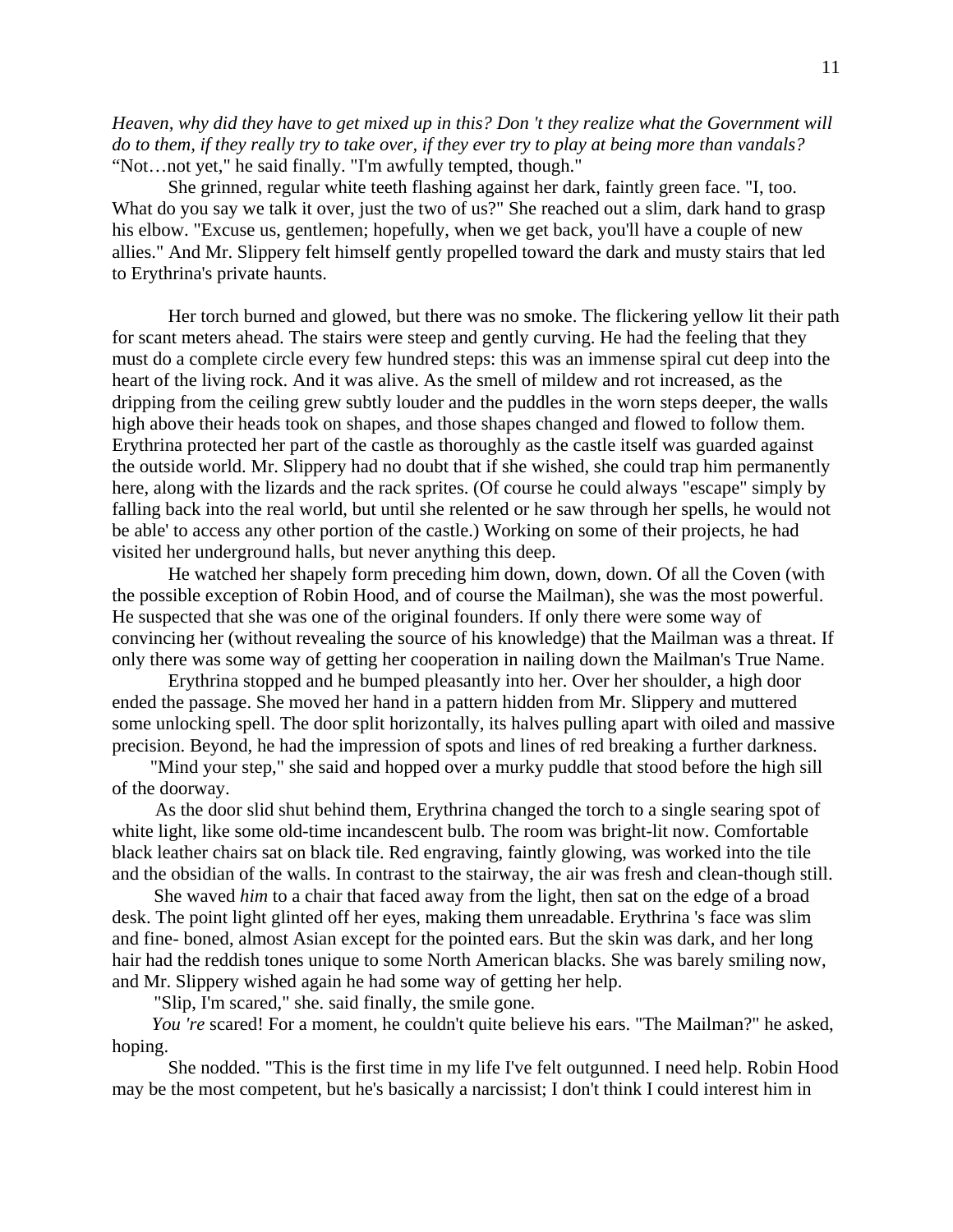*Heaven, why did they have to get mixed up in this? Don 't they realize what the Government will do to them, if they really try to take over, if they ever try to play at being more than vandals?*  "Not…not yet," he said finally. "I'm awfully tempted, though."

She grinned, regular white teeth flashing against her dark, faintly green face. "I, too. What do you say we talk it over, just the two of us?" She reached out a slim, dark hand to grasp his elbow. "Excuse us, gentlemen; hopefully, when we get back, you'll have a couple of new allies." And Mr. Slippery felt himself gently propelled toward the dark and musty stairs that led to Erythrina's private haunts.

Her torch burned and glowed, but there was no smoke. The flickering yellow lit their path for scant meters ahead. The stairs were steep and gently curving. He had the feeling that they must do a complete circle every few hundred steps: this was an immense spiral cut deep into the heart of the living rock. And it was alive. As the smell of mildew and rot increased, as the dripping from the ceiling grew subtly louder and the puddles in the worn steps deeper, the walls high above their heads took on shapes, and those shapes changed and flowed to follow them. Erythrina protected her part of the castle as thoroughly as the castle itself was guarded against the outside world. Mr. Slippery had no doubt that if she wished, she could trap him permanently here, along with the lizards and the rack sprites. (Of course he could always "escape" simply by falling back into the real world, but until she relented or he saw through her spells, he would not be able' to access any other portion of the castle.) Working on some of their projects, he had visited her underground halls, but never anything this deep.

He watched her shapely form preceding him down, down, down. Of all the Coven (with the possible exception of Robin Hood, and of course the Mailman), she was the most powerful. He suspected that she was one of the original founders. If only there were some way of convincing her (without revealing the source of his knowledge) that the Mailman was a threat. If only there was some way of getting her cooperation in nailing down the Mailman's True Name.

Erythrina stopped and he bumped pleasantly into her. Over her shoulder, a high door ended the passage. She moved her hand in a pattern hidden from Mr. Slippery and muttered some unlocking spell. The door split horizontally, its halves pulling apart with oiled and massive precision. Beyond, he had the impression of spots and lines of red breaking a further darkness.

"Mind your step," she said and hopped over a murky puddle that stood before the high sill of the doorway.

As the door slid shut behind them, Erythrina changed the torch to a single searing spot of white light, like some old-time incandescent bulb. The room was bright-lit now. Comfortable black leather chairs sat on black tile. Red engraving, faintly glowing, was worked into the tile and the obsidian of the walls. In contrast to the stairway, the air was fresh and clean-though still.

She waved *him* to a chair that faced away from the light, then sat on the edge of a broad desk. The point light glinted off her eyes, making them unreadable. Erythrina 's face was slim and fine- boned, almost Asian except for the pointed ears. But the skin was dark, and her long hair had the reddish tones unique to some North American blacks. She was barely smiling now, and Mr. Slippery wished again he had some way of getting her help.

"Slip, I'm scared," she. said finally, the smile gone.

*You 're* scared! For a moment, he couldn't quite believe his ears. "The Mailman?" he asked, hoping.

She nodded. "This is the first time in my life I've felt outgunned. I need help. Robin Hood may be the most competent, but he's basically a narcissist; I don't think I could interest him in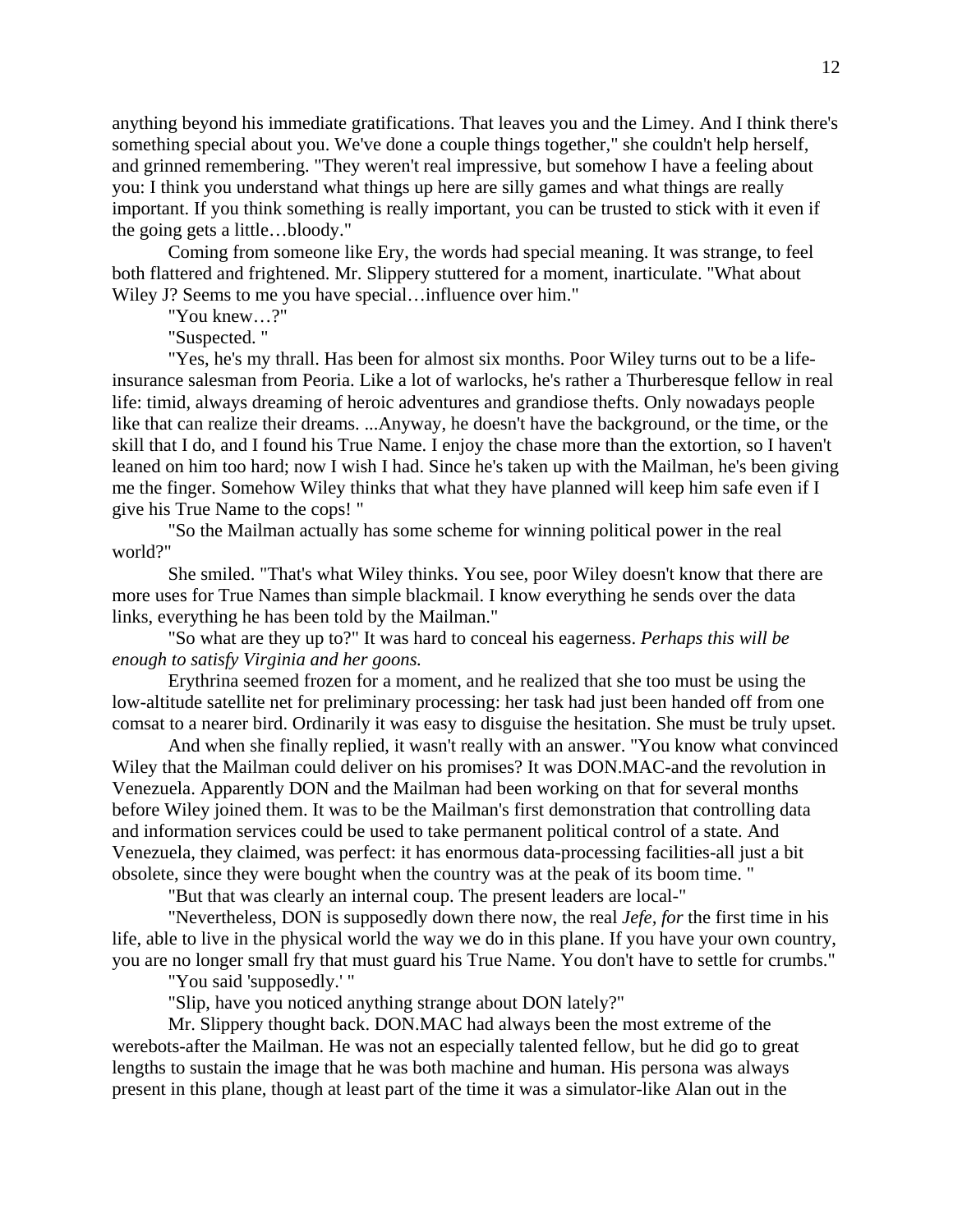anything beyond his immediate gratifications. That leaves you and the Limey. And I think there's something special about you. We've done a couple things together," she couldn't help herself, and grinned remembering. "They weren't real impressive, but somehow I have a feeling about you: I think you understand what things up here are silly games and what things are really important. If you think something is really important, you can be trusted to stick with it even if the going gets a little…bloody."

Coming from someone like Ery, the words had special meaning. It was strange, to feel both flattered and frightened. Mr. Slippery stuttered for a moment, inarticulate. "What about Wiley J? Seems to me you have special…influence over him."

"You knew…?"

"Suspected. "

"Yes, he's my thrall. Has been for almost six months. Poor Wiley turns out to be a lifeinsurance salesman from Peoria. Like a lot of warlocks, he's rather a Thurberesque fellow in real life: timid, always dreaming of heroic adventures and grandiose thefts. Only nowadays people like that can realize their dreams. ...Anyway, he doesn't have the background, or the time, or the skill that I do, and I found his True Name. I enjoy the chase more than the extortion, so I haven't leaned on him too hard; now I wish I had. Since he's taken up with the Mailman, he's been giving me the finger. Somehow Wiley thinks that what they have planned will keep him safe even if I give his True Name to the cops! "

"So the Mailman actually has some scheme for winning political power in the real world?"

She smiled. "That's what Wiley thinks. You see, poor Wiley doesn't know that there are more uses for True Names than simple blackmail. I know everything he sends over the data links, everything he has been told by the Mailman."

"So what are they up to?" It was hard to conceal his eagerness. *Perhaps this will be enough to satisfy Virginia and her goons.* 

Erythrina seemed frozen for a moment, and he realized that she too must be using the low-altitude satellite net for preliminary processing: her task had just been handed off from one comsat to a nearer bird. Ordinarily it was easy to disguise the hesitation. She must be truly upset.

And when she finally replied, it wasn't really with an answer. "You know what convinced Wiley that the Mailman could deliver on his promises? It was DON.MAC-and the revolution in Venezuela. Apparently DON and the Mailman had been working on that for several months before Wiley joined them. It was to be the Mailman's first demonstration that controlling data and information services could be used to take permanent political control of a state. And Venezuela, they claimed, was perfect: it has enormous data-processing facilities-all just a bit obsolete, since they were bought when the country was at the peak of its boom time. "

"But that was clearly an internal coup. The present leaders are local-"

"Nevertheless, DON is supposedly down there now, the real *Jefe, for* the first time in his life, able to live in the physical world the way we do in this plane. If you have your own country, you are no longer small fry that must guard his True Name. You don't have to settle for crumbs."

"You said 'supposedly.' "

"Slip, have you noticed anything strange about DON lately?"

Mr. Slippery thought back. DON.MAC had always been the most extreme of the werebots-after the Mailman. He was not an especially talented fellow, but he did go to great lengths to sustain the image that he was both machine and human. His persona was always present in this plane, though at least part of the time it was a simulator-like Alan out in the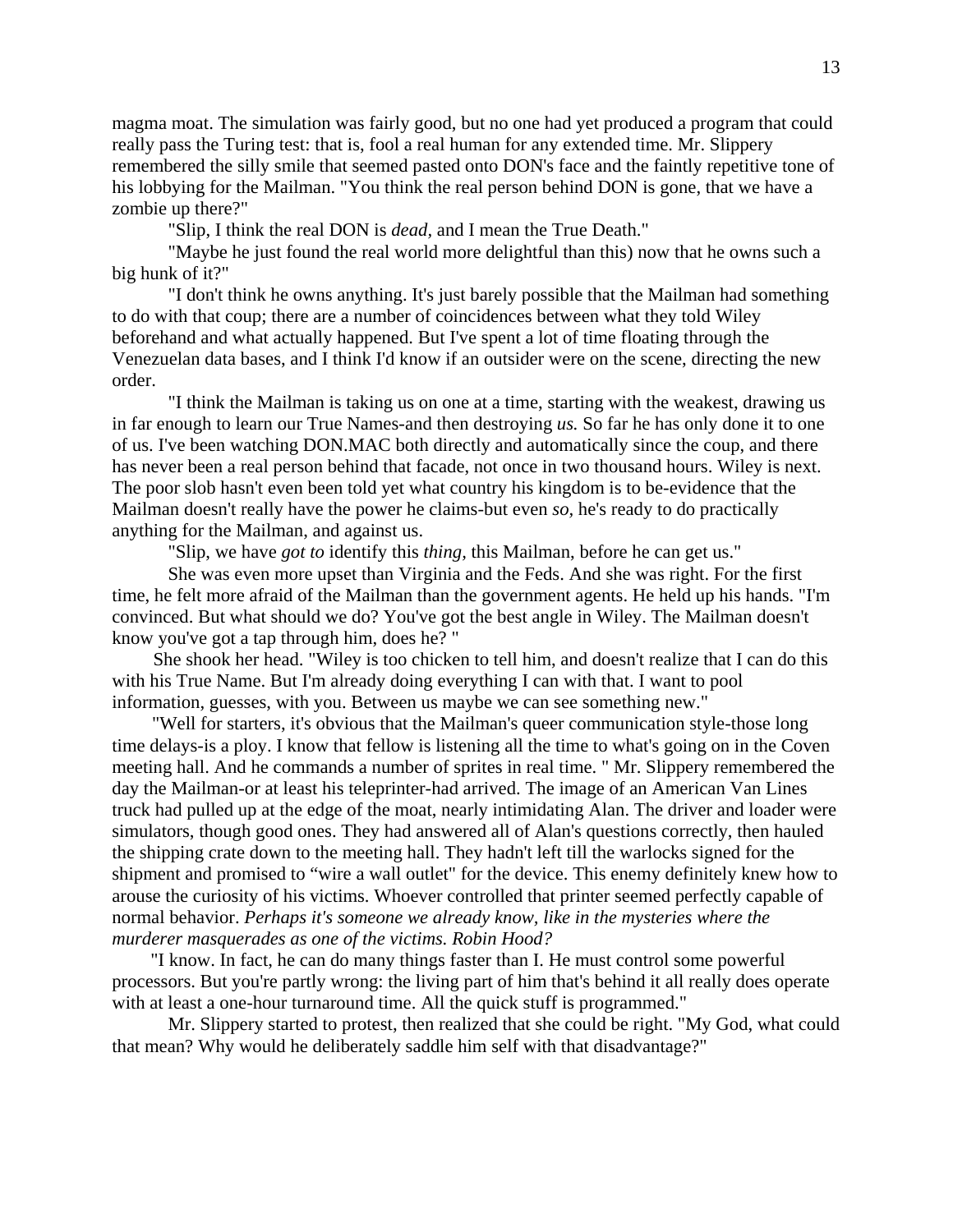magma moat. The simulation was fairly good, but no one had yet produced a program that could really pass the Turing test: that is, fool a real human for any extended time. Mr. Slippery remembered the silly smile that seemed pasted onto DON's face and the faintly repetitive tone of his lobbying for the Mailman. "You think the real person behind DON is gone, that we have a zombie up there?"

"Slip, I think the real DON is *dead,* and I mean the True Death."

"Maybe he just found the real world more delightful than this) now that he owns such a big hunk of it?"

"I don't think he owns anything. It's just barely possible that the Mailman had something to do with that coup; there are a number of coincidences between what they told Wiley beforehand and what actually happened. But I've spent a lot of time floating through the Venezuelan data bases, and I think I'd know if an outsider were on the scene, directing the new order.

"I think the Mailman is taking us on one at a time, starting with the weakest, drawing us in far enough to learn our True Names-and then destroying *us.* So far he has only done it to one of us. I've been watching DON.MAC both directly and automatically since the coup, and there has never been a real person behind that facade, not once in two thousand hours. Wiley is next. The poor slob hasn't even been told yet what country his kingdom is to be-evidence that the Mailman doesn't really have the power he claims-but even *so,* he's ready to do practically anything for the Mailman, and against us.

"Slip, we have *got to* identify this *thing,* this Mailman, before he can get us."

She was even more upset than Virginia and the Feds. And she was right. For the first time, he felt more afraid of the Mailman than the government agents. He held up his hands. "I'm convinced. But what should we do? You've got the best angle in Wiley. The Mailman doesn't know you've got a tap through him, does he? "

She shook her head. "Wiley is too chicken to tell him, and doesn't realize that I can do this with his True Name. But I'm already doing everything I can with that. I want to pool information, guesses, with you. Between us maybe we can see something new."

"Well for starters, it's obvious that the Mailman's queer communication style-those long time delays-is a ploy. I know that fellow is listening all the time to what's going on in the Coven meeting hall. And he commands a number of sprites in real time. " Mr. Slippery remembered the day the Mailman-or at least his teleprinter-had arrived. The image of an American Van Lines truck had pulled up at the edge of the moat, nearly intimidating Alan. The driver and loader were simulators, though good ones. They had answered all of Alan's questions correctly, then hauled the shipping crate down to the meeting hall. They hadn't left till the warlocks signed for the shipment and promised to "wire a wall outlet" for the device. This enemy definitely knew how to arouse the curiosity of his victims. Whoever controlled that printer seemed perfectly capable of normal behavior. *Perhaps it's someone we already know, like in the mysteries where the murderer masquerades as one of the victims. Robin Hood?* 

"I know. In fact, he can do many things faster than I. He must control some powerful processors. But you're partly wrong: the living part of him that's behind it all really does operate with at least a one-hour turnaround time. All the quick stuff is programmed."

Mr. Slippery started to protest, then realized that she could be right. "My God, what could that mean? Why would he deliberately saddle him self with that disadvantage?"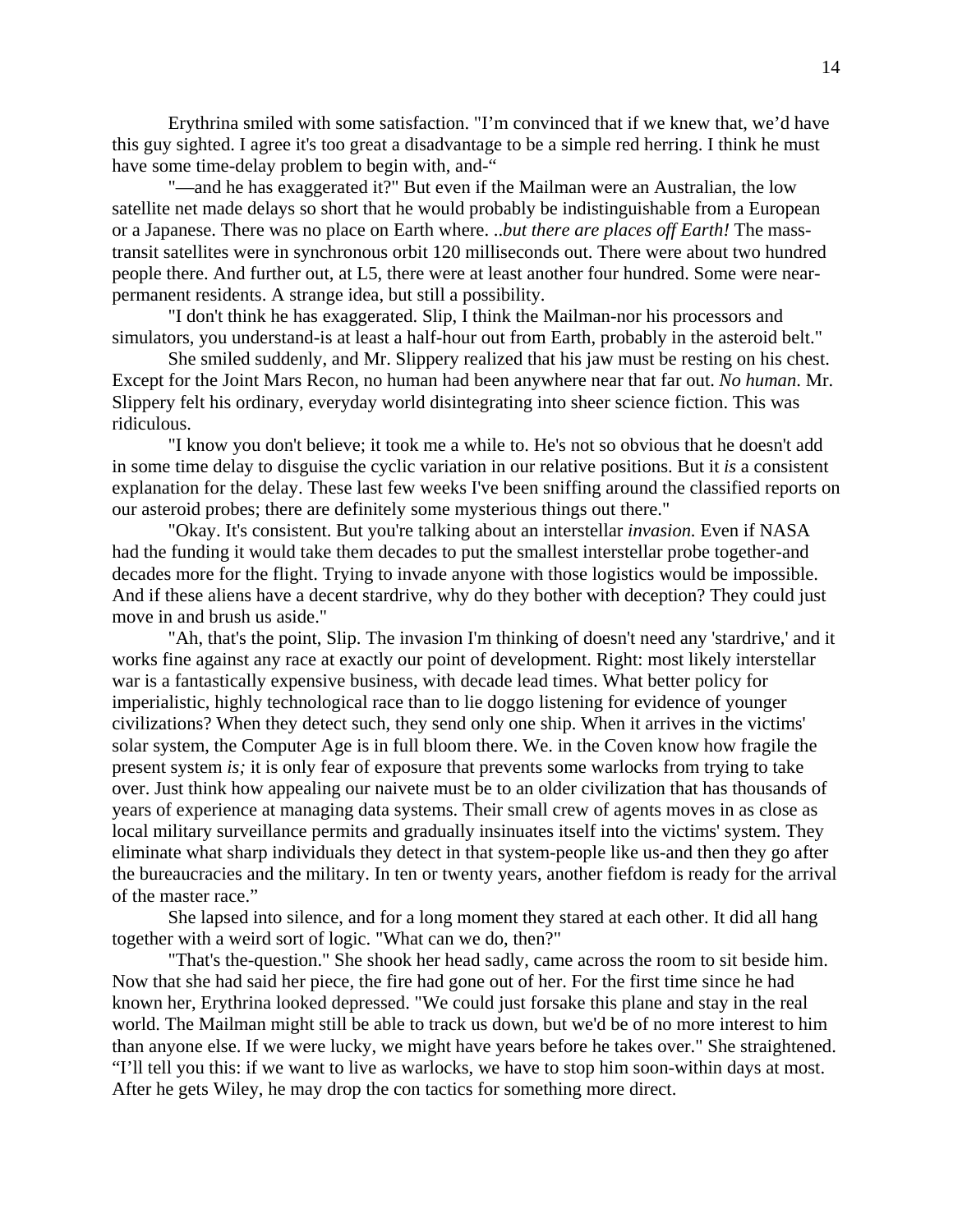Erythrina smiled with some satisfaction. "I'm convinced that if we knew that, we'd have this guy sighted. I agree it's too great a disadvantage to be a simple red herring. I think he must have some time-delay problem to begin with, and-"

"—and he has exaggerated it?" But even if the Mailman were an Australian, the low satellite net made delays so short that he would probably be indistinguishable from a European or a Japanese. There was no place on Earth where. ..*but there are places off Earth!* The masstransit satellites were in synchronous orbit 120 milliseconds out. There were about two hundred people there. And further out, at L5, there were at least another four hundred. Some were nearpermanent residents. A strange idea, but still a possibility.

"I don't think he has exaggerated. Slip, I think the Mailman-nor his processors and simulators, you understand-is at least a half-hour out from Earth, probably in the asteroid belt."

She smiled suddenly, and Mr. Slippery realized that his jaw must be resting on his chest. Except for the Joint Mars Recon, no human had been anywhere near that far out. *No human*. Mr. Slippery felt his ordinary, everyday world disintegrating into sheer science fiction. This was ridiculous.

"I know you don't believe; it took me a while to. He's not so obvious that he doesn't add in some time delay to disguise the cyclic variation in our relative positions. But it *is* a consistent explanation for the delay. These last few weeks I've been sniffing around the classified reports on our asteroid probes; there are definitely some mysterious things out there."

"Okay. It's consistent. But you're talking about an interstellar *invasion.* Even if NASA had the funding it would take them decades to put the smallest interstellar probe together-and decades more for the flight. Trying to invade anyone with those logistics would be impossible. And if these aliens have a decent stardrive, why do they bother with deception? They could just move in and brush us aside."

"Ah, that's the point, Slip. The invasion I'm thinking of doesn't need any 'stardrive,' and it works fine against any race at exactly our point of development. Right: most likely interstellar war is a fantastically expensive business, with decade lead times. What better policy for imperialistic, highly technological race than to lie doggo listening for evidence of younger civilizations? When they detect such, they send only one ship. When it arrives in the victims' solar system, the Computer Age is in full bloom there. We. in the Coven know how fragile the present system *is;* it is only fear of exposure that prevents some warlocks from trying to take over. Just think how appealing our naivete must be to an older civilization that has thousands of years of experience at managing data systems. Their small crew of agents moves in as close as local military surveillance permits and gradually insinuates itself into the victims' system. They eliminate what sharp individuals they detect in that system-people like us-and then they go after the bureaucracies and the military. In ten or twenty years, another fiefdom is ready for the arrival of the master race."

She lapsed into silence, and for a long moment they stared at each other. It did all hang together with a weird sort of logic. "What can we do, then?"

"That's the-question." She shook her head sadly, came across the room to sit beside him. Now that she had said her piece, the fire had gone out of her. For the first time since he had known her, Erythrina looked depressed. "We could just forsake this plane and stay in the real world. The Mailman might still be able to track us down, but we'd be of no more interest to him than anyone else. If we were lucky, we might have years before he takes over." She straightened. "I'll tell you this: if we want to live as warlocks, we have to stop him soon-within days at most. After he gets Wiley, he may drop the con tactics for something more direct.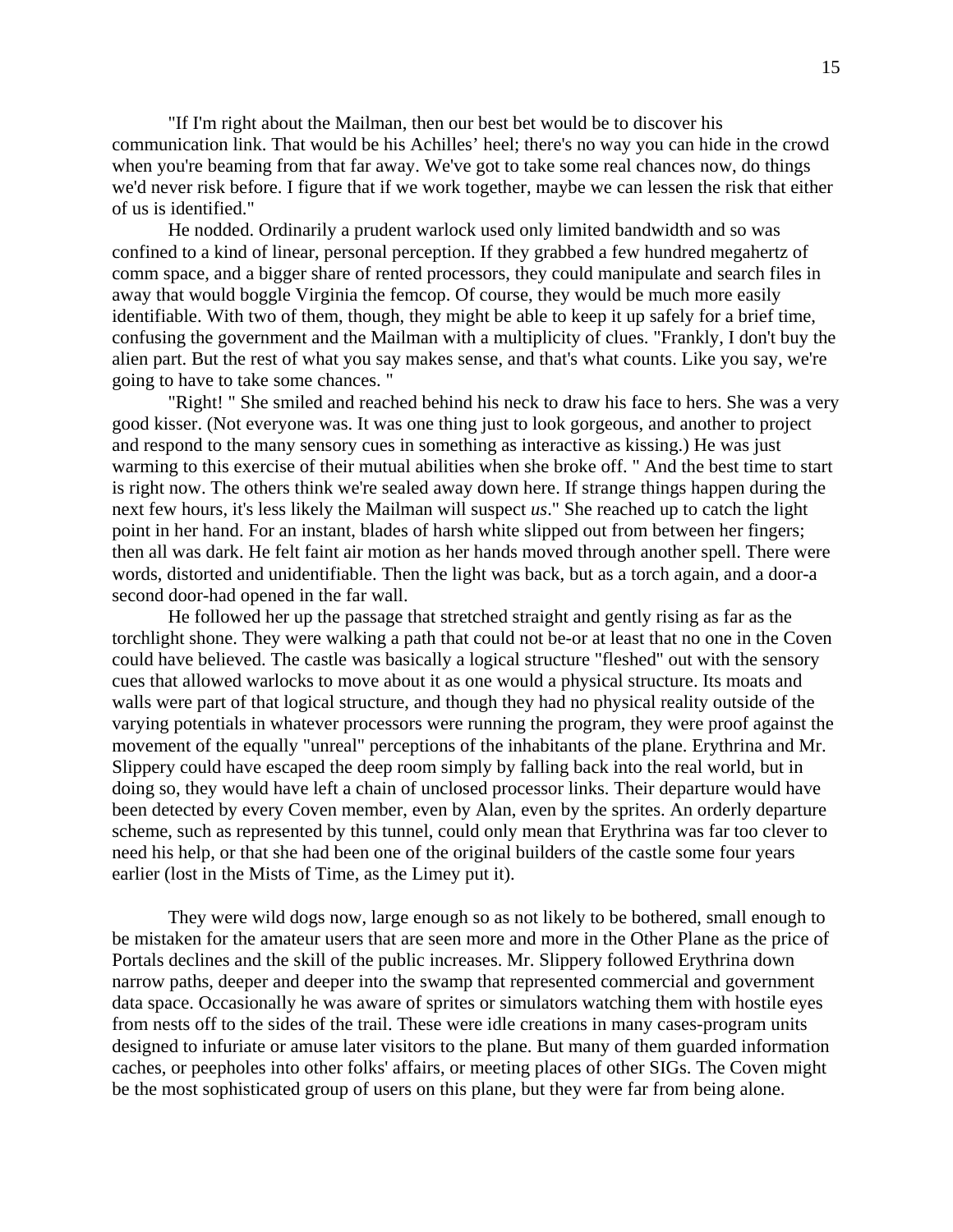"If I'm right about the Mailman, then our best bet would be to discover his communication link. That would be his Achilles' heel; there's no way you can hide in the crowd when you're beaming from that far away. We've got to take some real chances now, do things we'd never risk before. I figure that if we work together, maybe we can lessen the risk that either of us is identified."

He nodded. Ordinarily a prudent warlock used only limited bandwidth and so was confined to a kind of linear, personal perception. If they grabbed a few hundred megahertz of comm space, and a bigger share of rented processors, they could manipulate and search files in away that would boggle Virginia the femcop. Of course, they would be much more easily identifiable. With two of them, though, they might be able to keep it up safely for a brief time, confusing the government and the Mailman with a multiplicity of clues. "Frankly, I don't buy the alien part. But the rest of what you say makes sense, and that's what counts. Like you say, we're going to have to take some chances. "

"Right! " She smiled and reached behind his neck to draw his face to hers. She was a very good kisser. (Not everyone was. It was one thing just to look gorgeous, and another to project and respond to the many sensory cues in something as interactive as kissing.) He was just warming to this exercise of their mutual abilities when she broke off. " And the best time to start is right now. The others think we're sealed away down here. If strange things happen during the next few hours, it's less likely the Mailman will suspect *us*." She reached up to catch the light point in her hand. For an instant, blades of harsh white slipped out from between her fingers; then all was dark. He felt faint air motion as her hands moved through another spell. There were words, distorted and unidentifiable. Then the light was back, but as a torch again, and a door-a second door-had opened in the far wall.

He followed her up the passage that stretched straight and gently rising as far as the torchlight shone. They were walking a path that could not be-or at least that no one in the Coven could have believed. The castle was basically a logical structure "fleshed" out with the sensory cues that allowed warlocks to move about it as one would a physical structure. Its moats and walls were part of that logical structure, and though they had no physical reality outside of the varying potentials in whatever processors were running the program, they were proof against the movement of the equally "unreal" perceptions of the inhabitants of the plane. Erythrina and Mr. Slippery could have escaped the deep room simply by falling back into the real world, but in doing so, they would have left a chain of unclosed processor links. Their departure would have been detected by every Coven member, even by Alan, even by the sprites. An orderly departure scheme, such as represented by this tunnel, could only mean that Erythrina was far too clever to need his help, or that she had been one of the original builders of the castle some four years earlier (lost in the Mists of Time, as the Limey put it).

They were wild dogs now, large enough so as not likely to be bothered, small enough to be mistaken for the amateur users that are seen more and more in the Other Plane as the price of Portals declines and the skill of the public increases. Mr. Slippery followed Erythrina down narrow paths, deeper and deeper into the swamp that represented commercial and government data space. Occasionally he was aware of sprites or simulators watching them with hostile eyes from nests off to the sides of the trail. These were idle creations in many cases-program units designed to infuriate or amuse later visitors to the plane. But many of them guarded information caches, or peepholes into other folks' affairs, or meeting places of other SIGs. The Coven might be the most sophisticated group of users on this plane, but they were far from being alone.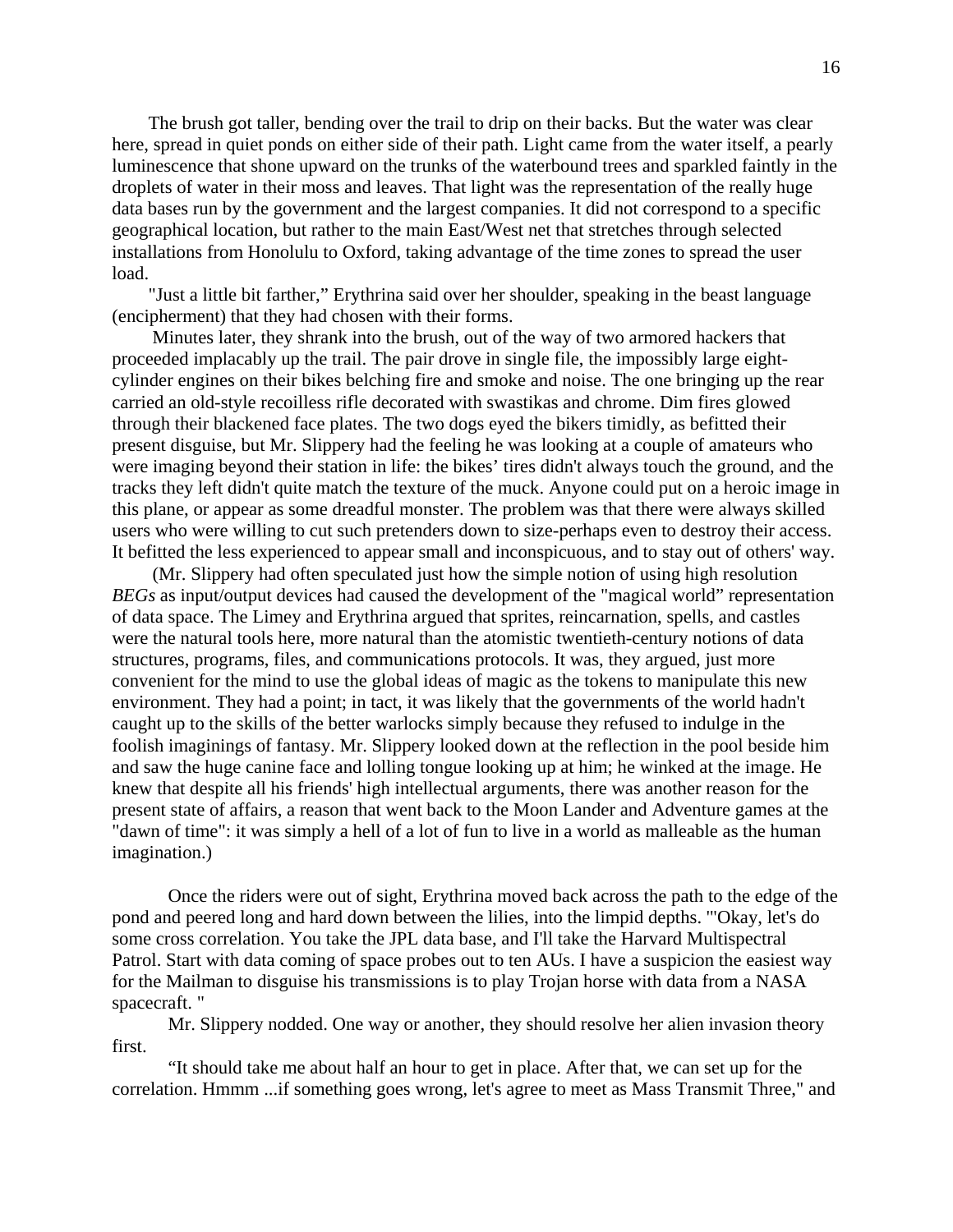The brush got taller, bending over the trail to drip on their backs. But the water was clear here, spread in quiet ponds on either side of their path. Light came from the water itself, a pearly luminescence that shone upward on the trunks of the waterbound trees and sparkled faintly in the droplets of water in their moss and leaves. That light was the representation of the really huge data bases run by the government and the largest companies. It did not correspond to a specific geographical location, but rather to the main East/West net that stretches through selected installations from Honolulu to Oxford, taking advantage of the time zones to spread the user load.

"Just a little bit farther," Erythrina said over her shoulder, speaking in the beast language (encipherment) that they had chosen with their forms.

Minutes later, they shrank into the brush, out of the way of two armored hackers that proceeded implacably up the trail. The pair drove in single file, the impossibly large eightcylinder engines on their bikes belching fire and smoke and noise. The one bringing up the rear carried an old-style recoilless rifle decorated with swastikas and chrome. Dim fires glowed through their blackened face plates. The two dogs eyed the bikers timidly, as befitted their present disguise, but Mr. Slippery had the feeling he was looking at a couple of amateurs who were imaging beyond their station in life: the bikes' tires didn't always touch the ground, and the tracks they left didn't quite match the texture of the muck. Anyone could put on a heroic image in this plane, or appear as some dreadful monster. The problem was that there were always skilled users who were willing to cut such pretenders down to size-perhaps even to destroy their access. It befitted the less experienced to appear small and inconspicuous, and to stay out of others' way.

(Mr. Slippery had often speculated just how the simple notion of using high resolution *BEGs* as input/output devices had caused the development of the "magical world" representation of data space. The Limey and Erythrina argued that sprites, reincarnation, spells, and castles were the natural tools here, more natural than the atomistic twentieth-century notions of data structures, programs, files, and communications protocols. It was, they argued, just more convenient for the mind to use the global ideas of magic as the tokens to manipulate this new environment. They had a point; in tact, it was likely that the governments of the world hadn't caught up to the skills of the better warlocks simply because they refused to indulge in the foolish imaginings of fantasy. Mr. Slippery looked down at the reflection in the pool beside him and saw the huge canine face and lolling tongue looking up at him; he winked at the image. He knew that despite all his friends' high intellectual arguments, there was another reason for the present state of affairs, a reason that went back to the Moon Lander and Adventure games at the "dawn of time": it was simply a hell of a lot of fun to live in a world as malleable as the human imagination.)

Once the riders were out of sight, Erythrina moved back across the path to the edge of the pond and peered long and hard down between the lilies, into the limpid depths. '"Okay, let's do some cross correlation. You take the JPL data base, and I'll take the Harvard Multispectral Patrol. Start with data coming of space probes out to ten AUs. I have a suspicion the easiest way for the Mailman to disguise his transmissions is to play Trojan horse with data from a NASA spacecraft. "

Mr. Slippery nodded. One way or another, they should resolve her alien invasion theory first.

"It should take me about half an hour to get in place. After that, we can set up for the correlation. Hmmm ...if something goes wrong, let's agree to meet as Mass Transmit Three," and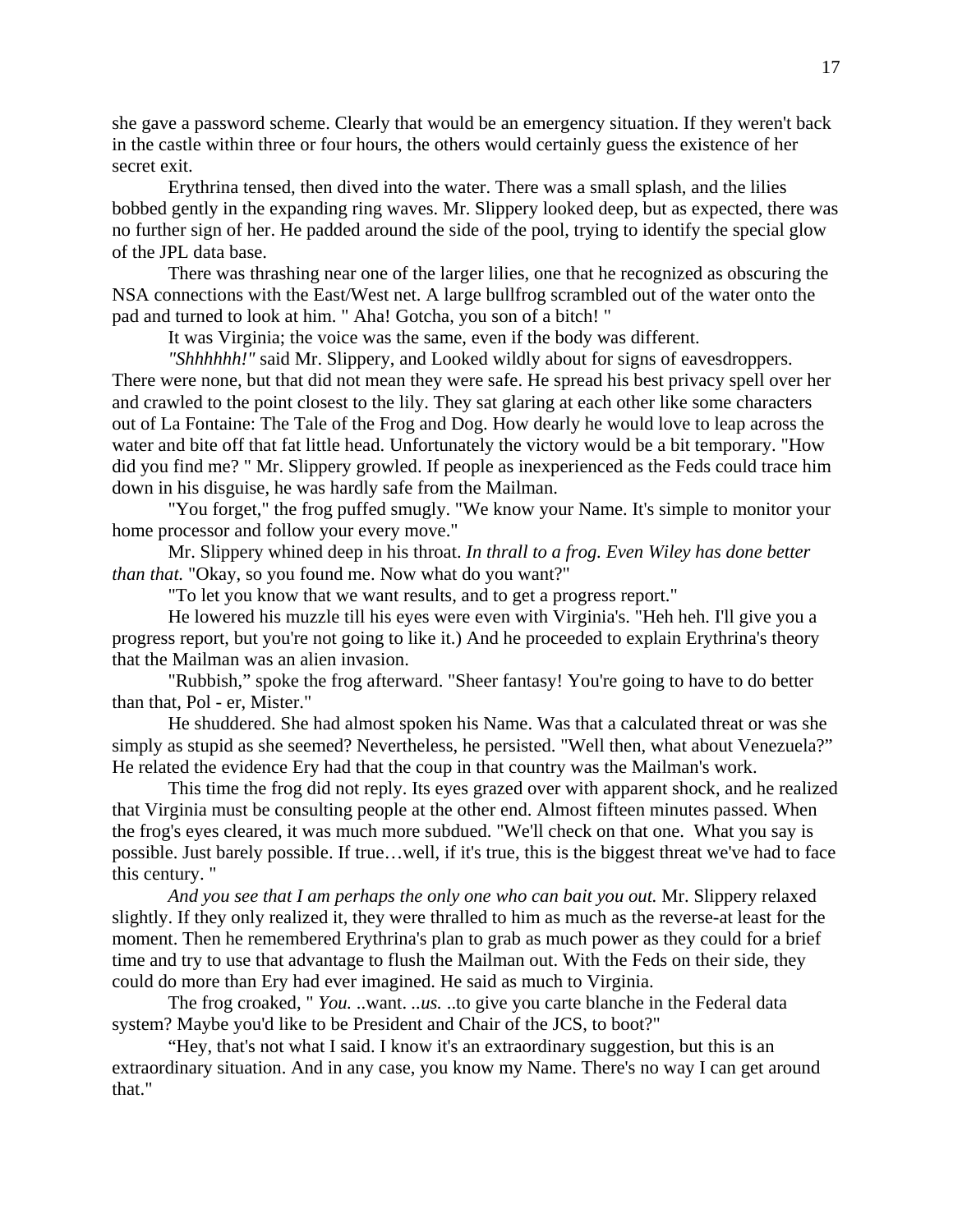she gave a password scheme. Clearly that would be an emergency situation. If they weren't back in the castle within three or four hours, the others would certainly guess the existence of her secret exit.

Erythrina tensed, then dived into the water. There was a small splash, and the lilies bobbed gently in the expanding ring waves. Mr. Slippery looked deep, but as expected, there was no further sign of her. He padded around the side of the pool, trying to identify the special glow of the JPL data base.

There was thrashing near one of the larger lilies, one that he recognized as obscuring the NSA connections with the East/West net. A large bullfrog scrambled out of the water onto the pad and turned to look at him. " Aha! Gotcha, you son of a bitch! "

It was Virginia; the voice was the same, even if the body was different.

*"Shhhhhh!"* said Mr. Slippery, and Looked wildly about for signs of eavesdroppers. There were none, but that did not mean they were safe. He spread his best privacy spell over her and crawled to the point closest to the lily. They sat glaring at each other like some characters out of La Fontaine: The Tale of the Frog and Dog. How dearly he would love to leap across the water and bite off that fat little head. Unfortunately the victory would be a bit temporary. "How did you find me? " Mr. Slippery growled. If people as inexperienced as the Feds could trace him down in his disguise, he was hardly safe from the Mailman.

"You forget," the frog puffed smugly. "We know your Name. It's simple to monitor your home processor and follow your every move."

Mr. Slippery whined deep in his throat. *In thrall to a frog. Even Wiley has done better than that.* "Okay, so you found me. Now what do you want?"

"To let you know that we want results, and to get a progress report."

He lowered his muzzle till his eyes were even with Virginia's. "Heh heh. I'll give you a progress report, but you're not going to like it.) And he proceeded to explain Erythrina's theory that the Mailman was an alien invasion.

"Rubbish," spoke the frog afterward. "Sheer fantasy! You're going to have to do better than that, Pol - er, Mister."

He shuddered. She had almost spoken his Name. Was that a calculated threat or was she simply as stupid as she seemed? Nevertheless, he persisted. "Well then, what about Venezuela?" He related the evidence Ery had that the coup in that country was the Mailman's work.

This time the frog did not reply. Its eyes grazed over with apparent shock, and he realized that Virginia must be consulting people at the other end. Almost fifteen minutes passed. When the frog's eyes cleared, it was much more subdued. "We'll check on that one. What you say is possible. Just barely possible. If true…well, if it's true, this is the biggest threat we've had to face this century. "

*And you see that I am perhaps the only one who can bait you out.* Mr. Slippery relaxed slightly. If they only realized it, they were thralled to him as much as the reverse-at least for the moment. Then he remembered Erythrina's plan to grab as much power as they could for a brief time and try to use that advantage to flush the Mailman out. With the Feds on their side, they could do more than Ery had ever imagined. He said as much to Virginia.

The frog croaked, " *You.* ..want. *..us.* ..to give you carte blanche in the Federal data system? Maybe you'd like to be President and Chair of the JCS, to boot?"

"Hey, that's not what I said. I know it's an extraordinary suggestion, but this is an extraordinary situation. And in any case, you know my Name. There's no way I can get around that."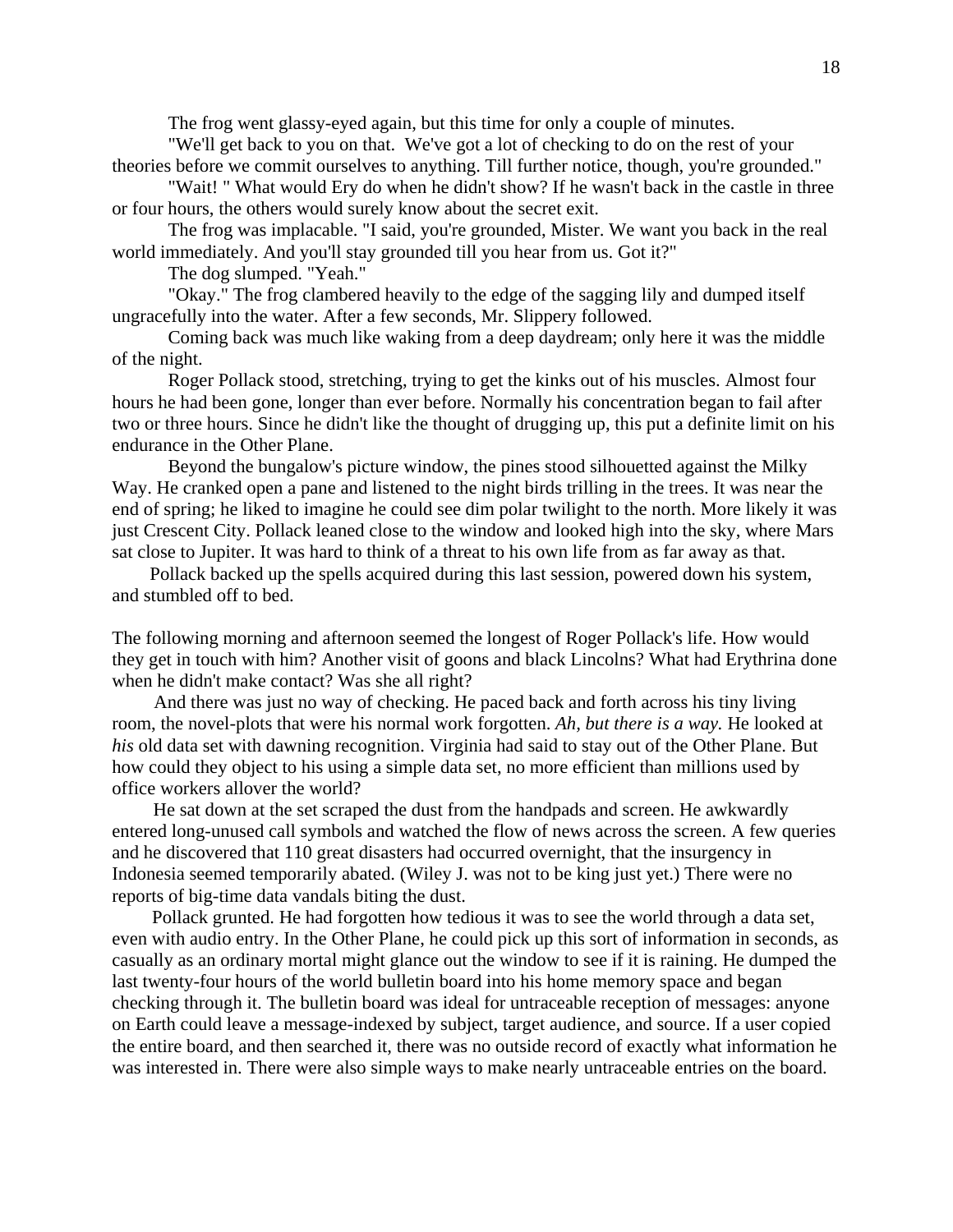The frog went glassy-eyed again, but this time for only a couple of minutes.

"We'll get back to you on that. We've got a lot of checking to do on the rest of your theories before we commit ourselves to anything. Till further notice, though, you're grounded."

"Wait! " What would Ery do when he didn't show? If he wasn't back in the castle in three or four hours, the others would surely know about the secret exit.

The frog was implacable. "I said, you're grounded, Mister. We want you back in the real world immediately. And you'll stay grounded till you hear from us. Got it?"

The dog slumped. "Yeah."

"Okay." The frog clambered heavily to the edge of the sagging lily and dumped itself ungracefully into the water. After a few seconds, Mr. Slippery followed.

Coming back was much like waking from a deep daydream; only here it was the middle of the night.

Roger Pollack stood, stretching, trying to get the kinks out of his muscles. Almost four hours he had been gone, longer than ever before. Normally his concentration began to fail after two or three hours. Since he didn't like the thought of drugging up, this put a definite limit on his endurance in the Other Plane.

Beyond the bungalow's picture window, the pines stood silhouetted against the Milky Way. He cranked open a pane and listened to the night birds trilling in the trees. It was near the end of spring; he liked to imagine he could see dim polar twilight to the north. More likely it was just Crescent City. Pollack leaned close to the window and looked high into the sky, where Mars sat close to Jupiter. It was hard to think of a threat to his own life from as far away as that.

Pollack backed up the spells acquired during this last session, powered down his system, and stumbled off to bed.

The following morning and afternoon seemed the longest of Roger Pollack's life. How would they get in touch with him? Another visit of goons and black Lincolns? What had Erythrina done when he didn't make contact? Was she all right?

And there was just no way of checking. He paced back and forth across his tiny living room, the novel-plots that were his normal work forgotten. *Ah, but there is a way.* He looked at *his* old data set with dawning recognition. Virginia had said to stay out of the Other Plane. But how could they object to his using a simple data set, no more efficient than millions used by office workers allover the world?

He sat down at the set scraped the dust from the handpads and screen. He awkwardly entered long-unused call symbols and watched the flow of news across the screen. A few queries and he discovered that 110 great disasters had occurred overnight, that the insurgency in Indonesia seemed temporarily abated. (Wiley J. was not to be king just yet.) There were no reports of big-time data vandals biting the dust.

Pollack grunted. He had forgotten how tedious it was to see the world through a data set, even with audio entry. In the Other Plane, he could pick up this sort of information in seconds, as casually as an ordinary mortal might glance out the window to see if it is raining. He dumped the last twenty-four hours of the world bulletin board into his home memory space and began checking through it. The bulletin board was ideal for untraceable reception of messages: anyone on Earth could leave a message-indexed by subject, target audience, and source. If a user copied the entire board, and then searched it, there was no outside record of exactly what information he was interested in. There were also simple ways to make nearly untraceable entries on the board.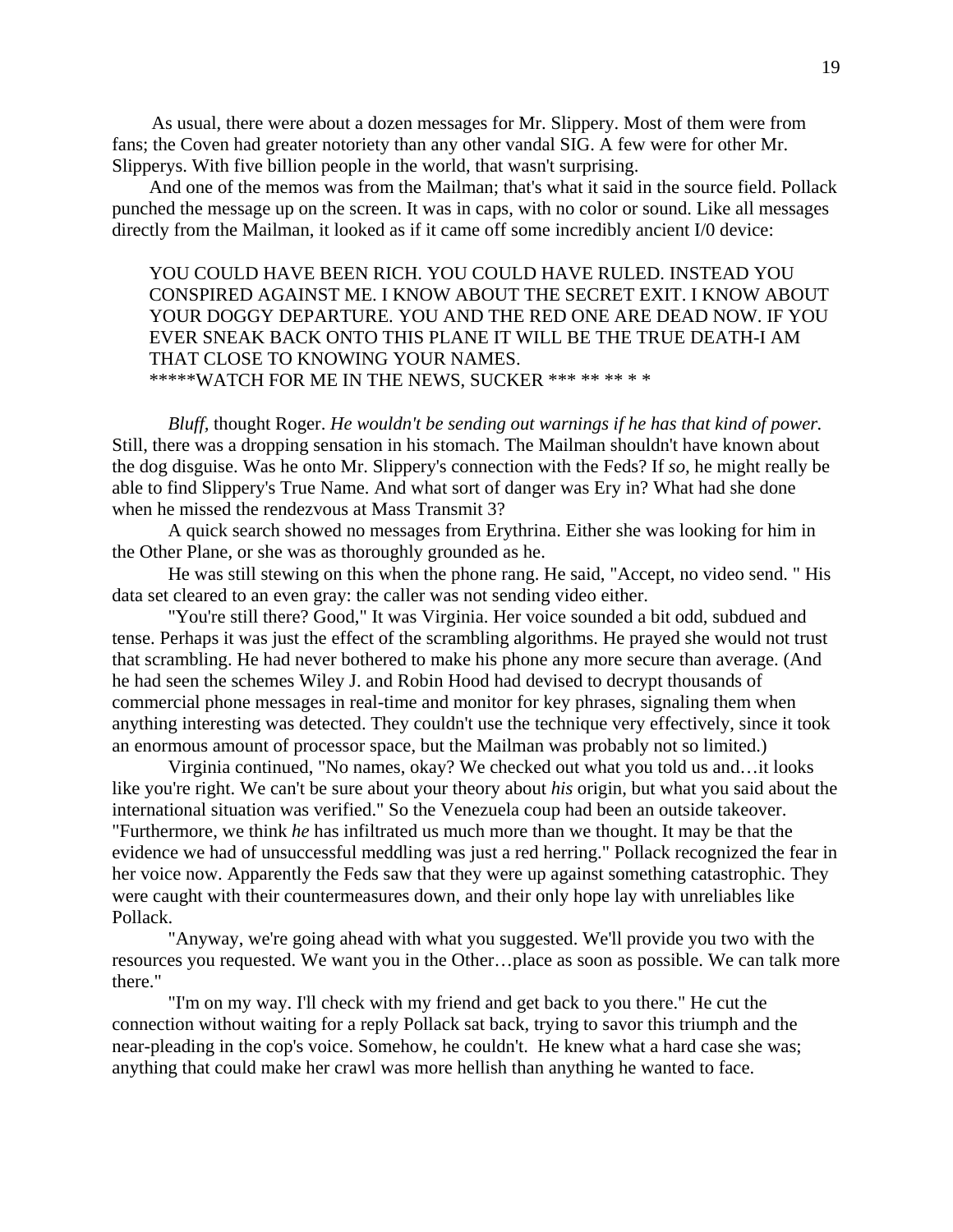As usual, there were about a dozen messages for Mr. Slippery. Most of them were from fans; the Coven had greater notoriety than any other vandal SIG. A few were for other Mr. Slipperys. With five billion people in the world, that wasn't surprising.

And one of the memos was from the Mailman; that's what it said in the source field. Pollack punched the message up on the screen. It was in caps, with no color or sound. Like all messages directly from the Mailman, it looked as if it came off some incredibly ancient I/0 device:

YOU COULD HAVE BEEN RICH. YOU COULD HAVE RULED. INSTEAD YOU CONSPIRED AGAINST ME. I KNOW ABOUT THE SECRET EXIT. I KNOW ABOUT YOUR DOGGY DEPARTURE. YOU AND THE RED ONE ARE DEAD NOW. IF YOU EVER SNEAK BACK ONTO THIS PLANE IT WILL BE THE TRUE DEATH-I AM THAT CLOSE TO KNOWING YOUR NAMES. \*\*\*\*\*WATCH FOR ME IN THE NEWS, SUCKER \*\*\* \*\* \*\* \* \*

*Bluff,* thought Roger. *He wouldn't be sending out warnings if he has that kind of power.*  Still, there was a dropping sensation in his stomach. The Mailman shouldn't have known about the dog disguise. Was he onto Mr. Slippery's connection with the Feds? If *so,* he might really be able to find Slippery's True Name. And what sort of danger was Ery in? What had she done when he missed the rendezvous at Mass Transmit 3?

A quick search showed no messages from Erythrina. Either she was looking for him in the Other Plane, or she was as thoroughly grounded as he.

He was still stewing on this when the phone rang. He said, "Accept, no video send. " His data set cleared to an even gray: the caller was not sending video either.

"You're still there? Good," It was Virginia. Her voice sounded a bit odd, subdued and tense. Perhaps it was just the effect of the scrambling algorithms. He prayed she would not trust that scrambling. He had never bothered to make his phone any more secure than average. (And he had seen the schemes Wiley J. and Robin Hood had devised to decrypt thousands of commercial phone messages in real-time and monitor for key phrases, signaling them when anything interesting was detected. They couldn't use the technique very effectively, since it took an enormous amount of processor space, but the Mailman was probably not so limited.)

Virginia continued, "No names, okay? We checked out what you told us and…it looks like you're right. We can't be sure about your theory about *his* origin, but what you said about the international situation was verified." So the Venezuela coup had been an outside takeover. "Furthermore, we think *he* has infiltrated us much more than we thought. It may be that the evidence we had of unsuccessful meddling was just a red herring." Pollack recognized the fear in her voice now. Apparently the Feds saw that they were up against something catastrophic. They were caught with their countermeasures down, and their only hope lay with unreliables like Pollack.

"Anyway, we're going ahead with what you suggested. We'll provide you two with the resources you requested. We want you in the Other…place as soon as possible. We can talk more there."

"I'm on my way. I'll check with my friend and get back to you there." He cut the connection without waiting for a reply Pollack sat back, trying to savor this triumph and the near-pleading in the cop's voice. Somehow, he couldn't. He knew what a hard case she was; anything that could make her crawl was more hellish than anything he wanted to face.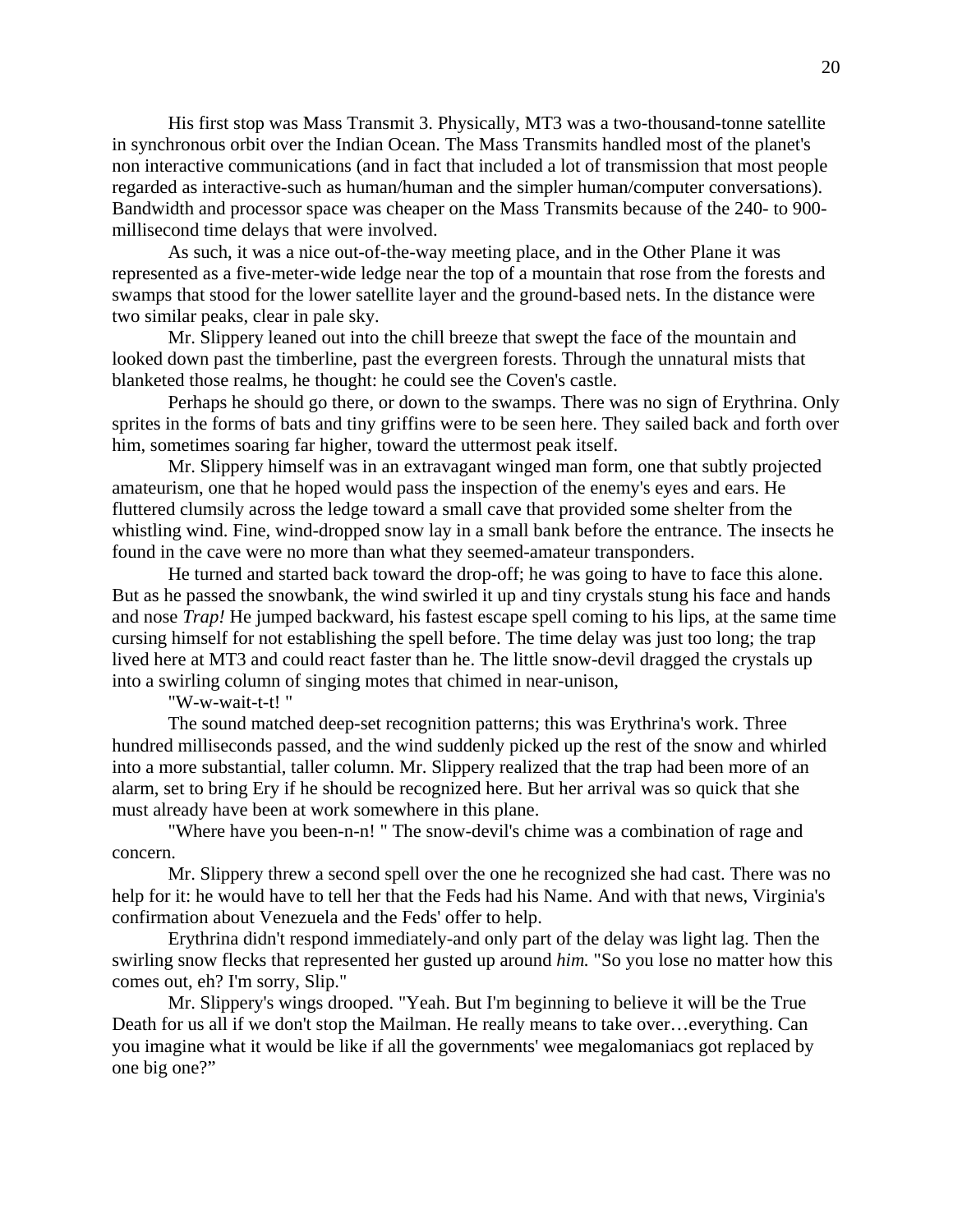His first stop was Mass Transmit 3. Physically, MT3 was a two-thousand-tonne satellite in synchronous orbit over the Indian Ocean. The Mass Transmits handled most of the planet's non interactive communications (and in fact that included a lot of transmission that most people regarded as interactive-such as human/human and the simpler human/computer conversations). Bandwidth and processor space was cheaper on the Mass Transmits because of the 240- to 900 millisecond time delays that were involved.

As such, it was a nice out-of-the-way meeting place, and in the Other Plane it was represented as a five-meter-wide ledge near the top of a mountain that rose from the forests and swamps that stood for the lower satellite layer and the ground-based nets. In the distance were two similar peaks, clear in pale sky.

Mr. Slippery leaned out into the chill breeze that swept the face of the mountain and looked down past the timberline, past the evergreen forests. Through the unnatural mists that blanketed those realms, he thought: he could see the Coven's castle.

Perhaps he should go there, or down to the swamps. There was no sign of Erythrina. Only sprites in the forms of bats and tiny griffins were to be seen here. They sailed back and forth over him, sometimes soaring far higher, toward the uttermost peak itself.

Mr. Slippery himself was in an extravagant winged man form, one that subtly projected amateurism, one that he hoped would pass the inspection of the enemy's eyes and ears. He fluttered clumsily across the ledge toward a small cave that provided some shelter from the whistling wind. Fine, wind-dropped snow lay in a small bank before the entrance. The insects he found in the cave were no more than what they seemed-amateur transponders.

He turned and started back toward the drop-off; he was going to have to face this alone. But as he passed the snowbank, the wind swirled it up and tiny crystals stung his face and hands and nose *Trap!* He jumped backward, his fastest escape spell coming to his lips, at the same time cursing himself for not establishing the spell before. The time delay was just too long; the trap lived here at MT3 and could react faster than he. The little snow-devil dragged the crystals up into a swirling column of singing motes that chimed in near-unison,

"W-w-wait-t-t! "

The sound matched deep-set recognition patterns; this was Erythrina's work. Three hundred milliseconds passed, and the wind suddenly picked up the rest of the snow and whirled into a more substantial, taller column. Mr. Slippery realized that the trap had been more of an alarm, set to bring Ery if he should be recognized here. But her arrival was so quick that she must already have been at work somewhere in this plane.

"Where have you been-n-n! " The snow-devil's chime was a combination of rage and concern.

Mr. Slippery threw a second spell over the one he recognized she had cast. There was no help for it: he would have to tell her that the Feds had his Name. And with that news, Virginia's confirmation about Venezuela and the Feds' offer to help.

Erythrina didn't respond immediately-and only part of the delay was light lag. Then the swirling snow flecks that represented her gusted up around *him.* "So you lose no matter how this comes out, eh? I'm sorry, Slip."

Mr. Slippery's wings drooped. "Yeah. But I'm beginning to believe it will be the True Death for us all if we don't stop the Mailman. He really means to take over…everything. Can you imagine what it would be like if all the governments' wee megalomaniacs got replaced by one big one?"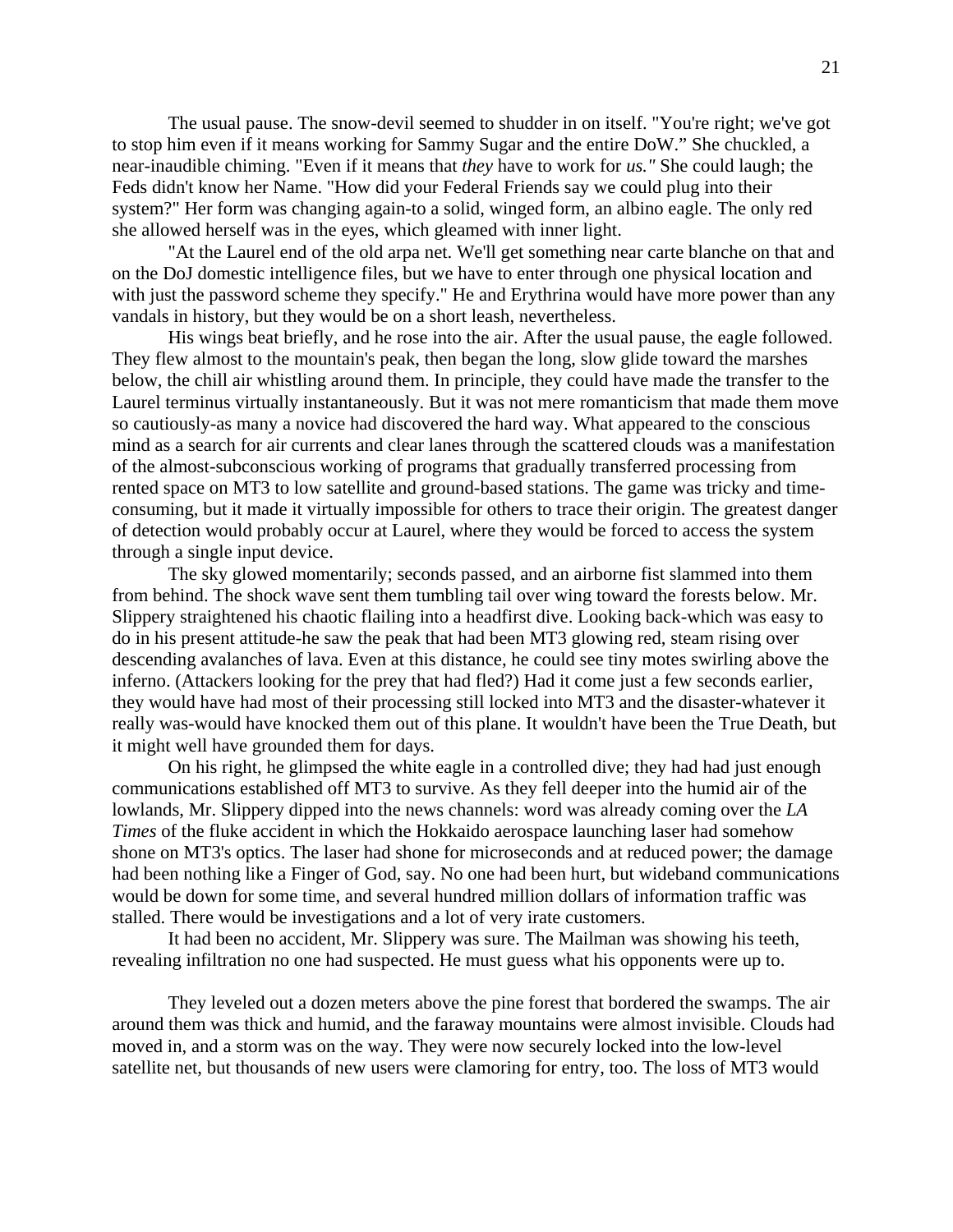The usual pause. The snow-devil seemed to shudder in on itself. "You're right; we've got to stop him even if it means working for Sammy Sugar and the entire DoW." She chuckled, a near-inaudible chiming. "Even if it means that *they* have to work for *us."* She could laugh; the Feds didn't know her Name. "How did your Federal Friends say we could plug into their system?" Her form was changing again-to a solid, winged form, an albino eagle. The only red she allowed herself was in the eyes, which gleamed with inner light.

"At the Laurel end of the old arpa net. We'll get something near carte blanche on that and on the DoJ domestic intelligence files, but we have to enter through one physical location and with just the password scheme they specify." He and Erythrina would have more power than any vandals in history, but they would be on a short leash, nevertheless.

His wings beat briefly, and he rose into the air. After the usual pause, the eagle followed. They flew almost to the mountain's peak, then began the long, slow glide toward the marshes below, the chill air whistling around them. In principle, they could have made the transfer to the Laurel terminus virtually instantaneously. But it was not mere romanticism that made them move so cautiously-as many a novice had discovered the hard way. What appeared to the conscious mind as a search for air currents and clear lanes through the scattered clouds was a manifestation of the almost-subconscious working of programs that gradually transferred processing from rented space on MT3 to low satellite and ground-based stations. The game was tricky and timeconsuming, but it made it virtually impossible for others to trace their origin. The greatest danger of detection would probably occur at Laurel, where they would be forced to access the system through a single input device.

The sky glowed momentarily; seconds passed, and an airborne fist slammed into them from behind. The shock wave sent them tumbling tail over wing toward the forests below. Mr. Slippery straightened his chaotic flailing into a headfirst dive. Looking back-which was easy to do in his present attitude-he saw the peak that had been MT3 glowing red, steam rising over descending avalanches of lava. Even at this distance, he could see tiny motes swirling above the inferno. (Attackers looking for the prey that had fled?) Had it come just a few seconds earlier, they would have had most of their processing still locked into MT3 and the disaster-whatever it really was-would have knocked them out of this plane. It wouldn't have been the True Death, but it might well have grounded them for days.

On his right, he glimpsed the white eagle in a controlled dive; they had had just enough communications established off MT3 to survive. As they fell deeper into the humid air of the lowlands, Mr. Slippery dipped into the news channels: word was already coming over the *LA Times* of the fluke accident in which the Hokkaido aerospace launching laser had somehow shone on MT3's optics. The laser had shone for microseconds and at reduced power; the damage had been nothing like a Finger of God, say. No one had been hurt, but wideband communications would be down for some time, and several hundred million dollars of information traffic was stalled. There would be investigations and a lot of very irate customers.

It had been no accident, Mr. Slippery was sure. The Mailman was showing his teeth, revealing infiltration no one had suspected. He must guess what his opponents were up to.

They leveled out a dozen meters above the pine forest that bordered the swamps. The air around them was thick and humid, and the faraway mountains were almost invisible. Clouds had moved in, and a storm was on the way. They were now securely locked into the low-level satellite net, but thousands of new users were clamoring for entry, too. The loss of MT3 would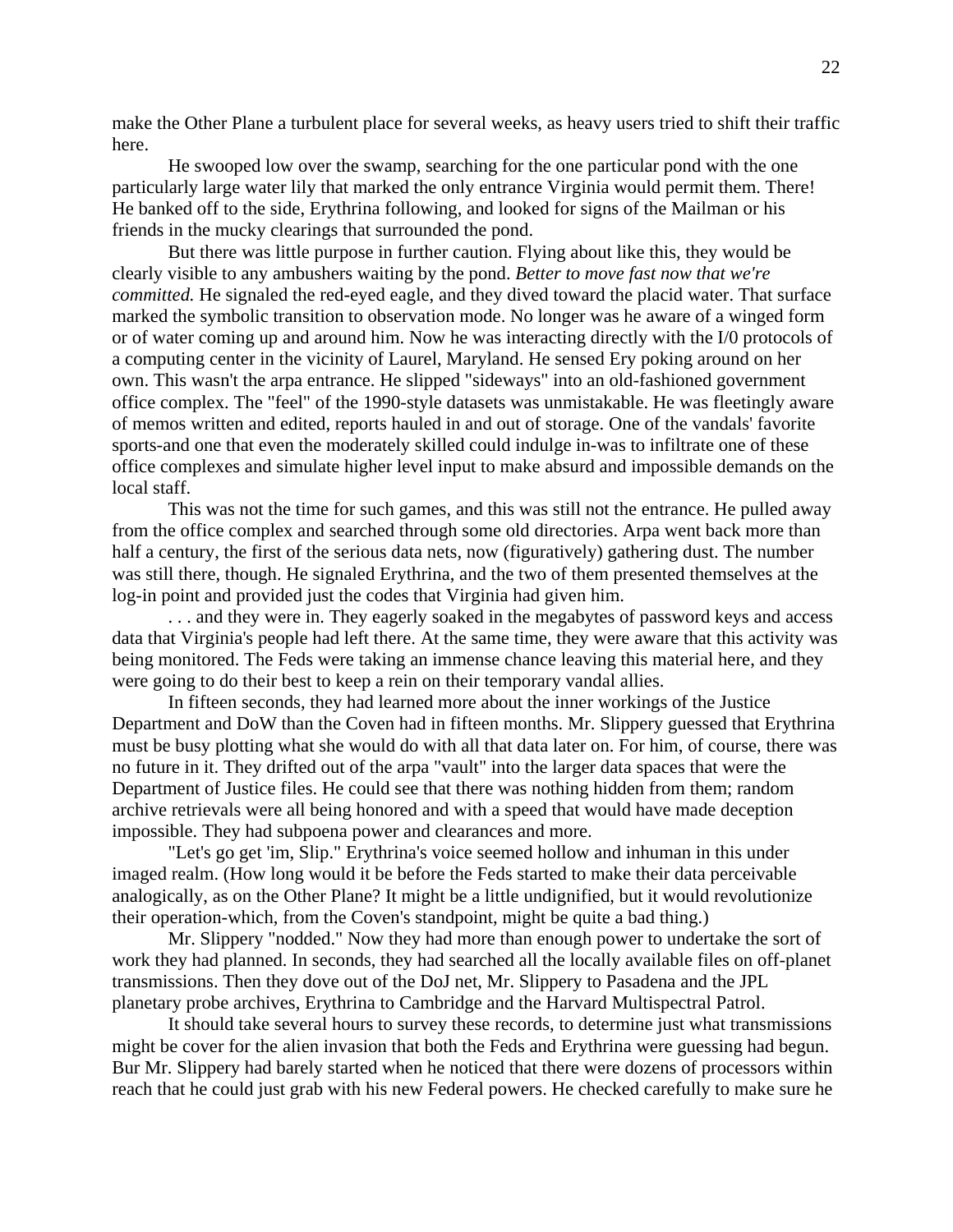make the Other Plane a turbulent place for several weeks, as heavy users tried to shift their traffic here.

He swooped low over the swamp, searching for the one particular pond with the one particularly large water lily that marked the only entrance Virginia would permit them. There! He banked off to the side, Erythrina following, and looked for signs of the Mailman or his friends in the mucky clearings that surrounded the pond.

But there was little purpose in further caution. Flying about like this, they would be clearly visible to any ambushers waiting by the pond. *Better to move fast now that we're committed.* He signaled the red-eyed eagle, and they dived toward the placid water. That surface marked the symbolic transition to observation mode. No longer was he aware of a winged form or of water coming up and around him. Now he was interacting directly with the I/0 protocols of a computing center in the vicinity of Laurel, Maryland. He sensed Ery poking around on her own. This wasn't the arpa entrance. He slipped "sideways" into an old-fashioned government office complex. The "feel" of the 1990-style datasets was unmistakable. He was fleetingly aware of memos written and edited, reports hauled in and out of storage. One of the vandals' favorite sports-and one that even the moderately skilled could indulge in-was to infiltrate one of these office complexes and simulate higher level input to make absurd and impossible demands on the local staff.

This was not the time for such games, and this was still not the entrance. He pulled away from the office complex and searched through some old directories. Arpa went back more than half a century, the first of the serious data nets, now (figuratively) gathering dust. The number was still there, though. He signaled Erythrina, and the two of them presented themselves at the log-in point and provided just the codes that Virginia had given him.

... and they were in. They eagerly soaked in the megabytes of password keys and access data that Virginia's people had left there. At the same time, they were aware that this activity was being monitored. The Feds were taking an immense chance leaving this material here, and they were going to do their best to keep a rein on their temporary vandal allies.

In fifteen seconds, they had learned more about the inner workings of the Justice Department and DoW than the Coven had in fifteen months. Mr. Slippery guessed that Erythrina must be busy plotting what she would do with all that data later on. For him, of course, there was no future in it. They drifted out of the arpa "vault" into the larger data spaces that were the Department of Justice files. He could see that there was nothing hidden from them; random archive retrievals were all being honored and with a speed that would have made deception impossible. They had subpoena power and clearances and more.

"Let's go get 'im, Slip." Erythrina's voice seemed hollow and inhuman in this under imaged realm. (How long would it be before the Feds started to make their data perceivable analogically, as on the Other Plane? It might be a little undignified, but it would revolutionize their operation-which, from the Coven's standpoint, might be quite a bad thing.)

Mr. Slippery "nodded." Now they had more than enough power to undertake the sort of work they had planned. In seconds, they had searched all the locally available files on off-planet transmissions. Then they dove out of the DoJ net, Mr. Slippery to Pasadena and the JPL planetary probe archives, Erythrina to Cambridge and the Harvard Multispectral Patrol.

It should take several hours to survey these records, to determine just what transmissions might be cover for the alien invasion that both the Feds and Erythrina were guessing had begun. Bur Mr. Slippery had barely started when he noticed that there were dozens of processors within reach that he could just grab with his new Federal powers. He checked carefully to make sure he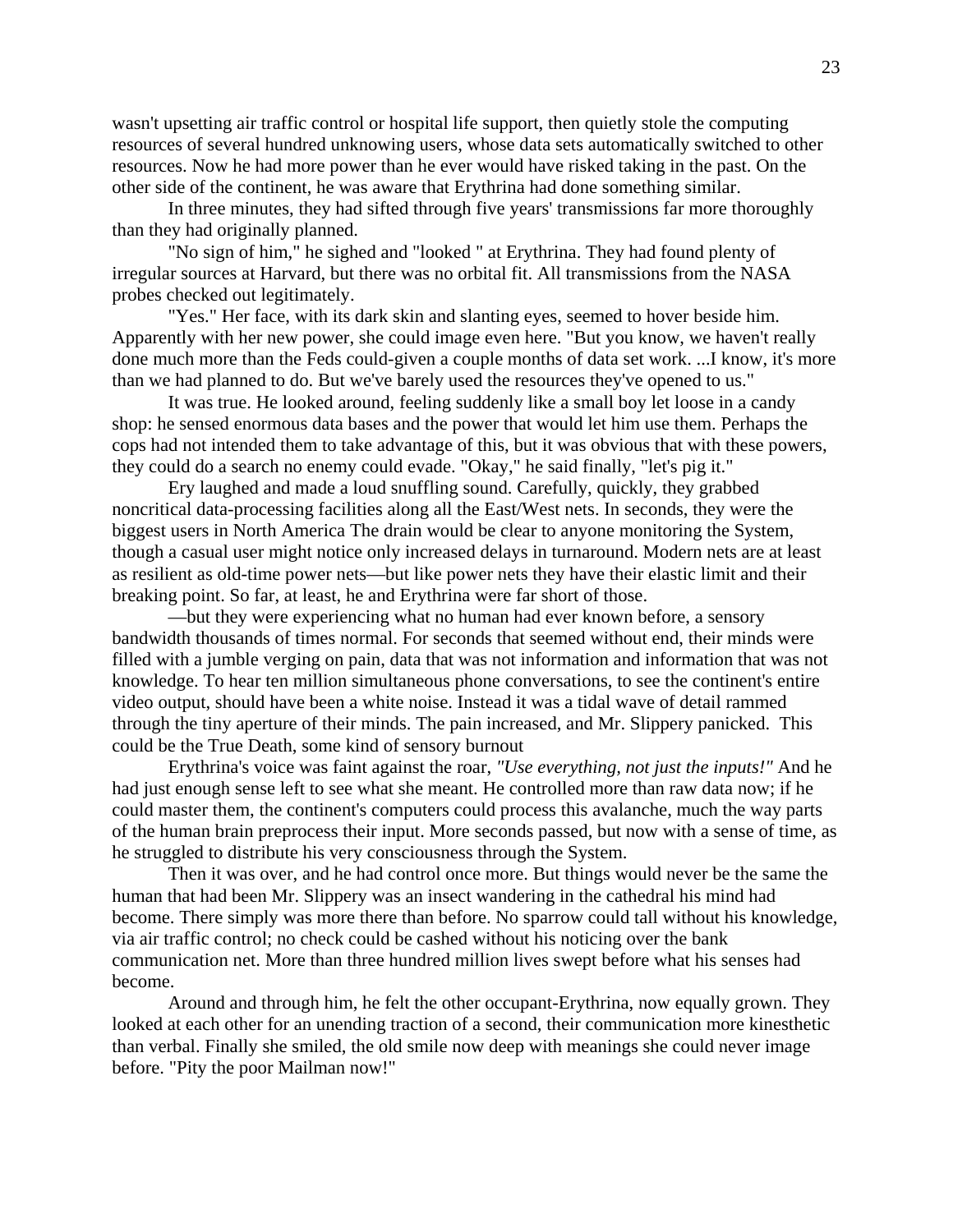wasn't upsetting air traffic control or hospital life support, then quietly stole the computing resources of several hundred unknowing users, whose data sets automatically switched to other resources. Now he had more power than he ever would have risked taking in the past. On the other side of the continent, he was aware that Erythrina had done something similar.

In three minutes, they had sifted through five years' transmissions far more thoroughly than they had originally planned.

"No sign of him," he sighed and "looked " at Erythrina. They had found plenty of irregular sources at Harvard, but there was no orbital fit. All transmissions from the NASA probes checked out legitimately.

"Yes." Her face, with its dark skin and slanting eyes, seemed to hover beside him. Apparently with her new power, she could image even here. "But you know, we haven't really done much more than the Feds could-given a couple months of data set work. ...I know, it's more than we had planned to do. But we've barely used the resources they've opened to us."

It was true. He looked around, feeling suddenly like a small boy let loose in a candy shop: he sensed enormous data bases and the power that would let him use them. Perhaps the cops had not intended them to take advantage of this, but it was obvious that with these powers, they could do a search no enemy could evade. "Okay," he said finally, "let's pig it."

Ery laughed and made a loud snuffling sound. Carefully, quickly, they grabbed noncritical data-processing facilities along all the East/West nets. In seconds, they were the biggest users in North America The drain would be clear to anyone monitoring the System, though a casual user might notice only increased delays in turnaround. Modern nets are at least as resilient as old-time power nets—but like power nets they have their elastic limit and their breaking point. So far, at least, he and Erythrina were far short of those.

—but they were experiencing what no human had ever known before, a sensory bandwidth thousands of times normal. For seconds that seemed without end, their minds were filled with a jumble verging on pain, data that was not information and information that was not knowledge. To hear ten million simultaneous phone conversations, to see the continent's entire video output, should have been a white noise. Instead it was a tidal wave of detail rammed through the tiny aperture of their minds. The pain increased, and Mr. Slippery panicked. This could be the True Death, some kind of sensory burnout

Erythrina's voice was faint against the roar, *"Use everything, not just the inputs!"* And he had just enough sense left to see what she meant. He controlled more than raw data now; if he could master them, the continent's computers could process this avalanche, much the way parts of the human brain preprocess their input. More seconds passed, but now with a sense of time, as he struggled to distribute his very consciousness through the System.

Then it was over, and he had control once more. But things would never be the same the human that had been Mr. Slippery was an insect wandering in the cathedral his mind had become. There simply was more there than before. No sparrow could tall without his knowledge, via air traffic control; no check could be cashed without his noticing over the bank communication net. More than three hundred million lives swept before what his senses had become.

Around and through him, he felt the other occupant-Erythrina, now equally grown. They looked at each other for an unending traction of a second, their communication more kinesthetic than verbal. Finally she smiled, the old smile now deep with meanings she could never image before. "Pity the poor Mailman now!"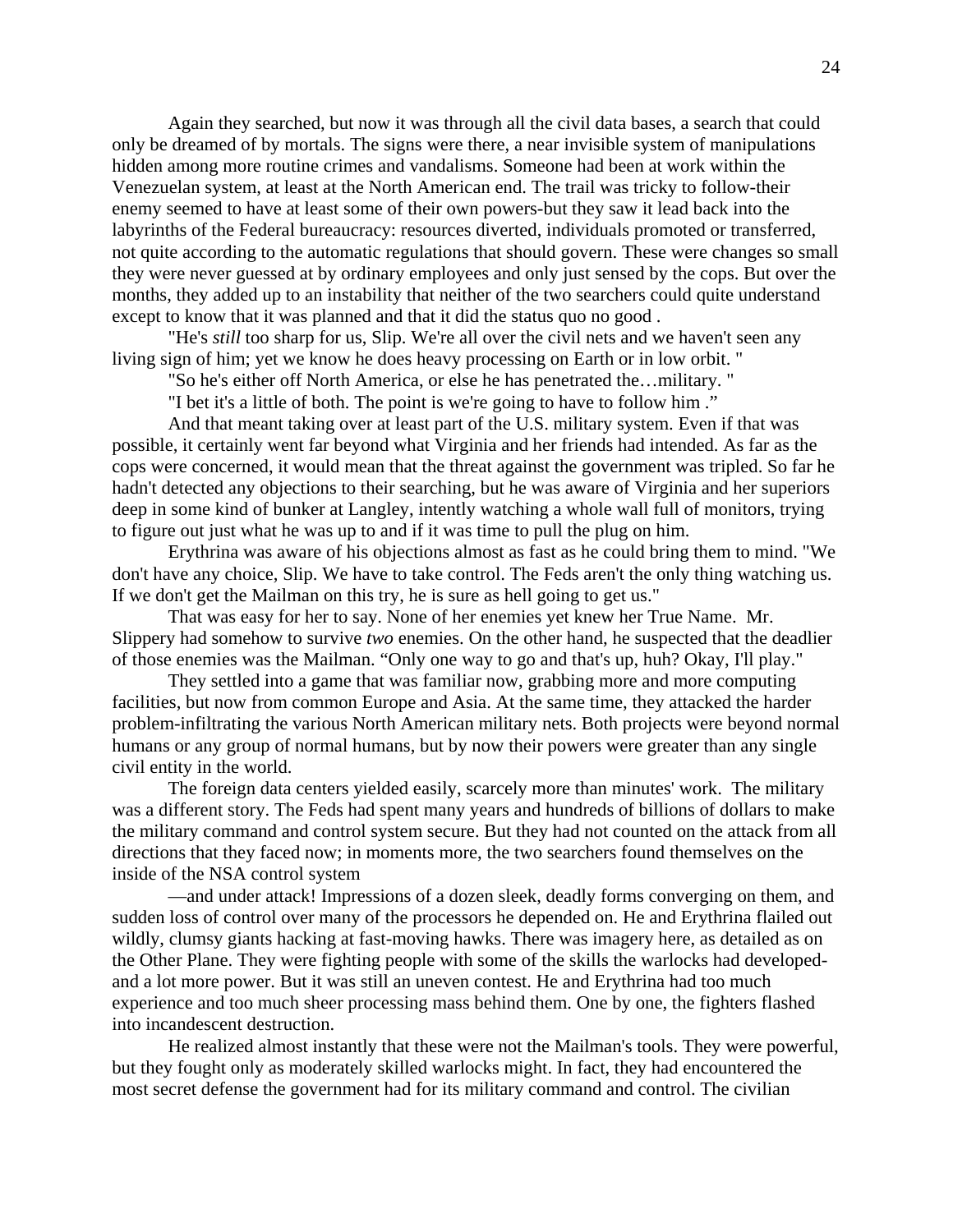Again they searched, but now it was through all the civil data bases, a search that could only be dreamed of by mortals. The signs were there, a near invisible system of manipulations hidden among more routine crimes and vandalisms. Someone had been at work within the Venezuelan system, at least at the North American end. The trail was tricky to follow-their enemy seemed to have at least some of their own powers-but they saw it lead back into the labyrinths of the Federal bureaucracy: resources diverted, individuals promoted or transferred, not quite according to the automatic regulations that should govern. These were changes so small they were never guessed at by ordinary employees and only just sensed by the cops. But over the months, they added up to an instability that neither of the two searchers could quite understand except to know that it was planned and that it did the status quo no good .

"He's *still* too sharp for us, Slip. We're all over the civil nets and we haven't seen any living sign of him; yet we know he does heavy processing on Earth or in low orbit. "

"So he's either off North America, or else he has penetrated the…military. "

"I bet it's a little of both. The point is we're going to have to follow him ."

And that meant taking over at least part of the U.S. military system. Even if that was possible, it certainly went far beyond what Virginia and her friends had intended. As far as the cops were concerned, it would mean that the threat against the government was tripled. So far he hadn't detected any objections to their searching, but he was aware of Virginia and her superiors deep in some kind of bunker at Langley, intently watching a whole wall full of monitors, trying to figure out just what he was up to and if it was time to pull the plug on him.

Erythrina was aware of his objections almost as fast as he could bring them to mind. "We don't have any choice, Slip. We have to take control. The Feds aren't the only thing watching us. If we don't get the Mailman on this try, he is sure as hell going to get us."

That was easy for her to say. None of her enemies yet knew her True Name. Mr. Slippery had somehow to survive *two* enemies. On the other hand, he suspected that the deadlier of those enemies was the Mailman. "Only one way to go and that's up, huh? Okay, I'll play."

They settled into a game that was familiar now, grabbing more and more computing facilities, but now from common Europe and Asia. At the same time, they attacked the harder problem-infiltrating the various North American military nets. Both projects were beyond normal humans or any group of normal humans, but by now their powers were greater than any single civil entity in the world.

The foreign data centers yielded easily, scarcely more than minutes' work. The military was a different story. The Feds had spent many years and hundreds of billions of dollars to make the military command and control system secure. But they had not counted on the attack from all directions that they faced now; in moments more, the two searchers found themselves on the inside of the NSA control system

—and under attack! Impressions of a dozen sleek, deadly forms converging on them, and sudden loss of control over many of the processors he depended on. He and Erythrina flailed out wildly, clumsy giants hacking at fast-moving hawks. There was imagery here, as detailed as on the Other Plane. They were fighting people with some of the skills the warlocks had developedand a lot more power. But it was still an uneven contest. He and Erythrina had too much experience and too much sheer processing mass behind them. One by one, the fighters flashed into incandescent destruction.

He realized almost instantly that these were not the Mailman's tools. They were powerful, but they fought only as moderately skilled warlocks might. In fact, they had encountered the most secret defense the government had for its military command and control. The civilian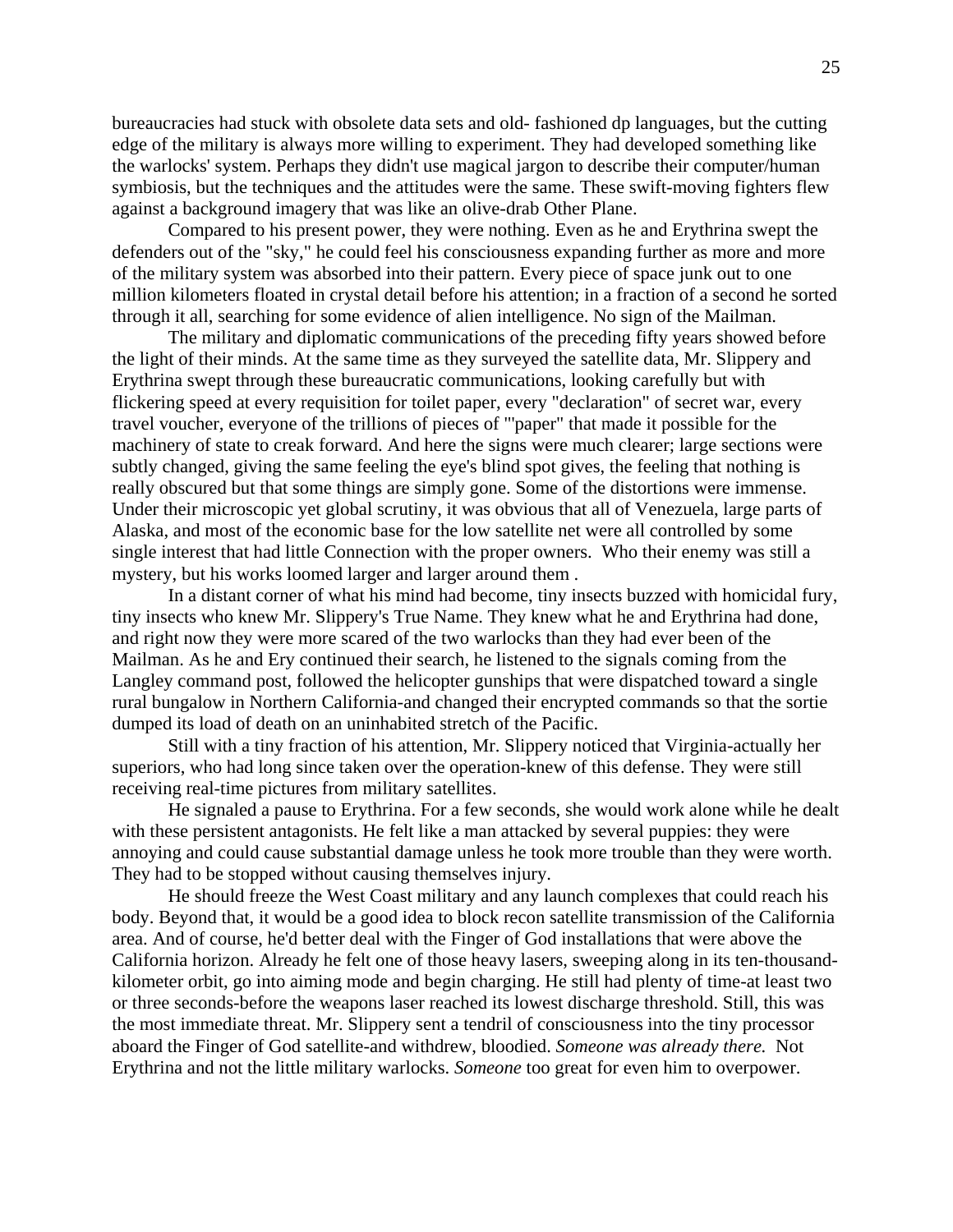bureaucracies had stuck with obsolete data sets and old- fashioned dp languages, but the cutting edge of the military is always more willing to experiment. They had developed something like the warlocks' system. Perhaps they didn't use magical jargon to describe their computer/human symbiosis, but the techniques and the attitudes were the same. These swift-moving fighters flew against a background imagery that was like an olive-drab Other Plane.

Compared to his present power, they were nothing. Even as he and Erythrina swept the defenders out of the "sky," he could feel his consciousness expanding further as more and more of the military system was absorbed into their pattern. Every piece of space junk out to one million kilometers floated in crystal detail before his attention; in a fraction of a second he sorted through it all, searching for some evidence of alien intelligence. No sign of the Mailman.

The military and diplomatic communications of the preceding fifty years showed before the light of their minds. At the same time as they surveyed the satellite data, Mr. Slippery and Erythrina swept through these bureaucratic communications, looking carefully but with flickering speed at every requisition for toilet paper, every "declaration" of secret war, every travel voucher, everyone of the trillions of pieces of "'paper" that made it possible for the machinery of state to creak forward. And here the signs were much clearer; large sections were subtly changed, giving the same feeling the eye's blind spot gives, the feeling that nothing is really obscured but that some things are simply gone. Some of the distortions were immense. Under their microscopic yet global scrutiny, it was obvious that all of Venezuela, large parts of Alaska, and most of the economic base for the low satellite net were all controlled by some single interest that had little Connection with the proper owners. Who their enemy was still a mystery, but his works loomed larger and larger around them .

In a distant corner of what his mind had become, tiny insects buzzed with homicidal fury, tiny insects who knew Mr. Slippery's True Name. They knew what he and Erythrina had done, and right now they were more scared of the two warlocks than they had ever been of the Mailman. As he and Ery continued their search, he listened to the signals coming from the Langley command post, followed the helicopter gunships that were dispatched toward a single rural bungalow in Northern California-and changed their encrypted commands so that the sortie dumped its load of death on an uninhabited stretch of the Pacific.

Still with a tiny fraction of his attention, Mr. Slippery noticed that Virginia-actually her superiors, who had long since taken over the operation-knew of this defense. They were still receiving real-time pictures from military satellites.

He signaled a pause to Erythrina. For a few seconds, she would work alone while he dealt with these persistent antagonists. He felt like a man attacked by several puppies: they were annoying and could cause substantial damage unless he took more trouble than they were worth. They had to be stopped without causing themselves injury.

He should freeze the West Coast military and any launch complexes that could reach his body. Beyond that, it would be a good idea to block recon satellite transmission of the California area. And of course, he'd better deal with the Finger of God installations that were above the California horizon. Already he felt one of those heavy lasers, sweeping along in its ten-thousandkilometer orbit, go into aiming mode and begin charging. He still had plenty of time-at least two or three seconds-before the weapons laser reached its lowest discharge threshold. Still, this was the most immediate threat. Mr. Slippery sent a tendril of consciousness into the tiny processor aboard the Finger of God satellite-and withdrew, bloodied. *Someone was already there.* Not Erythrina and not the little military warlocks. *Someone* too great for even him to overpower.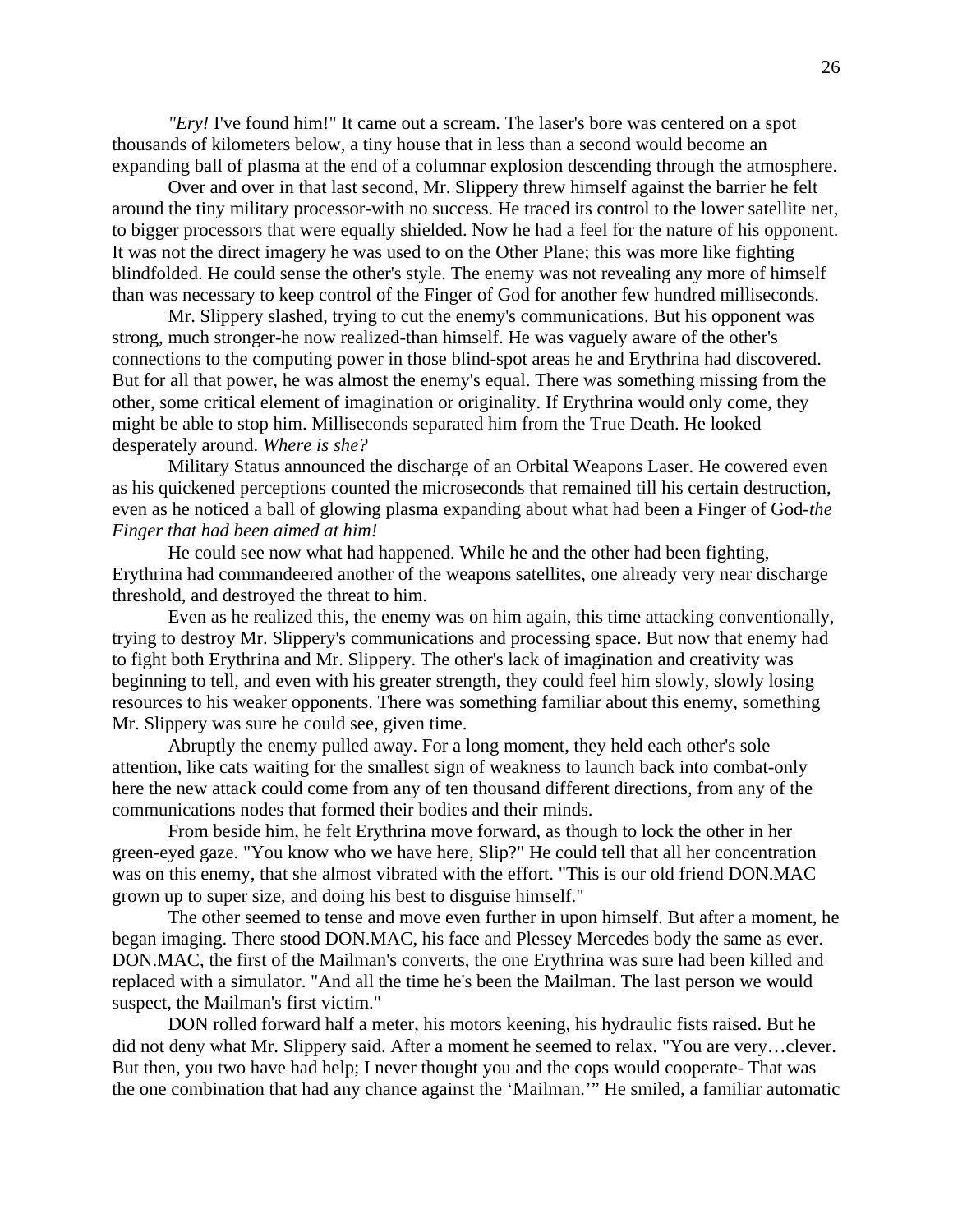*"Ery!* I've found him!" It came out a scream. The laser's bore was centered on a spot thousands of kilometers below, a tiny house that in less than a second would become an expanding ball of plasma at the end of a columnar explosion descending through the atmosphere.

Over and over in that last second, Mr. Slippery threw himself against the barrier he felt around the tiny military processor-with no success. He traced its control to the lower satellite net, to bigger processors that were equally shielded. Now he had a feel for the nature of his opponent. It was not the direct imagery he was used to on the Other Plane; this was more like fighting blindfolded. He could sense the other's style. The enemy was not revealing any more of himself than was necessary to keep control of the Finger of God for another few hundred milliseconds.

Mr. Slippery slashed, trying to cut the enemy's communications. But his opponent was strong, much stronger-he now realized-than himself. He was vaguely aware of the other's connections to the computing power in those blind-spot areas he and Erythrina had discovered. But for all that power, he was almost the enemy's equal. There was something missing from the other, some critical element of imagination or originality. If Erythrina would only come, they might be able to stop him. Milliseconds separated him from the True Death. He looked desperately around. *Where is she?* 

Military Status announced the discharge of an Orbital Weapons Laser. He cowered even as his quickened perceptions counted the microseconds that remained till his certain destruction, even as he noticed a ball of glowing plasma expanding about what had been a Finger of God*-the Finger that had been aimed at him!* 

He could see now what had happened. While he and the other had been fighting, Erythrina had commandeered another of the weapons satellites, one already very near discharge threshold, and destroyed the threat to him.

Even as he realized this, the enemy was on him again, this time attacking conventionally, trying to destroy Mr. Slippery's communications and processing space. But now that enemy had to fight both Erythrina and Mr. Slippery. The other's lack of imagination and creativity was beginning to tell, and even with his greater strength, they could feel him slowly, slowly losing resources to his weaker opponents. There was something familiar about this enemy, something Mr. Slippery was sure he could see, given time.

Abruptly the enemy pulled away. For a long moment, they held each other's sole attention, like cats waiting for the smallest sign of weakness to launch back into combat-only here the new attack could come from any of ten thousand different directions, from any of the communications nodes that formed their bodies and their minds.

From beside him*,* he felt Erythrina move forward, as though to lock the other in her green-eyed gaze. "You know who we have here, Slip?" He could tell that all her concentration was on this enemy, that she almost vibrated with the effort. "This is our old friend DON.MAC grown up to super size, and doing his best to disguise himself."

The other seemed to tense and move even further in upon himself. But after a moment, he began imaging. There stood DON.MAC, his face and Plessey Mercedes body the same as ever. DON.MAC, the first of the Mailman's converts, the one Erythrina was sure had been killed and replaced with a simulator. "And all the time he's been the Mailman. The last person we would suspect, the Mailman's first victim."

DON rolled forward half a meter, his motors keening, his hydraulic fists raised. But he did not deny what Mr. Slippery said. After a moment he seemed to relax. "You are very…clever. But then, you two have had help; I never thought you and the cops would cooperate- That was the one combination that had any chance against the 'Mailman.'" He smiled, a familiar automatic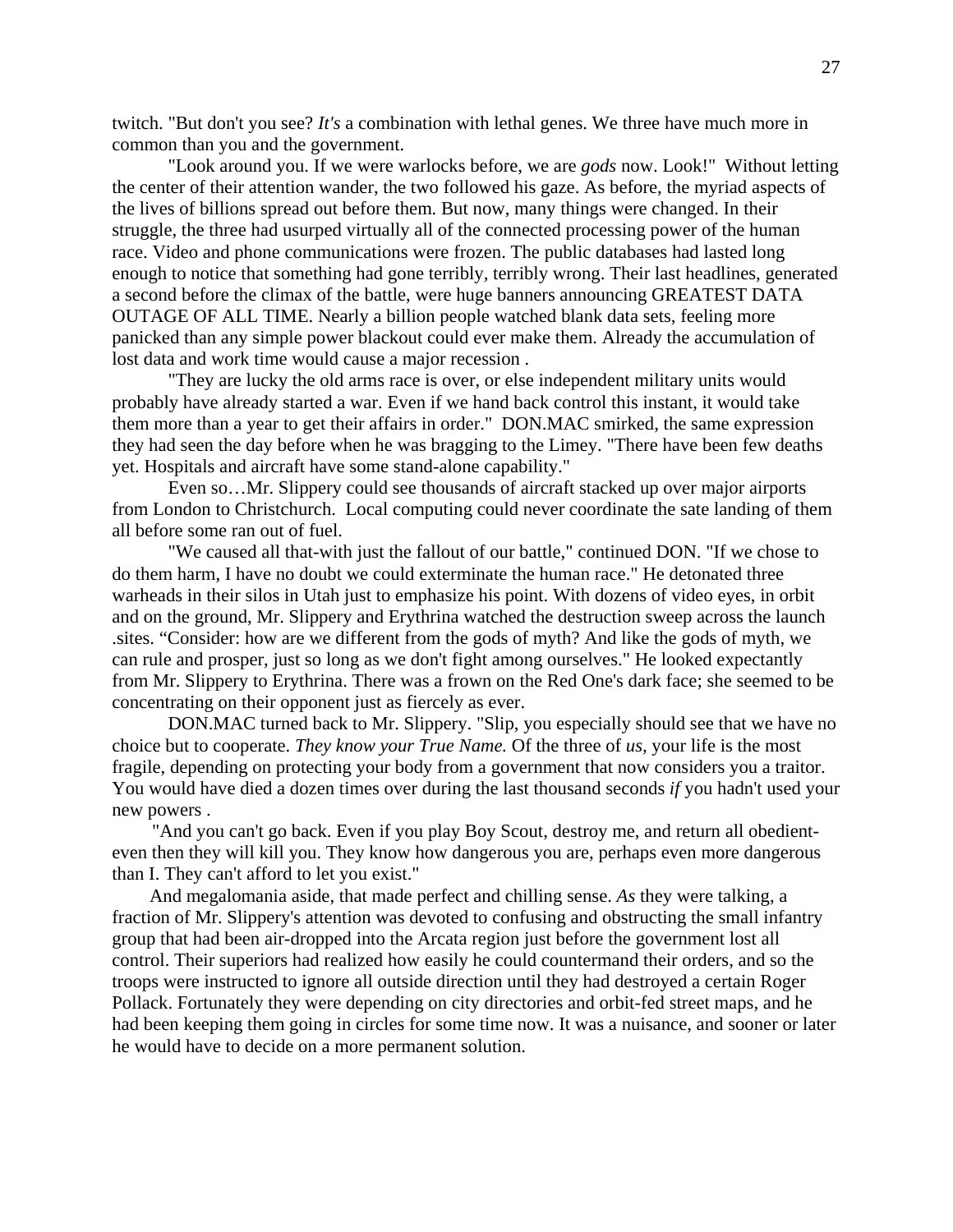twitch. "But don't you see? *It's* a combination with lethal genes. We three have much more in common than you and the government.

"Look around you. If we were warlocks before, we are *gods* now. Look!" Without letting the center of their attention wander, the two followed his gaze. As before, the myriad aspects of the lives of billions spread out before them. But now, many things were changed. In their struggle, the three had usurped virtually all of the connected processing power of the human race. Video and phone communications were frozen. The public databases had lasted long enough to notice that something had gone terribly, terribly wrong. Their last headlines, generated a second before the climax of the battle, were huge banners announcing GREATEST DATA OUTAGE OF ALL TIME. Nearly a billion people watched blank data sets, feeling more panicked than any simple power blackout could ever make them. Already the accumulation of lost data and work time would cause a major recession .

"They are lucky the old arms race is over, or else independent military units would probably have already started a war. Even if we hand back control this instant, it would take them more than a year to get their affairs in order." DON.MAC smirked, the same expression they had seen the day before when he was bragging to the Limey. "There have been few deaths yet. Hospitals and aircraft have some stand-alone capability."

Even so…Mr. Slippery could see thousands of aircraft stacked up over major airports from London to Christchurch. Local computing could never coordinate the sate landing of them all before some ran out of fuel.

"We caused all that-with just the fallout of our battle," continued DON. "If we chose to do them harm, I have no doubt we could exterminate the human race." He detonated three warheads in their silos in Utah just to emphasize his point. With dozens of video eyes, in orbit and on the ground, Mr. Slippery and Erythrina watched the destruction sweep across the launch .sites. "Consider: how are we different from the gods of myth? And like the gods of myth, we can rule and prosper, just so long as we don't fight among ourselves." He looked expectantly from Mr. Slippery to Erythrina. There was a frown on the Red One's dark face; she seemed to be concentrating on their opponent just as fiercely as ever.

DON.MAC turned back to Mr. Slippery. "Slip, you especially should see that we have no choice but to cooperate. *They know your True Name.* Of the three of *us,* your life is the most fragile, depending on protecting your body from a government that now considers you a traitor. You would have died a dozen times over during the last thousand seconds *if* you hadn't used your new powers .

"And you can't go back. Even if you play Boy Scout, destroy me, and return all obedienteven then they will kill you. They know how dangerous you are, perhaps even more dangerous than I. They can't afford to let you exist."

And megalomania aside, that made perfect and chilling sense. *As* they were talking, a fraction of Mr. Slippery's attention was devoted to confusing and obstructing the small infantry group that had been air-dropped into the Arcata region just before the government lost all control. Their superiors had realized how easily he could countermand their orders, and so the troops were instructed to ignore all outside direction until they had destroyed a certain Roger Pollack. Fortunately they were depending on city directories and orbit-fed street maps, and he had been keeping them going in circles for some time now. It was a nuisance, and sooner or later he would have to decide on a more permanent solution.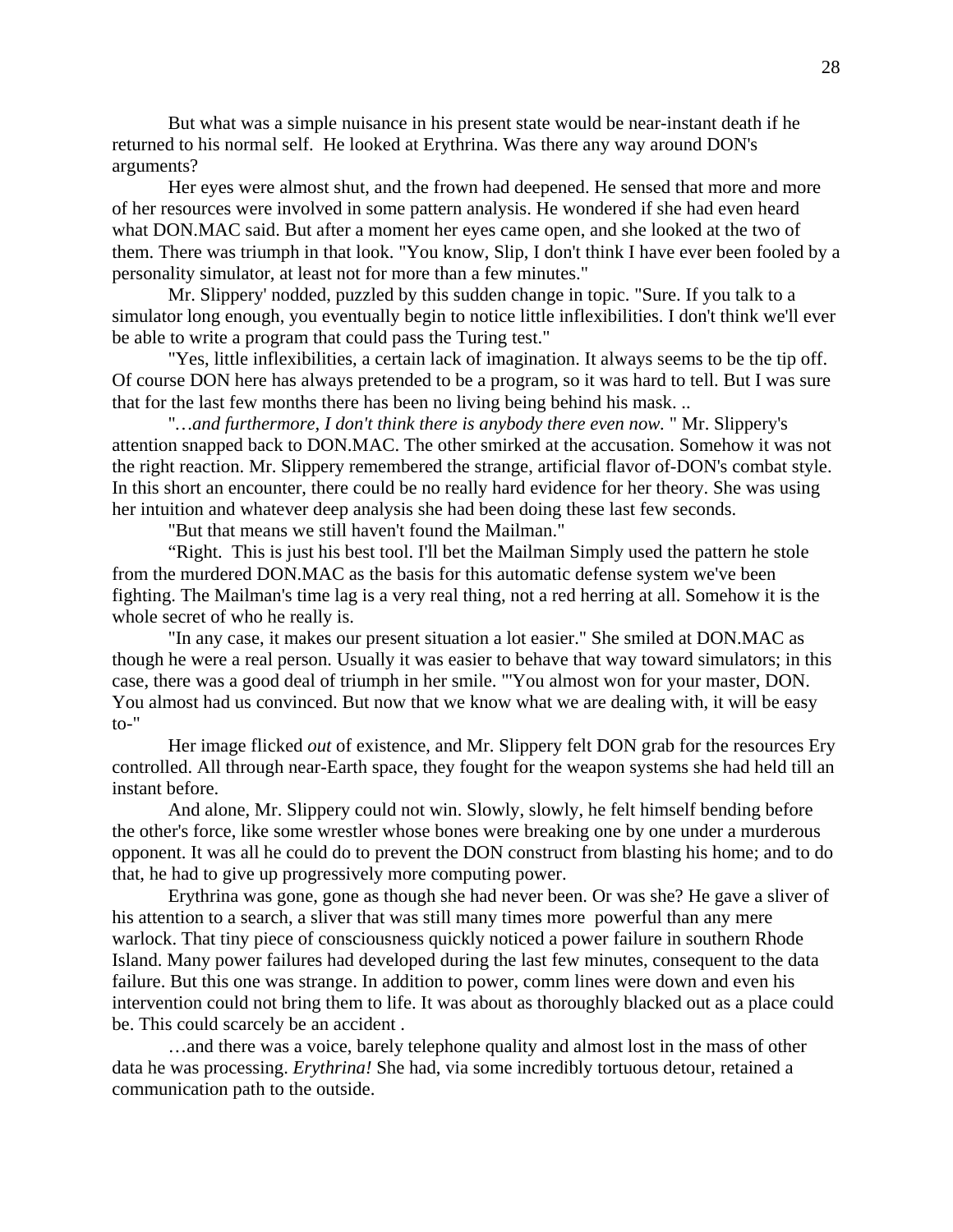But what was a simple nuisance in his present state would be near-instant death if he returned to his normal self. He looked at Erythrina. Was there any way around DON's arguments?

Her eyes were almost shut, and the frown had deepened. He sensed that more and more of her resources were involved in some pattern analysis. He wondered if she had even heard what DON.MAC said. But after a moment her eyes came open, and she looked at the two of them. There was triumph in that look. "You know, Slip, I don't think I have ever been fooled by a personality simulator, at least not for more than a few minutes."

Mr. Slippery' nodded, puzzled by this sudden change in topic. "Sure. If you talk to a simulator long enough, you eventually begin to notice little inflexibilities. I don't think we'll ever be able to write a program that could pass the Turing test."

"Yes, little inflexibilities, a certain lack of imagination. It always seems to be the tip off. Of course DON here has always pretended to be a program, so it was hard to tell. But I was sure that for the last few months there has been no living being behind his mask. ..

"*…and furthermore, I don't think there is anybody there even now.* " Mr. Slippery's attention snapped back to DON.MAC. The other smirked at the accusation. Somehow it was not the right reaction. Mr. Slippery remembered the strange, artificial flavor of-DON's combat style. In this short an encounter, there could be no really hard evidence for her theory. She was using her intuition and whatever deep analysis she had been doing these last few seconds.

"But that means we still haven't found the Mailman."

"Right. This is just his best tool. I'll bet the Mailman Simply used the pattern he stole from the murdered DON.MAC as the basis for this automatic defense system we've been fighting. The Mailman's time lag is a very real thing, not a red herring at all. Somehow it is the whole secret of who he really is.

"In any case, it makes our present situation a lot easier." She smiled at DON.MAC as though he were a real person. Usually it was easier to behave that way toward simulators; in this case, there was a good deal of triumph in her smile. "'You almost won for your master, DON. You almost had us convinced. But now that we know what we are dealing with, it will be easy to-"

Her image flicked *out* of existence, and Mr. Slippery felt DON grab for the resources Ery controlled. All through near-Earth space, they fought for the weapon systems she had held till an instant before.

And alone, Mr. Slippery could not win. Slowly, slowly, he felt himself bending before the other's force, like some wrestler whose bones were breaking one by one under a murderous opponent. It was all he could do to prevent the DON construct from blasting his home; and to do that, he had to give up progressively more computing power.

Erythrina was gone, gone as though she had never been. Or was she? He gave a sliver of his attention to a search, a sliver that was still many times more powerful than any mere warlock. That tiny piece of consciousness quickly noticed a power failure in southern Rhode Island. Many power failures had developed during the last few minutes, consequent to the data failure. But this one was strange. In addition to power, comm lines were down and even his intervention could not bring them to life. It was about as thoroughly blacked out as a place could be. This could scarcely be an accident .

…and there was a voice, barely telephone quality and almost lost in the mass of other data he was processing. *Erythrina!* She had, via some incredibly tortuous detour, retained a communication path to the outside.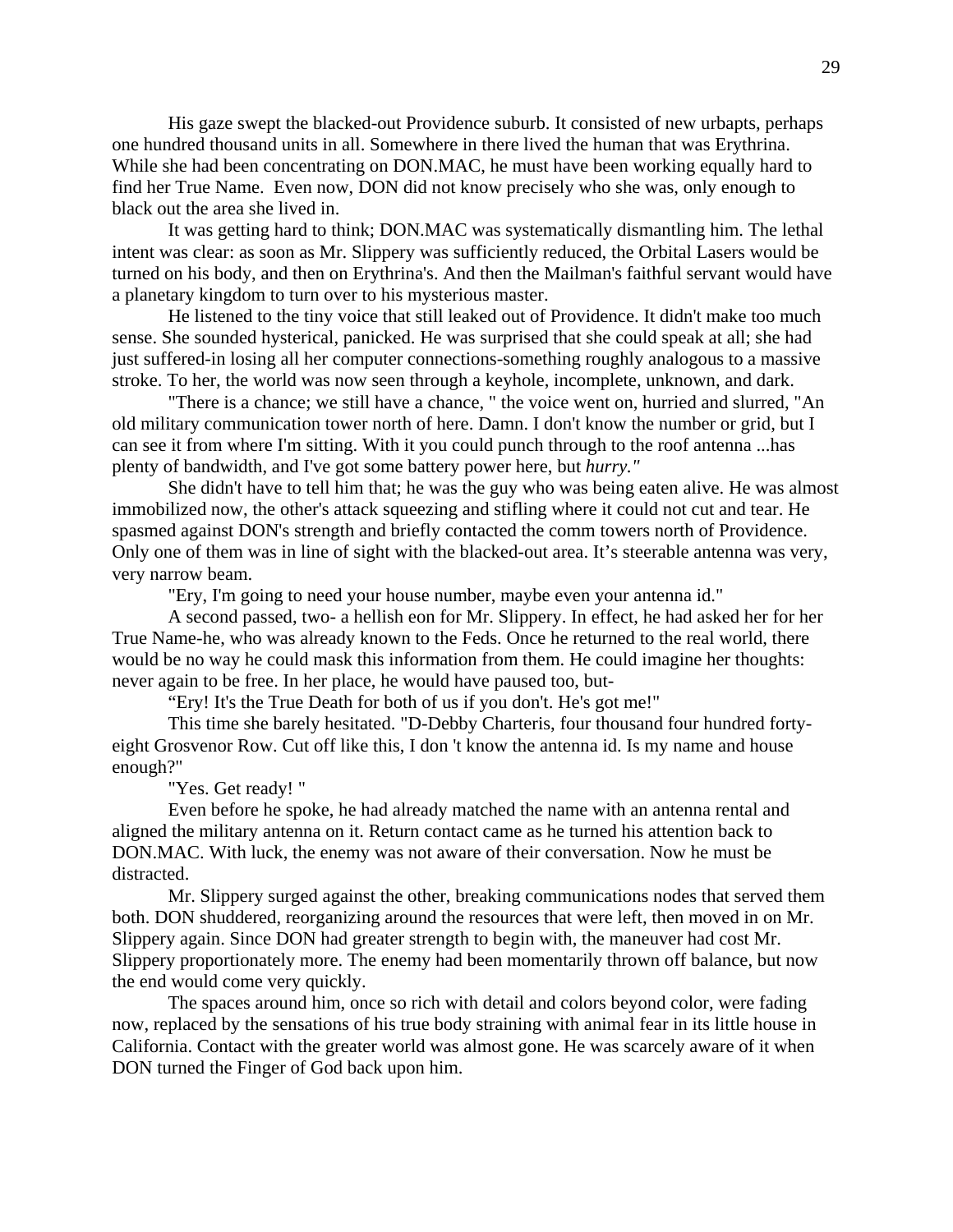His gaze swept the blacked-out Providence suburb. It consisted of new urbapts, perhaps one hundred thousand units in all. Somewhere in there lived the human that was Erythrina. While she had been concentrating on DON.MAC, he must have been working equally hard to find her True Name. Even now, DON did not know precisely who she was, only enough to black out the area she lived in.

It was getting hard to think; DON.MAC was systematically dismantling him. The lethal intent was clear: as soon as Mr. Slippery was sufficiently reduced, the Orbital Lasers would be turned on his body, and then on Erythrina's. And then the Mailman's faithful servant would have a planetary kingdom to turn over to his mysterious master.

He listened to the tiny voice that still leaked out of Providence. It didn't make too much sense. She sounded hysterical, panicked. He was surprised that she could speak at all; she had just suffered-in losing all her computer connections-something roughly analogous to a massive stroke. To her, the world was now seen through a keyhole, incomplete, unknown, and dark.

"There is a chance; we still have a chance, " the voice went on, hurried and slurred, "An old military communication tower north of here. Damn. I don't know the number or grid, but I can see it from where I'm sitting. With it you could punch through to the roof antenna ...has plenty of bandwidth, and I've got some battery power here, but *hurry."* 

She didn't have to tell him that; he was the guy who was being eaten alive. He was almost immobilized now, the other's attack squeezing and stifling where it could not cut and tear. He spasmed against DON's strength and briefly contacted the comm towers north of Providence. Only one of them was in line of sight with the blacked-out area. It's steerable antenna was very, very narrow beam.

"Ery, I'm going to need your house number, maybe even your antenna id."

A second passed, two- a hellish eon for Mr. Slippery. In effect, he had asked her for her True Name-he, who was already known to the Feds. Once he returned to the real world, there would be no way he could mask this information from them. He could imagine her thoughts: never again to be free. In her place, he would have paused too, but-

"Ery! It's the True Death for both of us if you don't. He's got me!"

This time she barely hesitated. "D-Debby Charteris, four thousand four hundred fortyeight Grosvenor Row. Cut off like this, I don 't know the antenna id. Is my name and house enough?"

"Yes. Get ready! "

Even before he spoke, he had already matched the name with an antenna rental and aligned the military antenna on it. Return contact came as he turned his attention back to DON.MAC. With luck, the enemy was not aware of their conversation. Now he must be distracted.

Mr. Slippery surged against the other, breaking communications nodes that served them both. DON shuddered, reorganizing around the resources that were left, then moved in on Mr. Slippery again. Since DON had greater strength to begin with, the maneuver had cost Mr. Slippery proportionately more. The enemy had been momentarily thrown off balance, but now the end would come very quickly.

The spaces around him, once so rich with detail and colors beyond color, were fading now, replaced by the sensations of his true body straining with animal fear in its little house in California. Contact with the greater world was almost gone. He was scarcely aware of it when DON turned the Finger of God back upon him.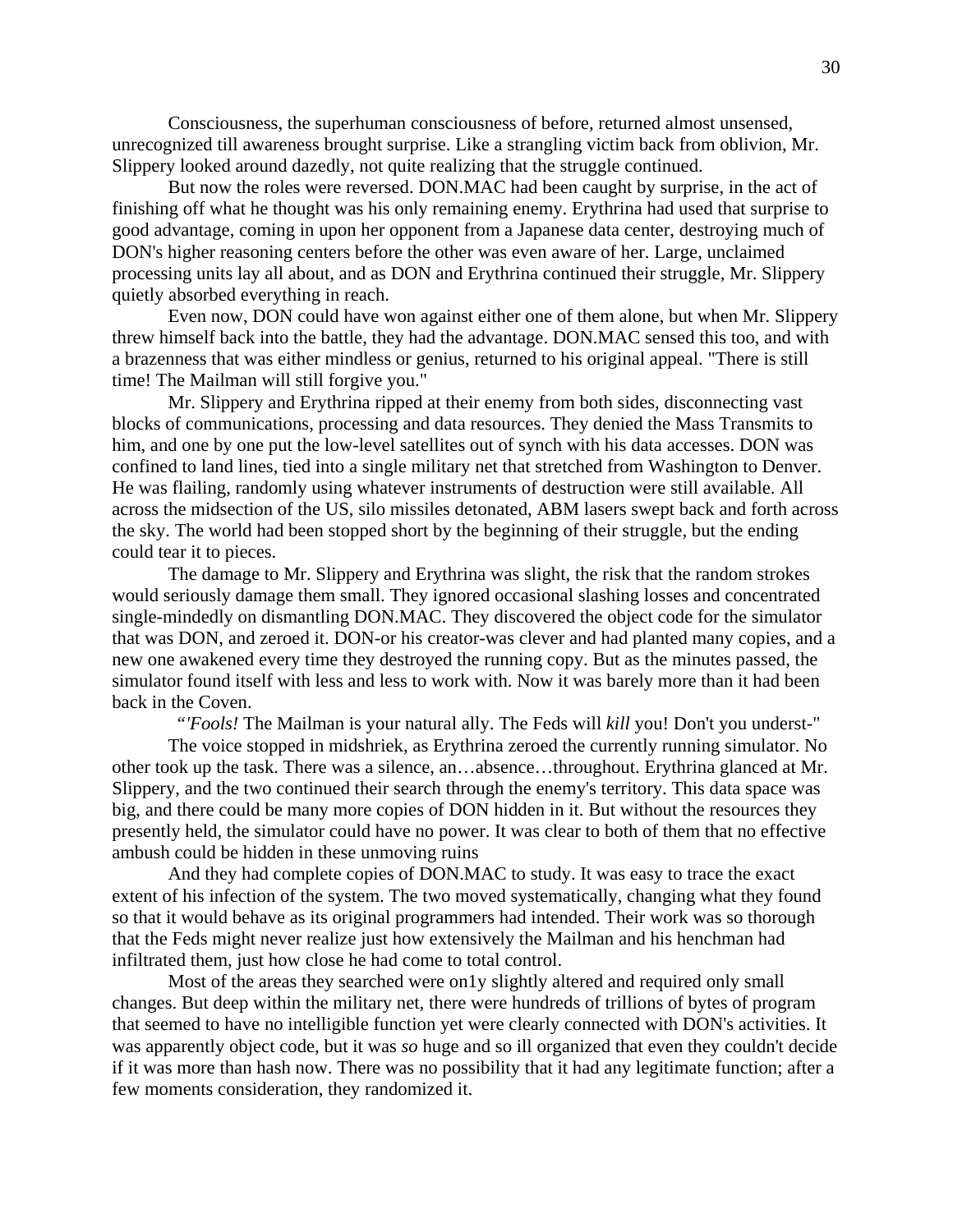Consciousness, the superhuman consciousness of before, returned almost unsensed, unrecognized till awareness brought surprise. Like a strangling victim back from oblivion, Mr. Slippery looked around dazedly, not quite realizing that the struggle continued.

But now the roles were reversed. DON.MAC had been caught by surprise, in the act of finishing off what he thought was his only remaining enemy. Erythrina had used that surprise to good advantage, coming in upon her opponent from a Japanese data center, destroying much of DON's higher reasoning centers before the other was even aware of her. Large, unclaimed processing units lay all about, and as DON and Erythrina continued their struggle, Mr. Slippery quietly absorbed everything in reach.

Even now, DON could have won against either one of them alone, but when Mr. Slippery threw himself back into the battle, they had the advantage. DON.MAC sensed this too, and with a brazenness that was either mindless or genius, returned to his original appeal. "There is still time! The Mailman will still forgive you."

Mr. Slippery and Erythrina ripped at their enemy from both sides, disconnecting vast blocks of communications, processing and data resources. They denied the Mass Transmits to him, and one by one put the low-level satellites out of synch with his data accesses. DON was confined to land lines, tied into a single military net that stretched from Washington to Denver. He was flailing, randomly using whatever instruments of destruction were still available. All across the midsection of the US, silo missiles detonated, ABM lasers swept back and forth across the sky. The world had been stopped short by the beginning of their struggle, but the ending could tear it to pieces.

The damage to Mr. Slippery and Erythrina was slight, the risk that the random strokes would seriously damage them small. They ignored occasional slashing losses and concentrated single-mindedly on dismantling DON.MAC. They discovered the object code for the simulator that was DON, and zeroed it. DON-or his creator-was clever and had planted many copies, and a new one awakened every time they destroyed the running copy. But as the minutes passed, the simulator found itself with less and less to work with. Now it was barely more than it had been back in the Coven.

*"'Fools!* The Mailman is your natural ally. The Feds will *kill* you! Don't you underst-"

The voice stopped in midshriek, as Erythrina zeroed the currently running simulator. No other took up the task. There was a silence, an…absence…throughout. Erythrina glanced at Mr. Slippery, and the two continued their search through the enemy's territory. This data space was big, and there could be many more copies of DON hidden in it. But without the resources they presently held, the simulator could have no power. It was clear to both of them that no effective ambush could be hidden in these unmoving ruins

And they had complete copies of DON.MAC to study. It was easy to trace the exact extent of his infection of the system. The two moved systematically, changing what they found so that it would behave as its original programmers had intended. Their work was so thorough that the Feds might never realize just how extensively the Mailman and his henchman had infiltrated them, just how close he had come to total control.

Most of the areas they searched were on1y slightly altered and required only small changes. But deep within the military net, there were hundreds of trillions of bytes of program that seemed to have no intelligible function yet were clearly connected with DON's activities. It was apparently object code, but it was *so* huge and so ill organized that even they couldn't decide if it was more than hash now. There was no possibility that it had any legitimate function; after a few moments consideration, they randomized it.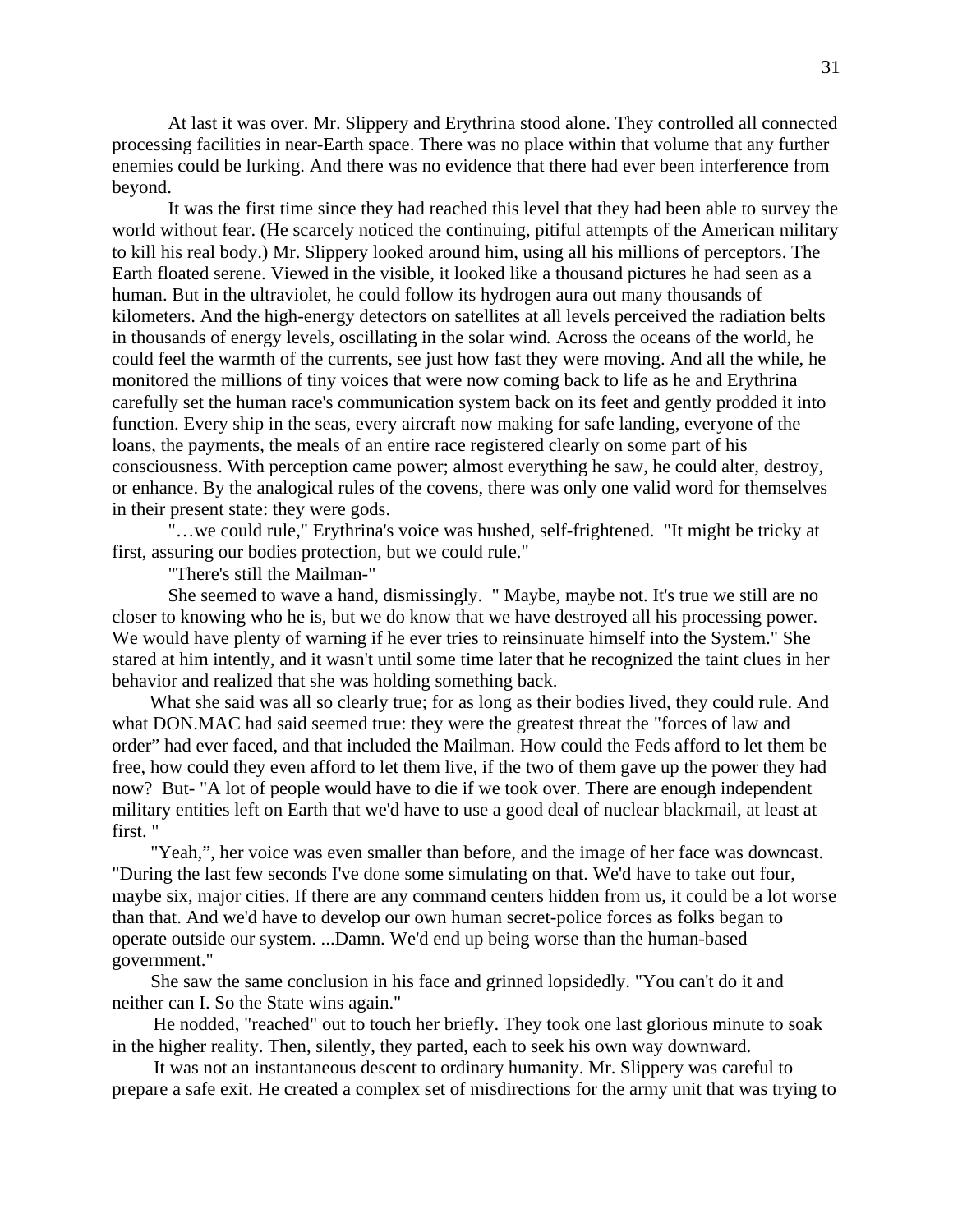At last it was over. Mr. Slippery and Erythrina stood alone. They controlled all connected processing facilities in near-Earth space. There was no place within that volume that any further enemies could be lurking. And there was no evidence that there had ever been interference from beyond.

It was the first time since they had reached this level that they had been able to survey the world without fear. (He scarcely noticed the continuing, pitiful attempts of the American military to kill his real body.) Mr. Slippery looked around him, using all his millions of perceptors. The Earth floated serene. Viewed in the visible, it looked like a thousand pictures he had seen as a human. But in the ultraviolet, he could follow its hydrogen aura out many thousands of kilometers. And the high-energy detectors on satellites at all levels perceived the radiation belts in thousands of energy levels, oscillating in the solar wind*.* Across the oceans of the world, he could feel the warmth of the currents, see just how fast they were moving. And all the while, he monitored the millions of tiny voices that were now coming back to life as he and Erythrina carefully set the human race's communication system back on its feet and gently prodded it into function. Every ship in the seas, every aircraft now making for safe landing, everyone of the loans, the payments, the meals of an entire race registered clearly on some part of his consciousness. With perception came power; almost everything he saw, he could alter, destroy, or enhance. By the analogical rules of the covens, there was only one valid word for themselves in their present state: they were gods.

"…we could rule," Erythrina's voice was hushed, self-frightened. "It might be tricky at first, assuring our bodies protection, but we could rule."

"There's still the Mailman-"

She seemed to wave a hand, dismissingly. " Maybe, maybe not. It's true we still are no closer to knowing who he is, but we do know that we have destroyed all his processing power. We would have plenty of warning if he ever tries to reinsinuate himself into the System." She stared at him intently, and it wasn't until some time later that he recognized the taint clues in her behavior and realized that she was holding something back.

What she said was all so clearly true; for as long as their bodies lived, they could rule. And what DON.MAC had said seemed true: they were the greatest threat the "forces of law and order" had ever faced, and that included the Mailman. How could the Feds afford to let them be free, how could they even afford to let them live*,* if the two of them gave up the power they had now? But- "A lot of people would have to die if we took over. There are enough independent military entities left on Earth that we'd have to use a good deal of nuclear blackmail, at least at first. "

"Yeah,", her voice was even smaller than before, and the image of her face was downcast. "During the last few seconds I've done some simulating on that. We'd have to take out four, maybe six, major cities. If there are any command centers hidden from us, it could be a lot worse than that. And we'd have to develop our own human secret-police forces as folks began to operate outside our system. ...Damn. We'd end up being worse than the human-based government."

She saw the same conclusion in his face and grinned lopsidedly. "You can't do it and neither can I. So the State wins again."

He nodded, "reached" out to touch her briefly. They took one last glorious minute to soak in the higher reality. Then, silently, they parted, each to seek his own way downward.

It was not an instantaneous descent to ordinary humanity. Mr. Slippery was careful to prepare a safe exit. He created a complex set of misdirections for the army unit that was trying to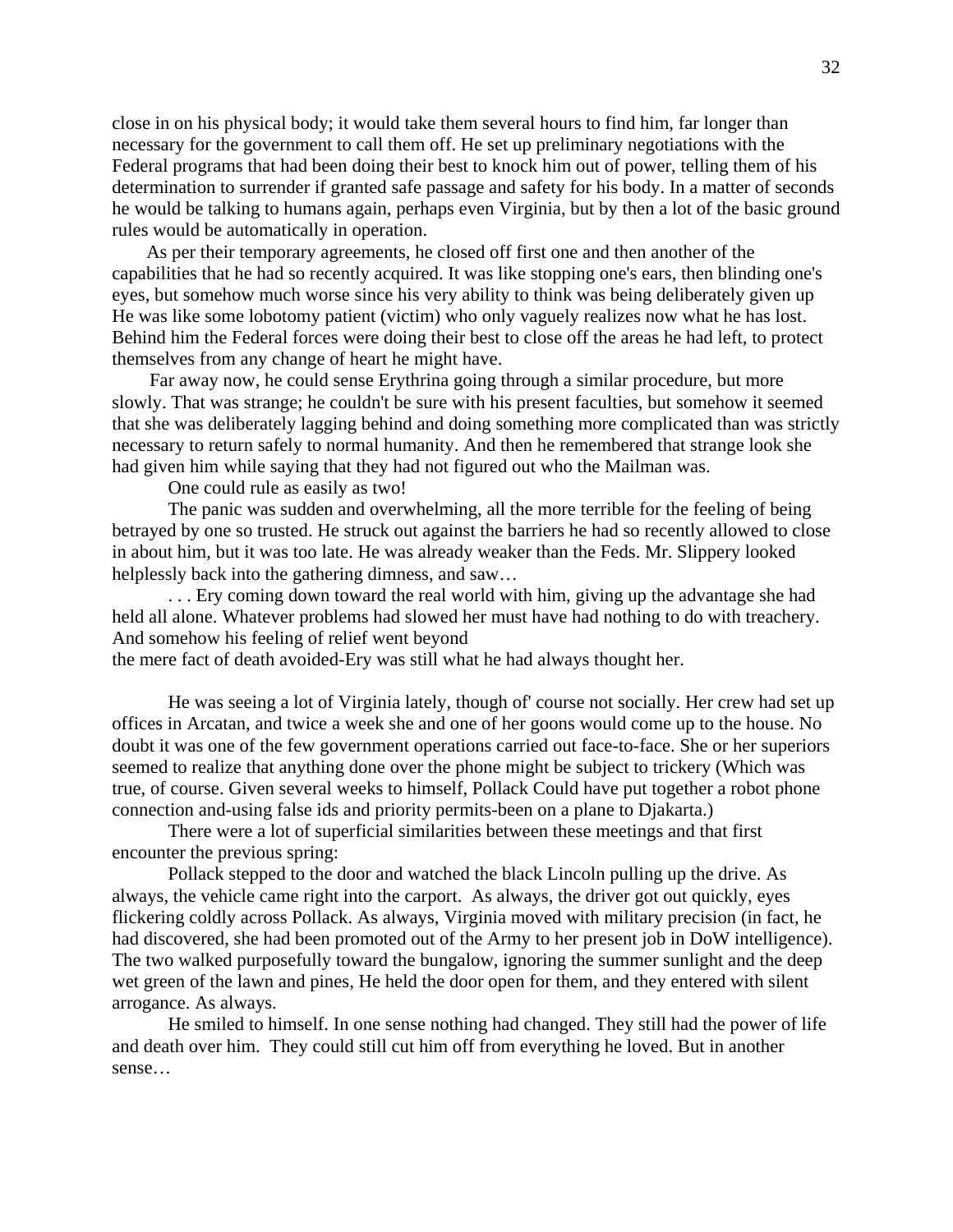close in on his physical body; it would take them several hours to find him, far longer than necessary for the government to call them off. He set up preliminary negotiations with the Federal programs that had been doing their best to knock him out of power, telling them of his determination to surrender if granted safe passage and safety for his body. In a matter of seconds he would be talking to humans again, perhaps even Virginia, but by then a lot of the basic ground rules would be automatically in operation.

As per their temporary agreements, he closed off first one and then another of the capabilities that he had so recently acquired. It was like stopping one's ears, then blinding one's eyes, but somehow much worse since his very ability to think was being deliberately given up He was like some lobotomy patient (victim) who only vaguely realizes now what he has lost. Behind him the Federal forces were doing their best to close off the areas he had left, to protect themselves from any change of heart he might have.

Far away now, he could sense Erythrina going through a similar procedure, but more slowly. That was strange; he couldn't be sure with his present faculties, but somehow it seemed that she was deliberately lagging behind and doing something more complicated than was strictly necessary to return safely to normal humanity. And then he remembered that strange look she had given him while saying that they had not figured out who the Mailman was.

One could rule as easily as two!

The panic was sudden and overwhelming, all the more terrible for the feeling of being betrayed by one so trusted. He struck out against the barriers he had so recently allowed to close in about him, but it was too late. He was already weaker than the Feds. Mr. Slippery looked helplessly back into the gathering dimness, and saw…

. . . Ery coming down toward the real world with him, giving up the advantage she had held all alone. Whatever problems had slowed her must have had nothing to do with treachery. And somehow his feeling of relief went beyond

the mere fact of death avoided-Ery was still what he had always thought her.

He was seeing a lot of Virginia lately, though of' course not socially. Her crew had set up offices in Arcatan, and twice a week she and one of her goons would come up to the house. No doubt it was one of the few government operations carried out face-to-face. She or her superiors seemed to realize that anything done over the phone might be subject to trickery (Which was true, of course. Given several weeks to himself, Pollack Could have put together a robot phone connection and-using false ids and priority permits-been on a plane to Djakarta.)

There were a lot of superficial similarities between these meetings and that first encounter the previous spring:

Pollack stepped to the door and watched the black Lincoln pulling up the drive. As always, the vehicle came right into the carport. As always, the driver got out quickly, eyes flickering coldly across Pollack. As always, Virginia moved with military precision (in fact, he had discovered, she had been promoted out of the Army to her present job in DoW intelligence). The two walked purposefully toward the bungalow, ignoring the summer sunlight and the deep wet green of the lawn and pines, He held the door open for them, and they entered with silent arrogance. As always.

He smiled to himself. In one sense nothing had changed. They still had the power of life and death over him. They could still cut him off from everything he loved. But in another sense…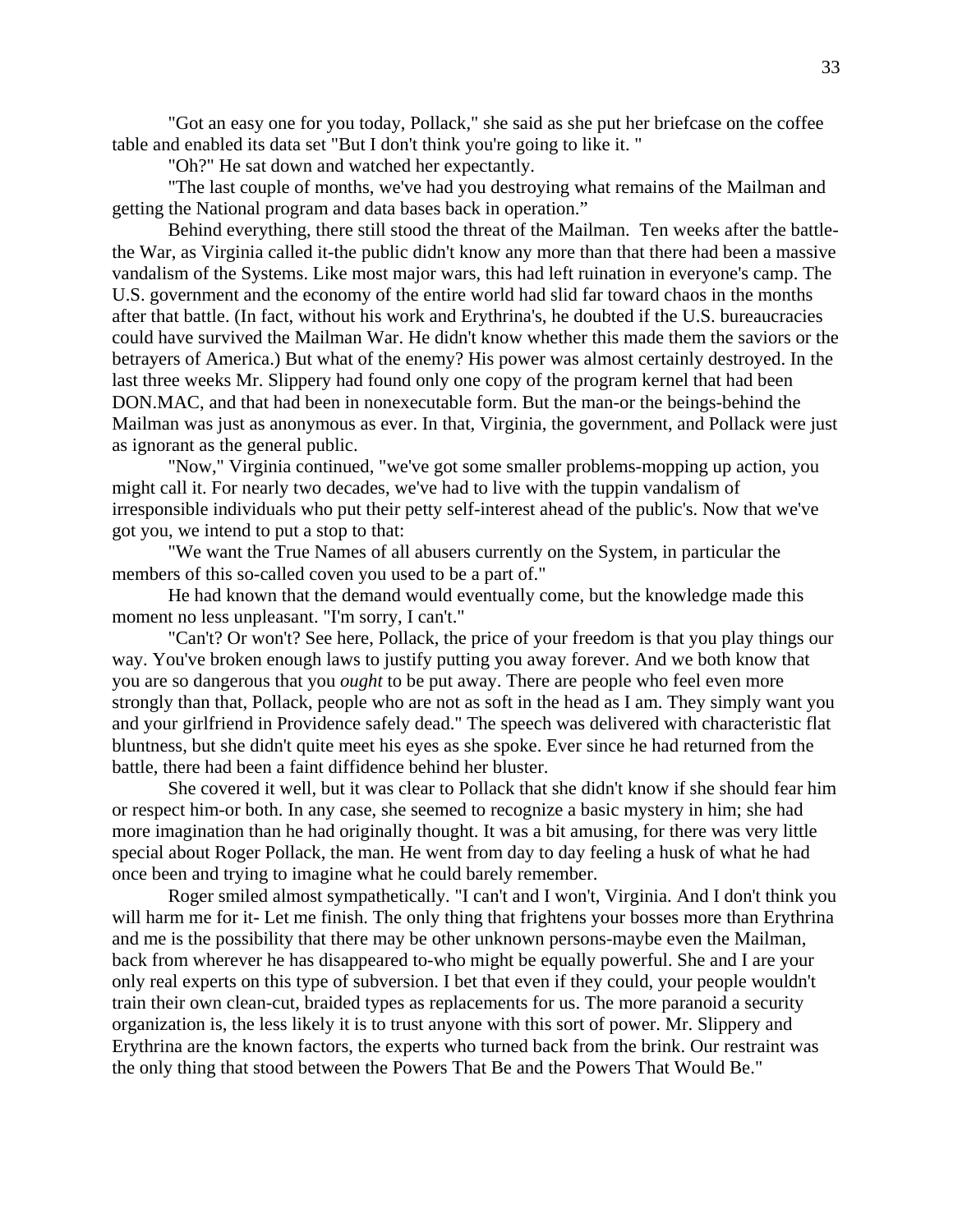"Got an easy one for you today, Pollack," she said as she put her briefcase on the coffee table and enabled its data set "But I don't think you're going to like it. "

"Oh?" He sat down and watched her expectantly.

"The last couple of months, we've had you destroying what remains of the Mailman and getting the National program and data bases back in operation."

Behind everything, there still stood the threat of the Mailman. Ten weeks after the battlethe War, as Virginia called it-the public didn't know any more than that there had been a massive vandalism of the Systems. Like most major wars, this had left ruination in everyone's camp. The U.S. government and the economy of the entire world had slid far toward chaos in the months after that battle. (In fact, without his work and Erythrina's, he doubted if the U.S. bureaucracies could have survived the Mailman War. He didn't know whether this made them the saviors or the betrayers of America.) But what of the enemy? His power was almost certainly destroyed. In the last three weeks Mr. Slippery had found only one copy of the program kernel that had been DON.MAC, and that had been in nonexecutable form. But the man-or the beings-behind the Mailman was just as anonymous as ever. In that, Virginia, the government, and Pollack were just as ignorant as the general public.

"Now," Virginia continued, "we've got some smaller problems-mopping up action, you might call it. For nearly two decades, we've had to live with the tuppin vandalism of irresponsible individuals who put their petty self-interest ahead of the public's. Now that we've got you, we intend to put a stop to that:

"We want the True Names of all abusers currently on the System, in particular the members of this so-called coven you used to be a part of."

He had known that the demand would eventually come, but the knowledge made this moment no less unpleasant. "I'm sorry, I can't."

"Can't? Or won't? See here, Pollack, the price of your freedom is that you play things our way. You've broken enough laws to justify putting you away forever. And we both know that you are so dangerous that you *ought* to be put away. There are people who feel even more strongly than that, Pollack, people who are not as soft in the head as I am. They simply want you and your girlfriend in Providence safely dead." The speech was delivered with characteristic flat bluntness, but she didn't quite meet his eyes as she spoke. Ever since he had returned from the battle, there had been a faint diffidence behind her bluster.

She covered it well, but it was clear to Pollack that she didn't know if she should fear him or respect him-or both. In any case, she seemed to recognize a basic mystery in him; she had more imagination than he had originally thought. It was a bit amusing, for there was very little special about Roger Pollack, the man. He went from day to day feeling a husk of what he had once been and trying to imagine what he could barely remember.

Roger smiled almost sympathetically. "I can't and I won't, Virginia. And I don't think you will harm me for it- Let me finish. The only thing that frightens your bosses more than Erythrina and me is the possibility that there may be other unknown persons-maybe even the Mailman, back from wherever he has disappeared to-who might be equally powerful. She and I are your only real experts on this type of subversion. I bet that even if they could, your people wouldn't train their own clean-cut, braided types as replacements for us. The more paranoid a security organization is, the less likely it is to trust anyone with this sort of power. Mr. Slippery and Erythrina are the known factors, the experts who turned back from the brink. Our restraint was the only thing that stood between the Powers That Be and the Powers That Would Be."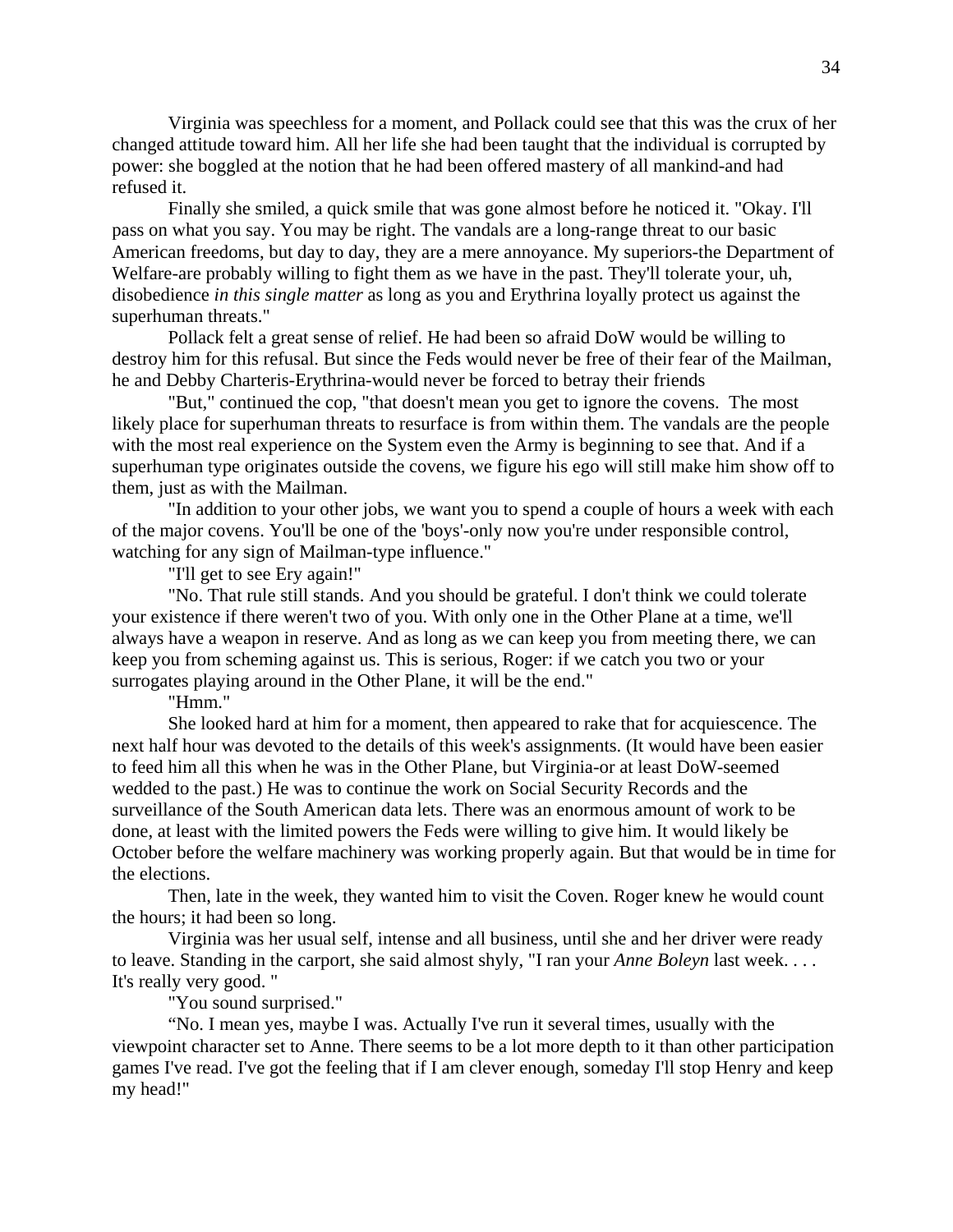Virginia was speechless for a moment, and Pollack could see that this was the crux of her changed attitude toward him. All her life she had been taught that the individual is corrupted by power: she boggled at the notion that he had been offered mastery of all mankind-and had refused it.

Finally she smiled, a quick smile that was gone almost before he noticed it. "Okay. I'll pass on what you say. You may be right. The vandals are a long-range threat to our basic American freedoms, but day to day, they are a mere annoyance. My superiors-the Department of Welfare-are probably willing to fight them as we have in the past. They'll tolerate your, uh, disobedience *in this single matter* as long as you and Erythrina loyally protect us against the superhuman threats."

Pollack felt a great sense of relief. He had been so afraid DoW would be willing to destroy him for this refusal. But since the Feds would never be free of their fear of the Mailman, he and Debby Charteris-Erythrina-would never be forced to betray their friends

"But," continued the cop, "that doesn't mean you get to ignore the covens. The most likely place for superhuman threats to resurface is from within them. The vandals are the people with the most real experience on the System even the Army is beginning to see that. And if a superhuman type originates outside the covens, we figure his ego will still make him show off to them, just as with the Mailman.

"In addition to your other jobs, we want you to spend a couple of hours a week with each of the major covens. You'll be one of the 'boys'-only now you're under responsible control, watching for any sign of Mailman-type influence."

"I'll get to see Ery again!"

"No. That rule still stands. And you should be grateful. I don't think we could tolerate your existence if there weren't two of you. With only one in the Other Plane at a time, we'll always have a weapon in reserve. And as long as we can keep you from meeting there, we can keep you from scheming against us. This is serious, Roger: if we catch you two or your surrogates playing around in the Other Plane, it will be the end."

"Hmm."

She looked hard at him for a moment, then appeared to rake that for acquiescence. The next half hour was devoted to the details of this week's assignments. (It would have been easier to feed him all this when he was in the Other Plane, but Virginia-or at least DoW-seemed wedded to the past.) He was to continue the work on Social Security Records and the surveillance of the South American data lets. There was an enormous amount of work to be done, at least with the limited powers the Feds were willing to give him. It would likely be October before the welfare machinery was working properly again. But that would be in time for the elections.

Then, late in the week, they wanted him to visit the Coven. Roger knew he would count the hours; it had been so long.

Virginia was her usual self, intense and all business, until she and her driver were ready to leave. Standing in the carport, she said almost shyly, "I ran your *Anne Boleyn* last week. . . . It's really very good. "

"You sound surprised."

"No. I mean yes, maybe I was. Actually I've run it several times, usually with the viewpoint character set to Anne. There seems to be a lot more depth to it than other participation games I've read. I've got the feeling that if I am clever enough, someday I'll stop Henry and keep my head!"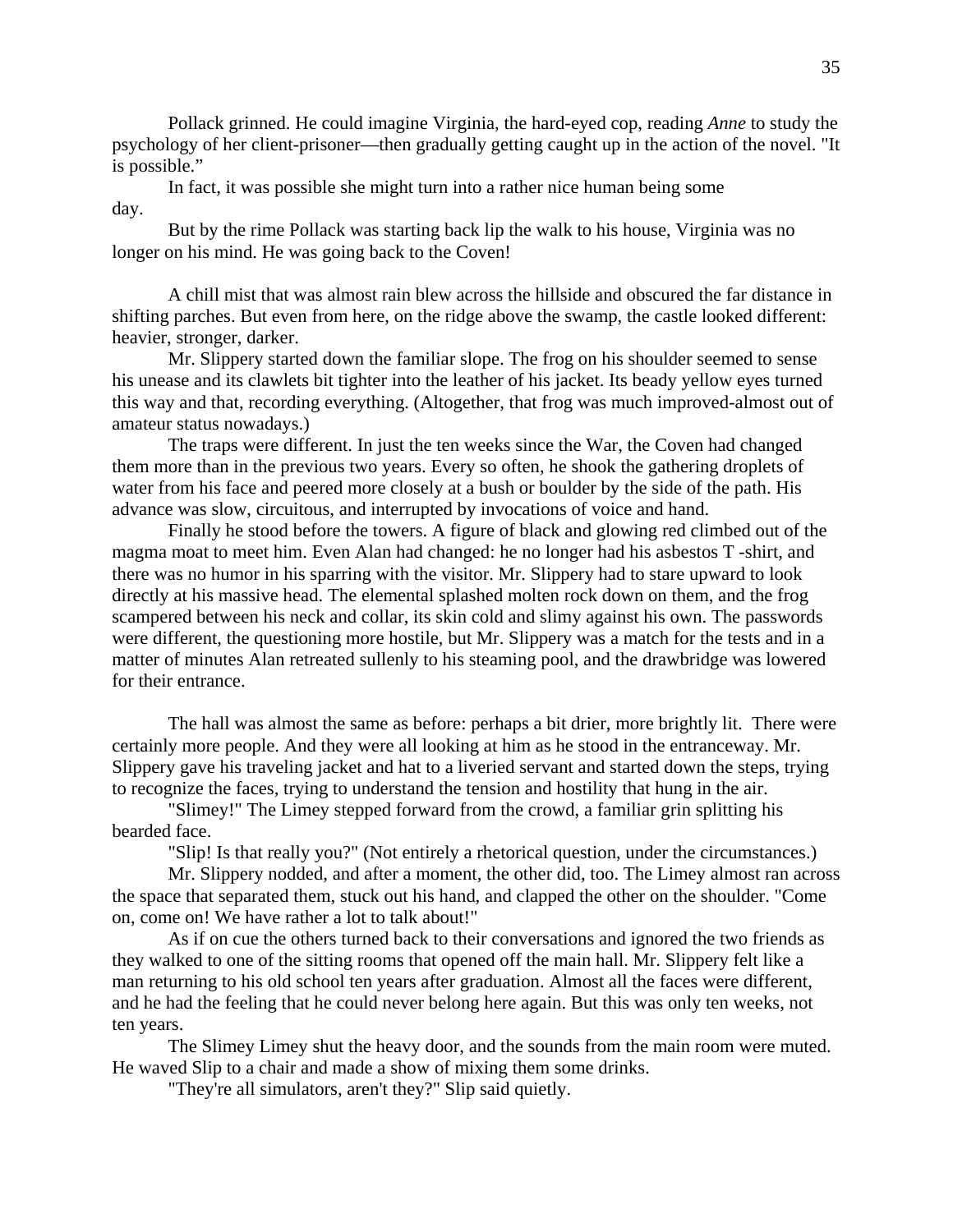Pollack grinned. He could imagine Virginia, the hard-eyed cop, reading *Anne* to study the psychology of her client-prisoner—then gradually getting caught up in the action of the novel. "It is possible."

In fact, it was possible she might turn into a rather nice human being some day.

But by the rime Pollack was starting back lip the walk to his house, Virginia was no longer on his mind. He was going back to the Coven!

A chill mist that was almost rain blew across the hillside and obscured the far distance in shifting parches. But even from here, on the ridge above the swamp, the castle looked different: heavier, stronger, darker.

Mr. Slippery started down the familiar slope. The frog on his shoulder seemed to sense his unease and its clawlets bit tighter into the leather of his jacket. Its beady yellow eyes turned this way and that, recording everything. (Altogether, that frog was much improved-almost out of amateur status nowadays.)

The traps were different. In just the ten weeks since the War, the Coven had changed them more than in the previous two years. Every so often, he shook the gathering droplets of water from his face and peered more closely at a bush or boulder by the side of the path. His advance was slow, circuitous, and interrupted by invocations of voice and hand.

Finally he stood before the towers. A figure of black and glowing red climbed out of the magma moat to meet him. Even Alan had changed: he no longer had his asbestos T -shirt, and there was no humor in his sparring with the visitor. Mr. Slippery had to stare upward to look directly at his massive head. The elemental splashed molten rock down on them, and the frog scampered between his neck and collar, its skin cold and slimy against his own. The passwords were different, the questioning more hostile, but Mr. Slippery was a match for the tests and in a matter of minutes Alan retreated sullenly to his steaming pool, and the drawbridge was lowered for their entrance.

The hall was almost the same as before: perhaps a bit drier, more brightly lit. There were certainly more people. And they were all looking at him as he stood in the entranceway. Mr. Slippery gave his traveling jacket and hat to a liveried servant and started down the steps, trying to recognize the faces, trying to understand the tension and hostility that hung in the air.

"Slimey!" The Limey stepped forward from the crowd, a familiar grin splitting his bearded face.

"Slip! Is that really you?" (Not entirely a rhetorical question, under the circumstances.)

Mr. Slippery nodded, and after a moment, the other did, too. The Limey almost ran across the space that separated them, stuck out his hand, and clapped the other on the shoulder. "Come on, come on! We have rather a lot to talk about!"

As if on cue the others turned back to their conversations and ignored the two friends as they walked to one of the sitting rooms that opened off the main hall. Mr. Slippery felt like a man returning to his old school ten years after graduation. Almost all the faces were different, and he had the feeling that he could never belong here again. But this was only ten weeks, not ten years.

The Slimey Limey shut the heavy door, and the sounds from the main room were muted. He waved Slip to a chair and made a show of mixing them some drinks.

"They're all simulators, aren't they?" Slip said quietly.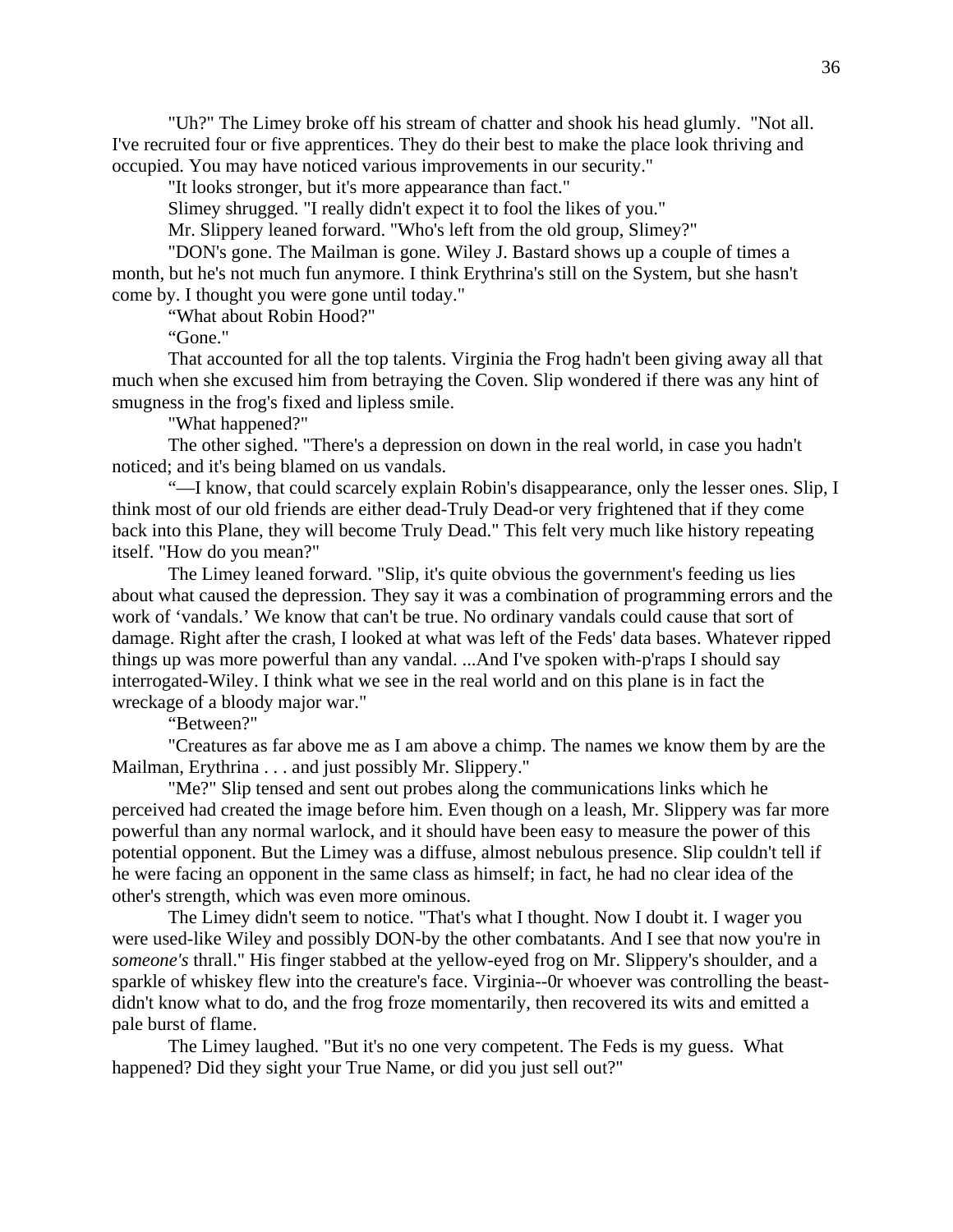"Uh?" The Limey broke off his stream of chatter and shook his head glumly. "Not all. I've recruited four or five apprentices. They do their best to make the place look thriving and occupied. You may have noticed various improvements in our security."

"It looks stronger, but it's more appearance than fact."

Slimey shrugged. "I really didn't expect it to fool the likes of you."

Mr. Slippery leaned forward. "Who's left from the old group, Slimey?"

"DON's gone. The Mailman is gone. Wiley J. Bastard shows up a couple of times a month, but he's not much fun anymore. I think Erythrina's still on the System, but she hasn't come by. I thought you were gone until today."

"What about Robin Hood?"

"Gone."

That accounted for all the top talents. Virginia the Frog hadn't been giving away all that much when she excused him from betraying the Coven. Slip wondered if there was any hint of smugness in the frog's fixed and lipless smile.

"What happened?"

The other sighed. "There's a depression on down in the real world, in case you hadn't noticed; and it's being blamed on us vandals.

"—I know, that could scarcely explain Robin's disappearance, only the lesser ones. Slip, I think most of our old friends are either dead-Truly Dead-or very frightened that if they come back into this Plane, they will become Truly Dead." This felt very much like history repeating itself. "How do you mean?"

The Limey leaned forward. "Slip, it's quite obvious the government's feeding us lies about what caused the depression. They say it was a combination of programming errors and the work of 'vandals.' We know that can't be true. No ordinary vandals could cause that sort of damage. Right after the crash, I looked at what was left of the Feds' data bases. Whatever ripped things up was more powerful than any vandal. ...And I've spoken with-p'raps I should say interrogated-Wiley. I think what we see in the real world and on this plane is in fact the wreckage of a bloody major war."

"Between?"

"Creatures as far above me as I am above a chimp. The names we know them by are the Mailman, Erythrina . . . and just possibly Mr. Slippery."

"Me?" Slip tensed and sent out probes along the communications links which he perceived had created the image before him. Even though on a leash, Mr. Slippery was far more powerful than any normal warlock, and it should have been easy to measure the power of this potential opponent. But the Limey was a diffuse, almost nebulous presence. Slip couldn't tell if he were facing an opponent in the same class as himself; in fact, he had no clear idea of the other's strength, which was even more ominous.

The Limey didn't seem to notice. "That's what I thought. Now I doubt it. I wager you were used-like Wiley and possibly DON-by the other combatants. And I see that now you're in *someone's* thrall." His finger stabbed at the yellow-eyed frog on Mr. Slippery's shoulder, and a sparkle of whiskey flew into the creature's face. Virginia--0r whoever was controlling the beastdidn't know what to do, and the frog froze momentarily, then recovered its wits and emitted a pale burst of flame.

The Limey laughed. "But it's no one very competent. The Feds is my guess. What happened? Did they sight your True Name, or did you just sell out?"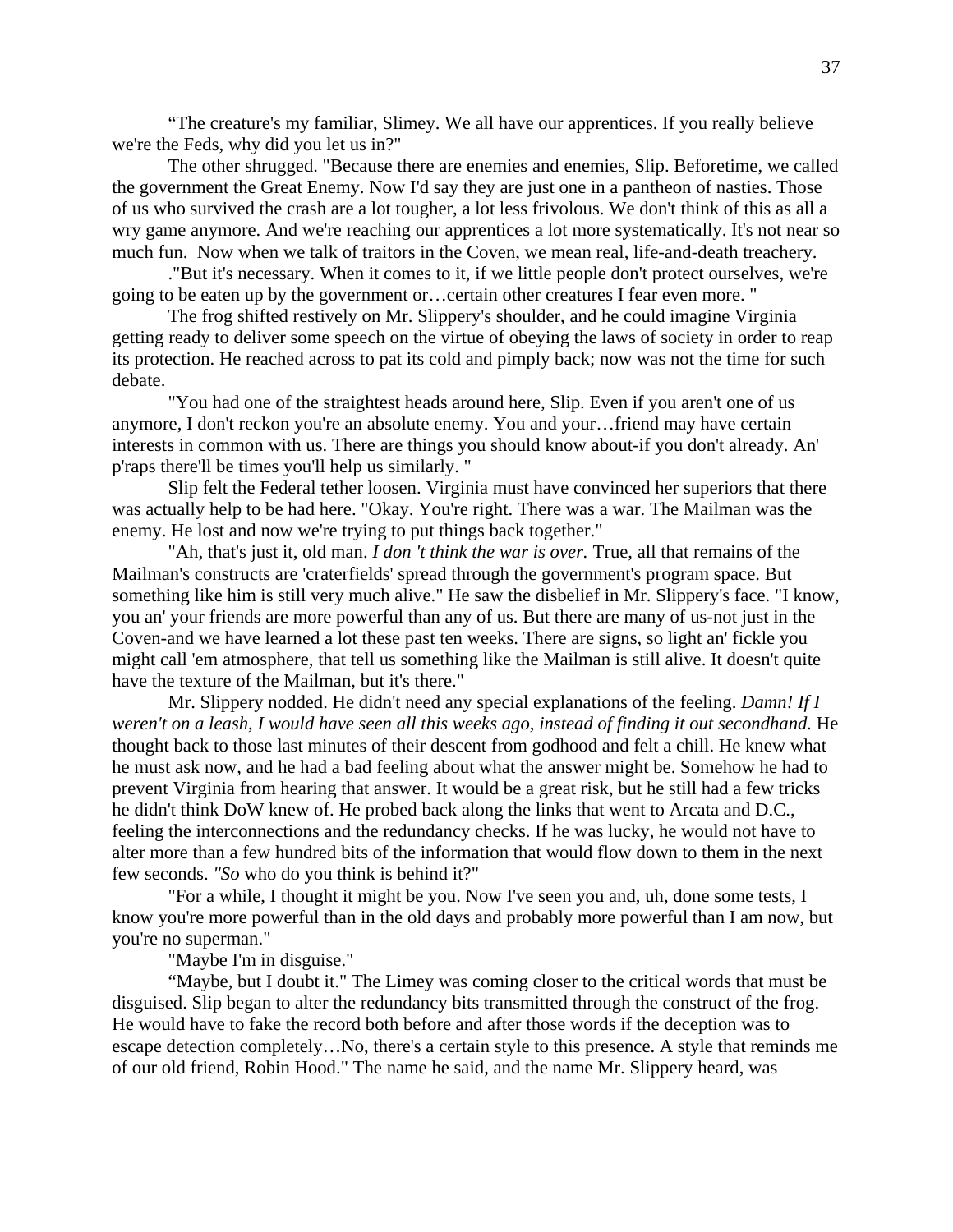"The creature's my familiar, Slimey. We all have our apprentices. If you really believe we're the Feds, why did you let us in?"

The other shrugged. "Because there are enemies and enemies, Slip. Beforetime, we called the government the Great Enemy. Now I'd say they are just one in a pantheon of nasties. Those of us who survived the crash are a lot tougher, a lot less frivolous. We don't think of this as all a wry game anymore. And we're reaching our apprentices a lot more systematically. It's not near so much fun. Now when we talk of traitors in the Coven, we mean real, life-and-death treachery.

."But it's necessary. When it comes to it, if we little people don't protect ourselves, we're going to be eaten up by the government or…certain other creatures I fear even more. "

The frog shifted restively on Mr. Slippery's shoulder, and he could imagine Virginia getting ready to deliver some speech on the virtue of obeying the laws of society in order to reap its protection. He reached across to pat its cold and pimply back; now was not the time for such debate.

"You had one of the straightest heads around here, Slip. Even if you aren't one of us anymore, I don't reckon you're an absolute enemy. You and your…friend may have certain interests in common with us. There are things you should know about-if you don't already. An' p'raps there'll be times you'll help us similarly. "

Slip felt the Federal tether loosen. Virginia must have convinced her superiors that there was actually help to be had here. "Okay. You're right. There was a war. The Mailman was the enemy. He lost and now we're trying to put things back together."

"Ah, that's just it, old man. *I don 't think the war is over.* True, all that remains of the Mailman's constructs are 'craterfields' spread through the government's program space. But something like him is still very much alive." He saw the disbelief in Mr. Slippery's face. "I know, you an' your friends are more powerful than any of us. But there are many of us-not just in the Coven-and we have learned a lot these past ten weeks. There are signs, so light an' fickle you might call 'em atmosphere, that tell us something like the Mailman is still alive. It doesn't quite have the texture of the Mailman, but it's there."

Mr. Slippery nodded. He didn't need any special explanations of the feeling. *Damn! If I*  weren't on a leash, I would have seen all this weeks ago, instead of finding it out secondhand. He thought back to those last minutes of their descent from godhood and felt a chill. He knew what he must ask now, and he had a bad feeling about what the answer might be. Somehow he had to prevent Virginia from hearing that answer. It would be a great risk, but he still had a few tricks he didn't think DoW knew of. He probed back along the links that went to Arcata and D.C., feeling the interconnections and the redundancy checks. If he was lucky, he would not have to alter more than a few hundred bits of the information that would flow down to them in the next few seconds. *"So* who do you think is behind it?"

"For a while, I thought it might be you. Now I've seen you and, uh, done some tests, I know you're more powerful than in the old days and probably more powerful than I am now, but you're no superman."

"Maybe I'm in disguise."

"Maybe, but I doubt it." The Limey was coming closer to the critical words that must be disguised. Slip began to alter the redundancy bits transmitted through the construct of the frog. He would have to fake the record both before and after those words if the deception was to escape detection completely…No, there's a certain style to this presence. A style that reminds me of our old friend, Robin Hood." The name he said, and the name Mr. Slippery heard, was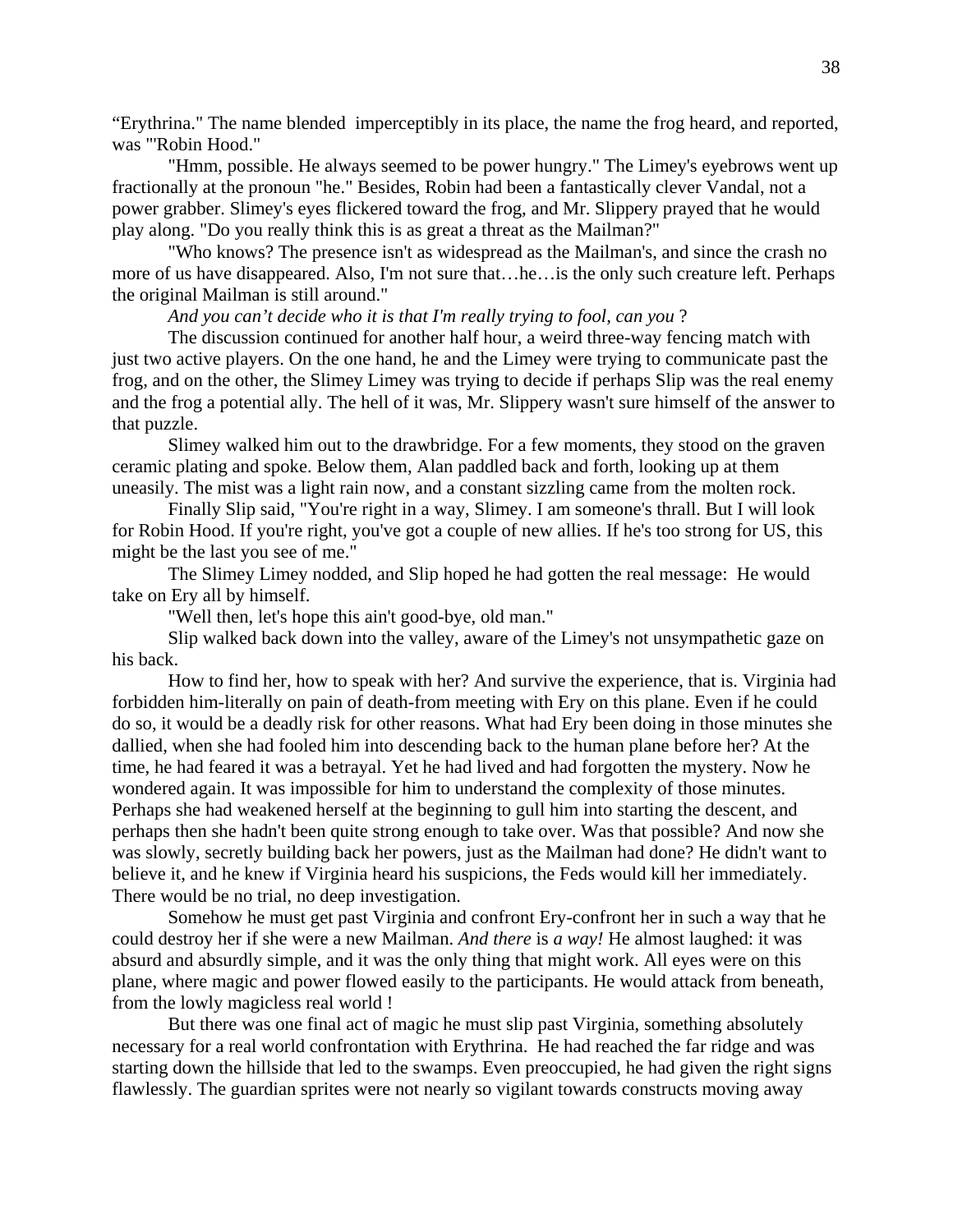"Erythrina." The name blended imperceptibly in its place, the name the frog heard, and reported, was "'Robin Hood."

"Hmm, possible. He always seemed to be power hungry." The Limey's eyebrows went up fractionally at the pronoun "he." Besides, Robin had been a fantastically clever Vandal, not a power grabber. Slimey's eyes flickered toward the frog, and Mr. Slippery prayed that he would play along. "Do you really think this is as great a threat as the Mailman?"

"Who knows? The presence isn't as widespread as the Mailman's, and since the crash no more of us have disappeared. Also*,* I'm not sure that…he…is the only such creature left. Perhaps the original Mailman is still around."

*And you can't decide who it is that I'm really trying to fool, can you* ?

The discussion continued for another half hour, a weird three-way fencing match with just two active players. On the one hand, he and the Limey were trying to communicate past the frog, and on the other, the Slimey Limey was trying to decide if perhaps Slip was the real enemy and the frog a potential ally. The hell of it was, Mr. Slippery wasn't sure himself of the answer to that puzzle.

Slimey walked him out to the drawbridge. For a few moments, they stood on the graven ceramic plating and spoke. Below them, Alan paddled back and forth, looking up at them uneasily. The mist was a light rain now, and a constant sizzling came from the molten rock.

Finally Slip said, "You're right in a way, Slimey. I am someone's thrall. But I will look for Robin Hood. If you're right, you've got a couple of new allies. If he's too strong for US, this might be the last you see of me."

The Slimey Limey nodded, and Slip hoped he had gotten the real message: He would take on Ery all by himself.

"Well then, let's hope this ain't good-bye, old man."

Slip walked back down into the valley, aware of the Limey's not unsympathetic gaze on his back.

How to find her, how to speak with her? And survive the experience, that is. Virginia had forbidden him-literally on pain of death-from meeting with Ery on this plane. Even if he could do so, it would be a deadly risk for other reasons. What had Ery been doing in those minutes she dallied, when she had fooled him into descending back to the human plane before her? At the time, he had feared it was a betrayal. Yet he had lived and had forgotten the mystery. Now he wondered again. It was impossible for him to understand the complexity of those minutes. Perhaps she had weakened herself at the beginning to gull him into starting the descent, and perhaps then she hadn't been quite strong enough to take over. Was that possible? And now she was slowly, secretly building back her powers, just as the Mailman had done? He didn't want to believe it, and he knew if Virginia heard his suspicions, the Feds would kill her immediately. There would be no trial, no deep investigation.

Somehow he must get past Virginia and confront Ery-confront her in such a way that he could destroy her if she were a new Mailman. *And there* is *a way!* He almost laughed: it was absurd and absurdly simple, and it was the only thing that might work. All eyes were on this plane, where magic and power flowed easily to the participants. He would attack from beneath, from the lowly magicless real world !

But there was one final act of magic he must slip past Virginia, something absolutely necessary for a real world confrontation with Erythrina. He had reached the far ridge and was starting down the hillside that led to the swamps. Even preoccupied, he had given the right signs flawlessly. The guardian sprites were not nearly so vigilant towards constructs moving away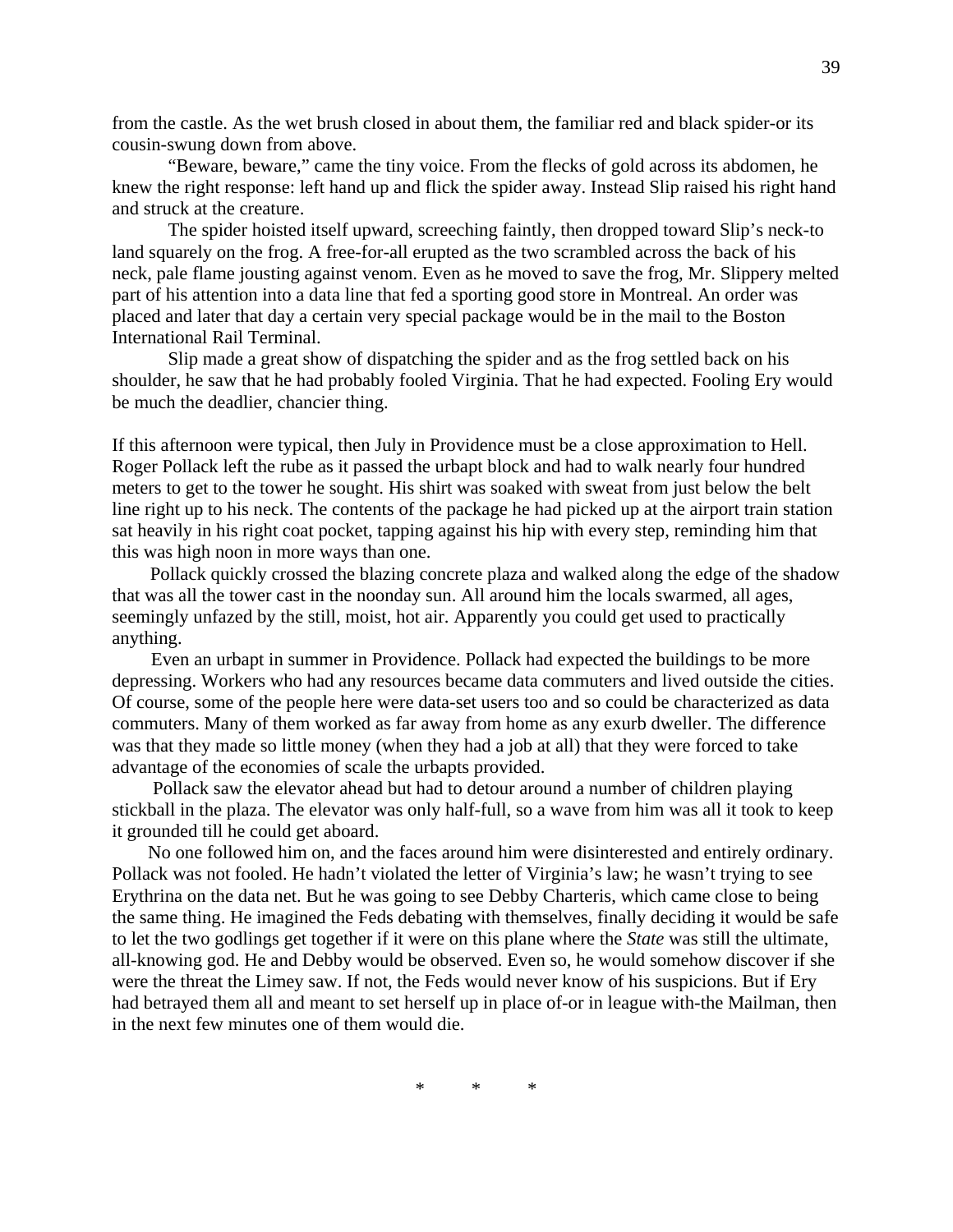from the castle. As the wet brush closed in about them, the familiar red and black spider-or its cousin-swung down from above.

"Beware, beware," came the tiny voice. From the flecks of gold across its abdomen, he knew the right response: left hand up and flick the spider away. Instead Slip raised his right hand and struck at the creature.

The spider hoisted itself upward, screeching faintly, then dropped toward Slip's neck-to land squarely on the frog. A free-for-all erupted as the two scrambled across the back of his neck, pale flame jousting against venom. Even as he moved to save the frog, Mr. Slippery melted part of his attention into a data line that fed a sporting good store in Montreal. An order was placed and later that day a certain very special package would be in the mail to the Boston International Rail Terminal.

Slip made a great show of dispatching the spider and as the frog settled back on his shoulder, he saw that he had probably fooled Virginia. That he had expected. Fooling Ery would be much the deadlier, chancier thing.

If this afternoon were typical, then July in Providence must be a close approximation to Hell. Roger Pollack left the rube as it passed the urbapt block and had to walk nearly four hundred meters to get to the tower he sought. His shirt was soaked with sweat from just below the belt line right up to his neck. The contents of the package he had picked up at the airport train station sat heavily in his right coat pocket, tapping against his hip with every step, reminding him that this was high noon in more ways than one.

Pollack quickly crossed the blazing concrete plaza and walked along the edge of the shadow that was all the tower cast in the noonday sun. All around him the locals swarmed, all ages, seemingly unfazed by the still, moist, hot air. Apparently you could get used to practically anything.

Even an urbapt in summer in Providence. Pollack had expected the buildings to be more depressing. Workers who had any resources became data commuters and lived outside the cities. Of course, some of the people here were data-set users too and so could be characterized as data commuters. Many of them worked as far away from home as any exurb dweller. The difference was that they made so little money (when they had a job at all) that they were forced to take advantage of the economies of scale the urbapts provided.

 Pollack saw the elevator ahead but had to detour around a number of children playing stickball in the plaza. The elevator was only half-full, so a wave from him was all it took to keep it grounded till he could get aboard.

No one followed him on, and the faces around him were disinterested and entirely ordinary. Pollack was not fooled. He hadn't violated the letter of Virginia's law; he wasn't trying to see Erythrina on the data net. But he was going to see Debby Charteris, which came close to being the same thing. He imagined the Feds debating with themselves, finally deciding it would be safe to let the two godlings get together if it were on this plane where the *State* was still the ultimate, all-knowing god. He and Debby would be observed. Even so, he would somehow discover if she were the threat the Limey saw. If not, the Feds would never know of his suspicions. But if Ery had betrayed them all and meant to set herself up in place of-or in league with-the Mailman, then in the next few minutes one of them would die.

\* \* \*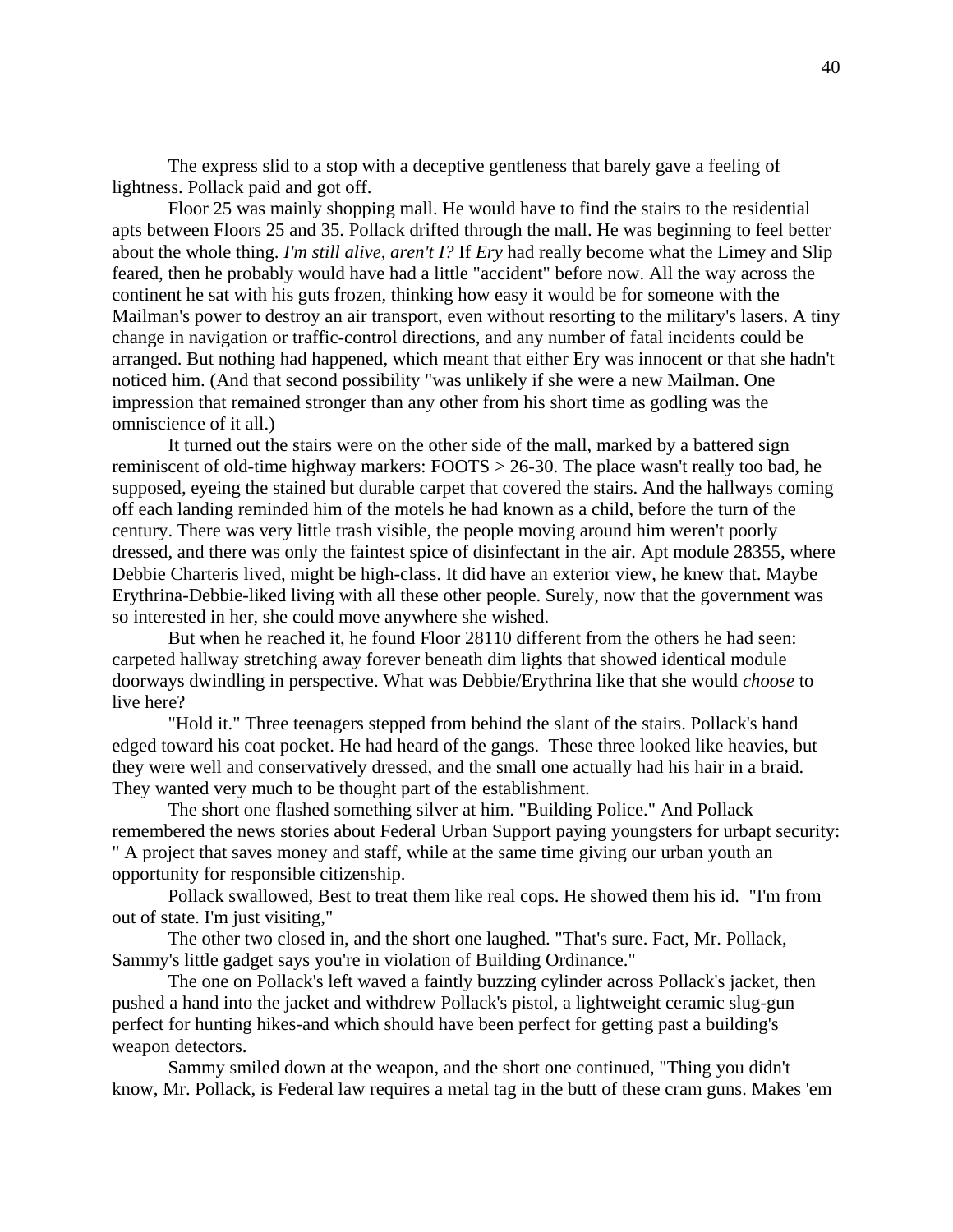The express slid to a stop with a deceptive gentleness that barely gave a feeling of lightness. Pollack paid and got off.

Floor 25 was mainly shopping mall. He would have to find the stairs to the residential apts between Floors 25 and 35. Pollack drifted through the mall. He was beginning to feel better about the whole thing. *I'm still alive, aren't I?* If *Ery* had really become what the Limey and Slip feared, then he probably would have had a little "accident" before now. All the way across the continent he sat with his guts frozen, thinking how easy it would be for someone with the Mailman's power to destroy an air transport, even without resorting to the military's lasers. A tiny change in navigation or traffic-control directions, and any number of fatal incidents could be arranged. But nothing had happened, which meant that either Ery was innocent or that she hadn't noticed him. (And that second possibility "was unlikely if she were a new Mailman. One impression that remained stronger than any other from his short time as godling was the omniscience of it all.)

It turned out the stairs were on the other side of the mall, marked by a battered sign reminiscent of old-time highway markers: FOOTS > 26-30. The place wasn't really too bad, he supposed, eyeing the stained but durable carpet that covered the stairs. And the hallways coming off each landing reminded him of the motels he had known as a child, before the turn of the century. There was very little trash visible, the people moving around him weren't poorly dressed, and there was only the faintest spice of disinfectant in the air. Apt module 28355, where Debbie Charteris lived, might be high-class. It did have an exterior view, he knew that. Maybe Erythrina-Debbie-liked living with all these other people. Surely, now that the government was so interested in her, she could move anywhere she wished.

But when he reached it, he found Floor 28110 different from the others he had seen: carpeted hallway stretching away forever beneath dim lights that showed identical module doorways dwindling in perspective. What was Debbie/Erythrina like that she would *choose* to live here?

"Hold it." Three teenagers stepped from behind the slant of the stairs. Pollack's hand edged toward his coat pocket. He had heard of the gangs. These three looked like heavies, but they were well and conservatively dressed, and the small one actually had his hair in a braid. They wanted very much to be thought part of the establishment.

The short one flashed something silver at him. "Building Police." And Pollack remembered the news stories about Federal Urban Support paying youngsters for urbapt security: " A project that saves money and staff, while at the same time giving our urban youth an opportunity for responsible citizenship.

Pollack swallowed, Best to treat them like real cops. He showed them his id. "I'm from out of state. I'm just visiting,"

The other two closed in, and the short one laughed. "That's sure. Fact, Mr. Pollack, Sammy's little gadget says you're in violation of Building Ordinance."

The one on Pollack's left waved a faintly buzzing cylinder across Pollack's jacket, then pushed a hand into the jacket and withdrew Pollack's pistol, a lightweight ceramic slug-gun perfect for hunting hikes-and which should have been perfect for getting past a building's weapon detectors.

Sammy smiled down at the weapon, and the short one continued, "Thing you didn't know, Mr. Pollack, is Federal law requires a metal tag in the butt of these cram guns. Makes 'em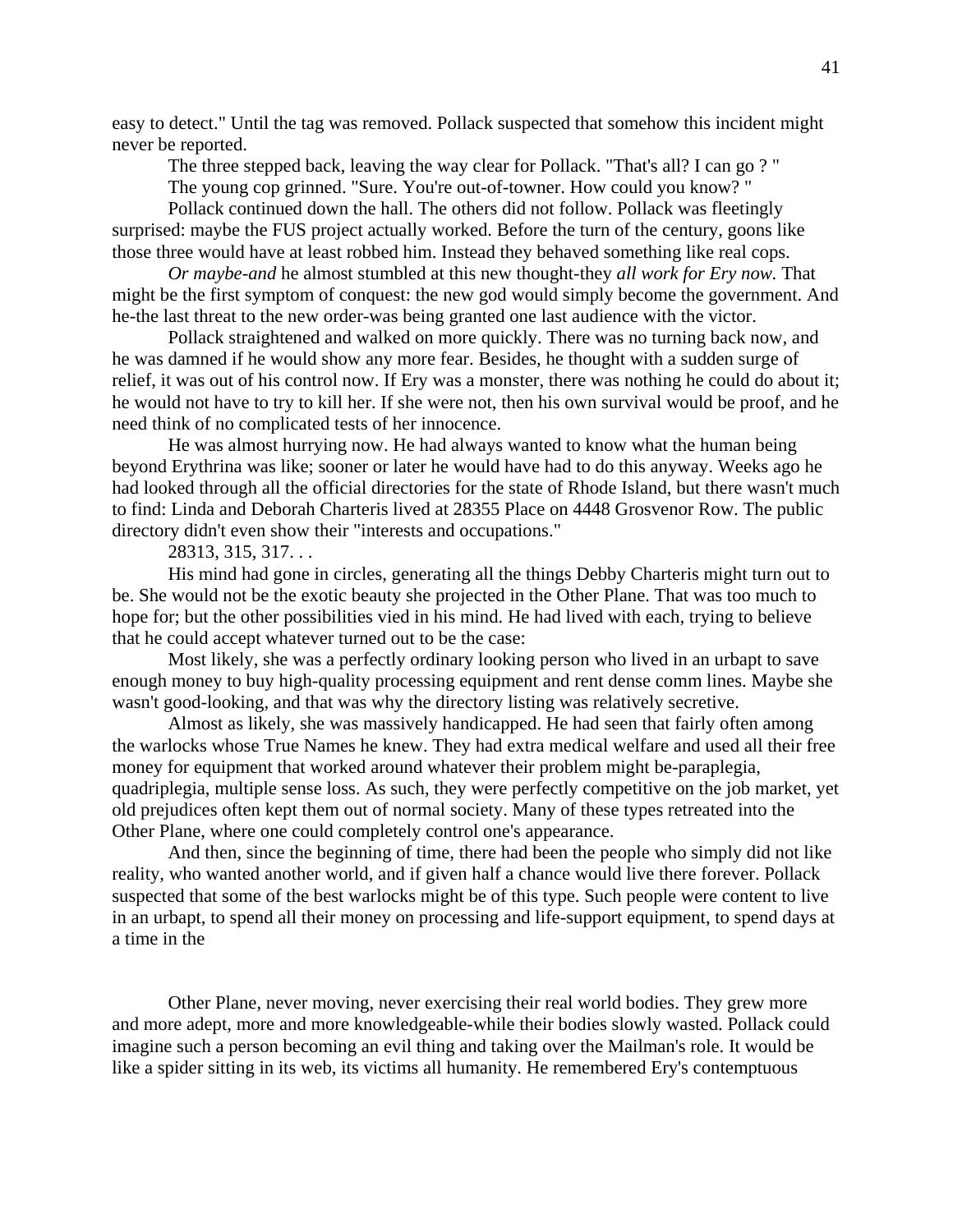easy to detect." Until the tag was removed. Pollack suspected that somehow this incident might never be reported.

The three stepped back, leaving the way clear for Pollack. "That's all? I can go ? "

The young cop grinned. "Sure. You're out-of-towner. How could you know? "

Pollack continued down the hall. The others did not follow. Pollack was fleetingly surprised: maybe the FUS project actually worked. Before the turn of the century, goons like those three would have at least robbed him. Instead they behaved something like real cops.

*Or maybe-and* he almost stumbled at this new thought-they *all work for Ery now.* That might be the first symptom of conquest: the new god would simply become the government. And he-the last threat to the new order-was being granted one last audience with the victor.

Pollack straightened and walked on more quickly. There was no turning back now, and he was damned if he would show any more fear. Besides, he thought with a sudden surge of relief, it was out of his control now. If Ery was a monster, there was nothing he could do about it; he would not have to try to kill her. If she were not, then his own survival would be proof, and he need think of no complicated tests of her innocence.

He was almost hurrying now. He had always wanted to know what the human being beyond Erythrina was like; sooner or later he would have had to do this anyway. Weeks ago he had looked through all the official directories for the state of Rhode Island, but there wasn't much to find: Linda and Deborah Charteris lived at 28355 Place on 4448 Grosvenor Row. The public directory didn't even show their "interests and occupations."

28313, 315, 317. . .

His mind had gone in circles, generating all the things Debby Charteris might turn out to be. She would not be the exotic beauty she projected in the Other Plane. That was too much to hope for; but the other possibilities vied in his mind. He had lived with each, trying to believe that he could accept whatever turned out to be the case:

Most likely, she was a perfectly ordinary looking person who lived in an urbapt to save enough money to buy high-quality processing equipment and rent dense comm lines. Maybe she wasn't good-looking, and that was why the directory listing was relatively secretive.

Almost as likely, she was massively handicapped. He had seen that fairly often among the warlocks whose True Names he knew. They had extra medical welfare and used all their free money for equipment that worked around whatever their problem might be-paraplegia, quadriplegia, multiple sense loss. As such, they were perfectly competitive on the job market, yet old prejudices often kept them out of normal society. Many of these types retreated into the Other Plane, where one could completely control one's appearance.

And then, since the beginning of time, there had been the people who simply did not like reality, who wanted another world, and if given half a chance would live there forever. Pollack suspected that some of the best warlocks might be of this type. Such people were content to live in an urbapt, to spend all their money on processing and life-support equipment, to spend days at a time in the

Other Plane, never moving, never exercising their real world bodies. They grew more and more adept, more and more knowledgeable-while their bodies slowly wasted. Pollack could imagine such a person becoming an evil thing and taking over the Mailman's role. It would be like a spider sitting in its web, its victims all humanity. He remembered Ery's contemptuous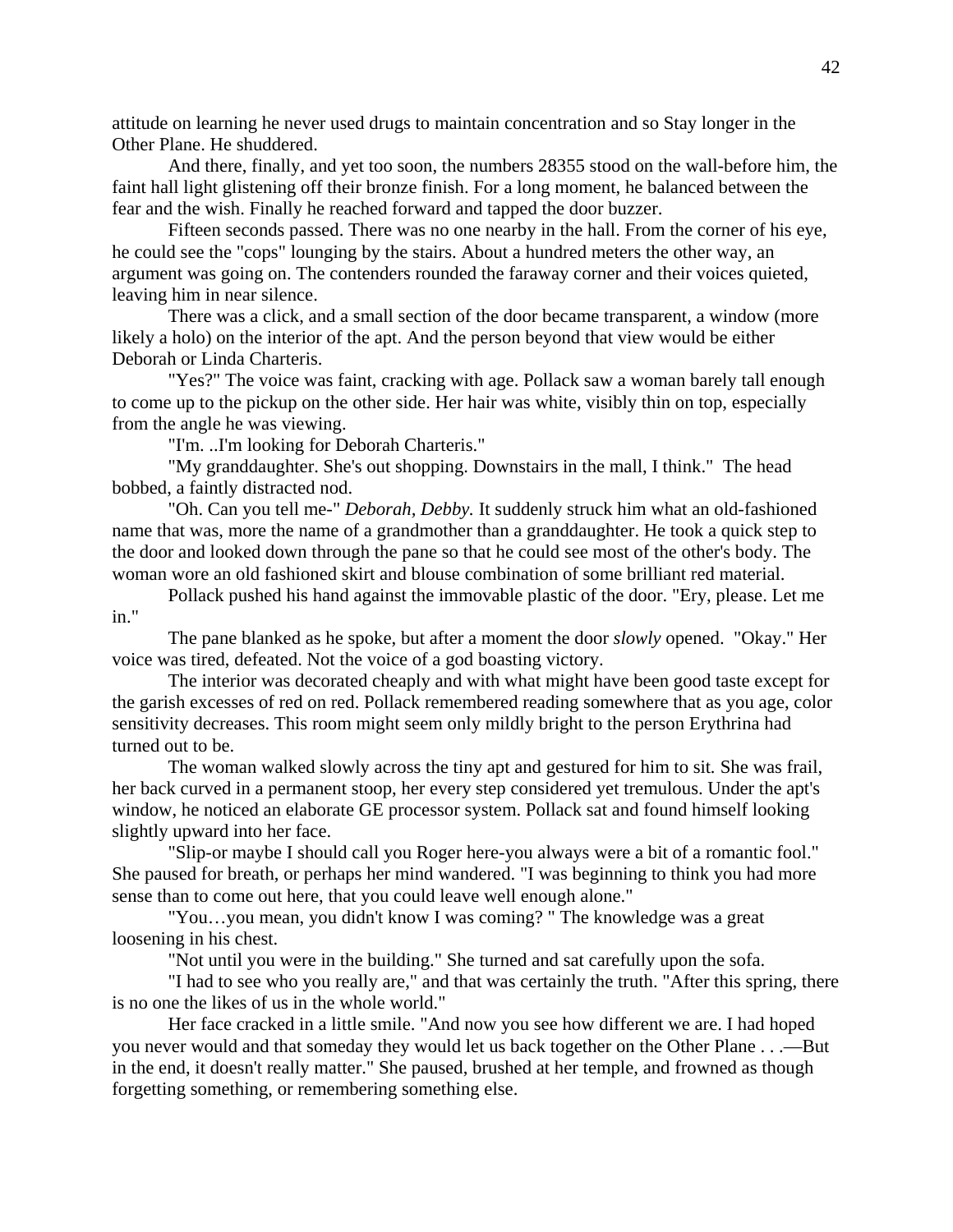attitude on learning he never used drugs to maintain concentration and so Stay longer in the Other Plane. He shuddered.

And there, finally, and yet too soon, the numbers 28355 stood on the wall-before him, the faint hall light glistening off their bronze finish. For a long moment, he balanced between the fear and the wish. Finally he reached forward and tapped the door buzzer.

Fifteen seconds passed. There was no one nearby in the hall. From the corner of his eye, he could see the "cops" lounging by the stairs. About a hundred meters the other way, an argument was going on. The contenders rounded the faraway corner and their voices quieted, leaving him in near silence.

There was a click, and a small section of the door became transparent, a window (more likely a holo) on the interior of the apt. And the person beyond that view would be either Deborah or Linda Charteris.

"Yes?" The voice was faint, cracking with age. Pollack saw a woman barely tall enough to come up to the pickup on the other side. Her hair was white, visibly thin on top, especially from the angle he was viewing.

"I'm. ..I'm looking for Deborah Charteris."

"My granddaughter. She's out shopping. Downstairs in the mall, I think." The head bobbed, a faintly distracted nod.

"Oh. Can you tell me-" *Deborah, Debby.* It suddenly struck him what an old-fashioned name that was, more the name of a grandmother than a granddaughter. He took a quick step to the door and looked down through the pane so that he could see most of the other's body. The woman wore an old fashioned skirt and blouse combination of some brilliant red material.

Pollack pushed his hand against the immovable plastic of the door. "Ery, please. Let me in."

The pane blanked as he spoke, but after a moment the door *slowly* opened. "Okay." Her voice was tired, defeated. Not the voice of a god boasting victory.

The interior was decorated cheaply and with what might have been good taste except for the garish excesses of red on red. Pollack remembered reading somewhere that as you age, color sensitivity decreases. This room might seem only mildly bright to the person Erythrina had turned out to be.

The woman walked slowly across the tiny apt and gestured for him to sit*.* She was frail, her back curved in a permanent stoop, her every step considered yet tremulous. Under the apt's window, he noticed an elaborate GE processor system. Pollack sat and found himself looking slightly upward into her face.

"Slip-or maybe I should call you Roger here-you always were a bit of a romantic fool." She paused for breath, or perhaps her mind wandered. "I was beginning to think you had more sense than to come out here, that you could leave well enough alone."

"You…you mean, you didn't know I was coming? " The knowledge was a great loosening in his chest.

"Not until you were in the building." She turned and sat carefully upon the sofa.

"I had to see who you really are," and that was certainly the truth. "After this spring, there is no one the likes of us in the whole world."

Her face cracked in a little smile. "And now you see how different we are. I had hoped you never would and that someday they would let us back together on the Other Plane . . .—But in the end, it doesn't really matter." She paused, brushed at her temple, and frowned as though forgetting something, or remembering something else.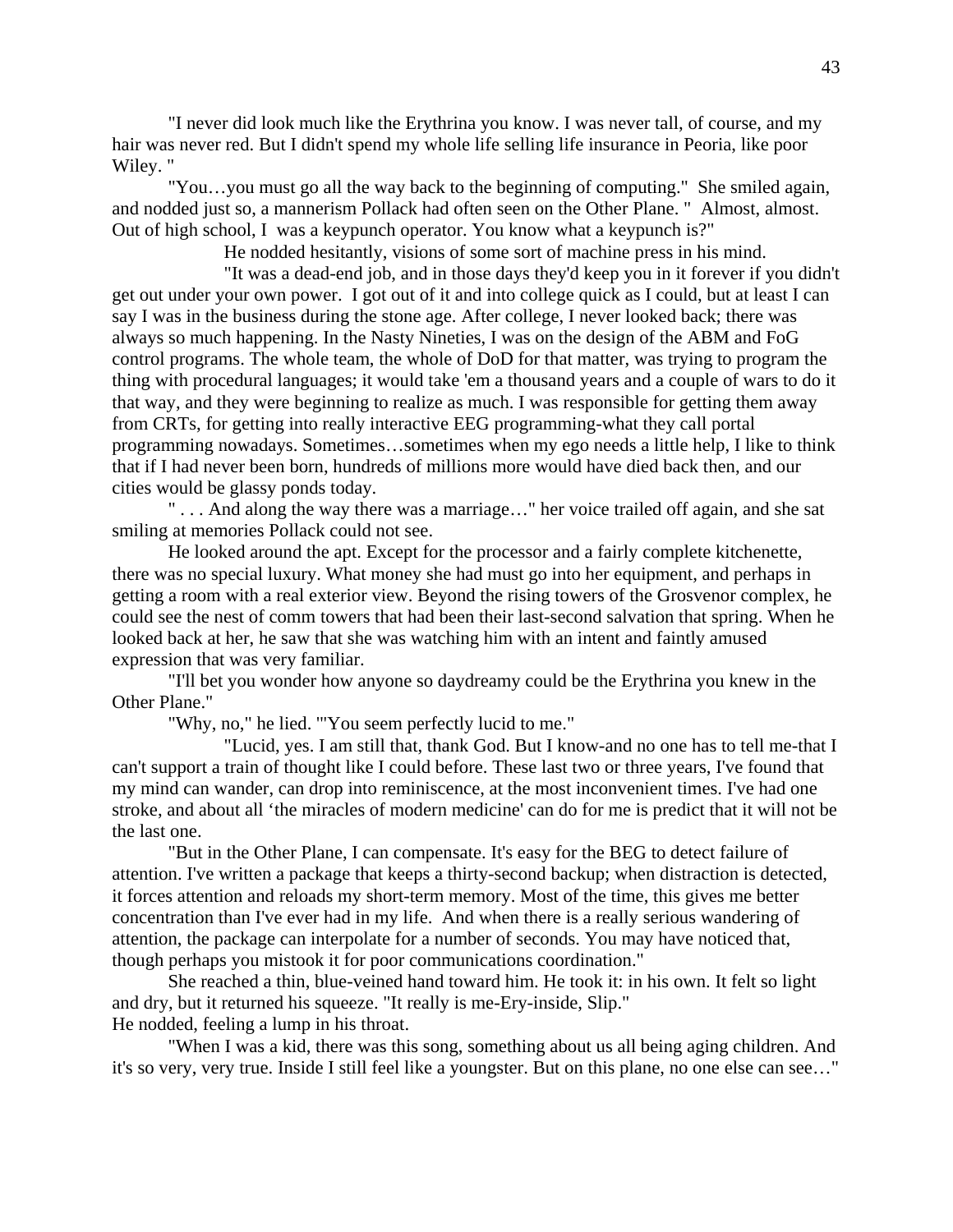"I never did look much like the Erythrina you know. I was never tall, of course, and my hair was never red. But I didn't spend my whole life selling life insurance in Peoria, like poor Wiley. "

"You…you must go all the way back to the beginning of computing." She smiled again, and nodded just so, a mannerism Pollack had often seen on the Other Plane. " Almost, almost. Out of high school, I was a keypunch operator. You know what a keypunch is?"

He nodded hesitantly, visions of some sort of machine press in his mind.

 "It was a dead-end job, and in those days they'd keep you in it forever if you didn't get out under your own power. I got out of it and into college quick as I could, but at least I can say I was in the business during the stone age. After college, I never looked back; there was always so much happening. In the Nasty Nineties, I was on the design of the ABM and FoG control programs. The whole team, the whole of DoD for that matter, was trying to program the thing with procedural languages; it would take 'em a thousand years and a couple of wars to do it that way, and they were beginning to realize as much. I was responsible for getting them away from CRTs, for getting into really interactive EEG programming-what they call portal programming nowadays. Sometimes…sometimes when my ego needs a little help, I like to think that if I had never been born, hundreds of millions more would have died back then, and our cities would be glassy ponds today.

" . . . And along the way there was a marriage..." her voice trailed off again, and she sat smiling at memories Pollack could not see.

He looked around the apt. Except for the processor and a fairly complete kitchenette, there was no special luxury. What money she had must go into her equipment, and perhaps in getting a room with a real exterior view. Beyond the rising towers of the Grosvenor complex, he could see the nest of comm towers that had been their last-second salvation that spring. When he looked back at her, he saw that she was watching him with an intent and faintly amused expression that was very familiar.

"I'll bet you wonder how anyone so daydreamy could be the Erythrina you knew in the Other Plane."

"Why, no," he lied. '"You seem perfectly lucid to me."

 "Lucid, yes. I am still that, thank God. But I know-and no one has to tell me-that I can't support a train of thought like I could before. These last two or three years, I've found that my mind can wander, can drop into reminiscence, at the most inconvenient times. I've had one stroke, and about all 'the miracles of modern medicine' can do for me is predict that it will not be the last one.

"But in the Other Plane, I can compensate. It's easy for the BEG to detect failure of attention. I've written a package that keeps a thirty-second backup; when distraction is detected, it forces attention and reloads my short-term memory. Most of the time, this gives me better concentration than I've ever had in my life. And when there is a really serious wandering of attention, the package can interpolate for a number of seconds. You may have noticed that, though perhaps you mistook it for poor communications coordination."

She reached a thin, blue-veined hand toward him. He took it: in his own. It felt so light and dry, but it returned his squeeze. "It really is me-Ery-inside, Slip." He nodded, feeling a lump in his throat.

"When I was a kid, there was this song, something about us all being aging children. And it's so very, very true. Inside I still feel like a youngster. But on this plane, no one else can see…"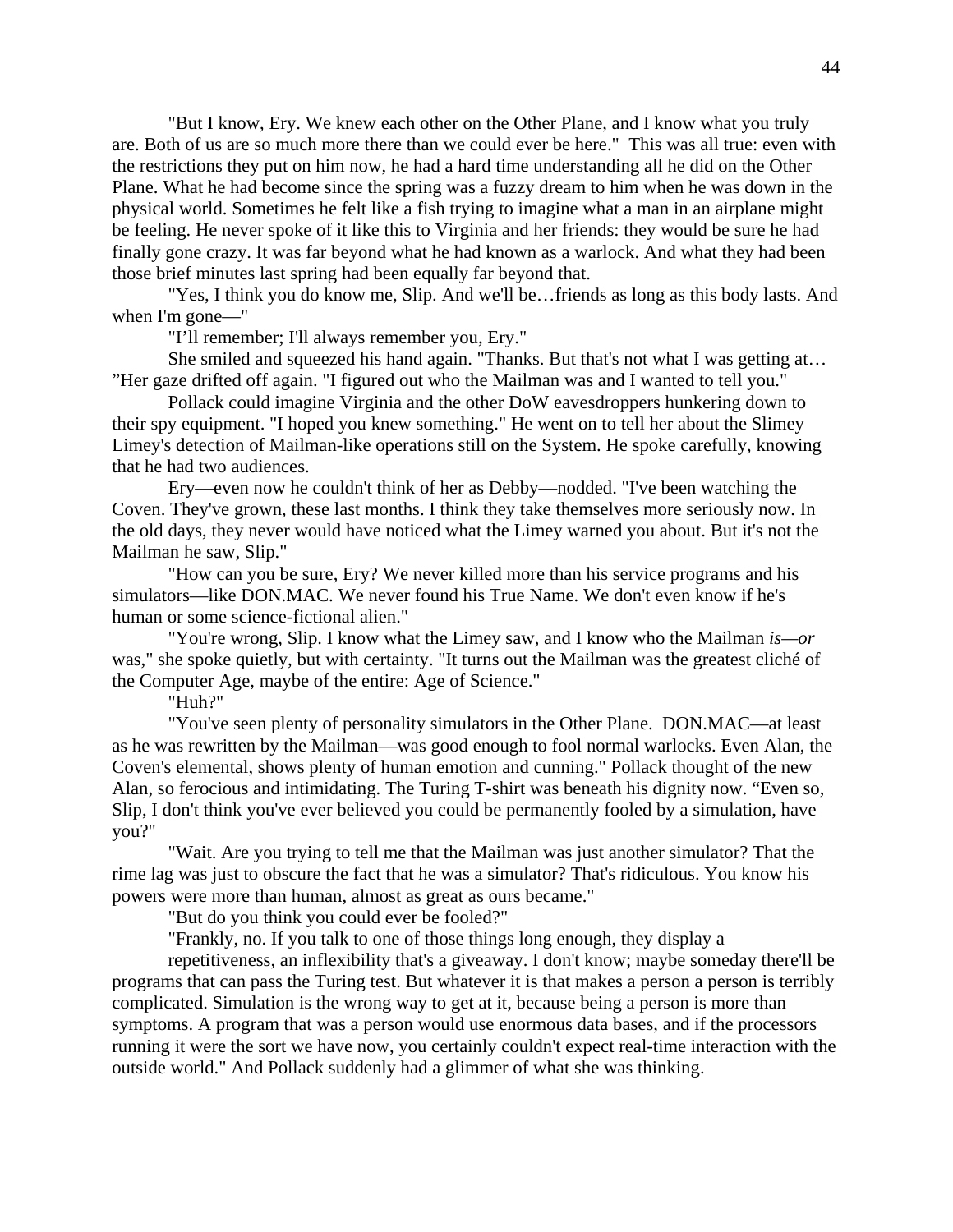"But I know, Ery. We knew each other on the Other Plane, and I know what you truly are. Both of us are so much more there than we could ever be here." This was all true: even with the restrictions they put on him now, he had a hard time understanding all he did on the Other Plane. What he had become since the spring was a fuzzy dream to him when he was down in the physical world. Sometimes he felt like a fish trying to imagine what a man in an airplane might be feeling. He never spoke of it like this to Virginia and her friends: they would be sure he had finally gone crazy. It was far beyond what he had known as a warlock. And what they had been those brief minutes last spring had been equally far beyond that.

"Yes, I think you do know me, Slip. And we'll be…friends as long as this body lasts. And when I'm gone—"

"I'll remember; I'll always remember you, Ery."

She smiled and squeezed his hand again. "Thanks. But that's not what I was getting at... "Her gaze drifted off again. "I figured out who the Mailman was and I wanted to tell you."

Pollack could imagine Virginia and the other DoW eavesdroppers hunkering down to their spy equipment. "I hoped you knew something." He went on to tell her about the Slimey Limey's detection of Mailman-like operations still on the System. He spoke carefully, knowing that he had two audiences.

Ery—even now he couldn't think of her as Debby—nodded. "I've been watching the Coven. They've grown, these last months. I think they take themselves more seriously now. In the old days, they never would have noticed what the Limey warned you about. But it's not the Mailman he saw, Slip."

"How can you be sure, Ery? We never killed more than his service programs and his simulators—like DON.MAC. We never found his True Name. We don't even know if he's human or some science-fictional alien."

"You're wrong, Slip. I know what the Limey saw, and I know who the Mailman *is—or*  was," she spoke quietly, but with certainty. "It turns out the Mailman was the greatest cliché of the Computer Age, maybe of the entire: Age of Science."

"Huh?"

"You've seen plenty of personality simulators in the Other Plane. DON.MAC—at least as he was rewritten by the Mailman—was good enough to fool normal warlocks. Even Alan, the Coven's elemental, shows plenty of human emotion and cunning." Pollack thought of the new Alan, so ferocious and intimidating. The Turing T-shirt was beneath his dignity now. "Even so, Slip, I don't think you've ever believed you could be permanently fooled by a simulation, have you?"

"Wait. Are you trying to tell me that the Mailman was just another simulator? That the rime lag was just to obscure the fact that he was a simulator? That's ridiculous. You know his powers were more than human, almost as great as ours became."

"But do you think you could ever be fooled?"

"Frankly, no. If you talk to one of those things long enough, they display a

repetitiveness, an inflexibility that's a giveaway. I don't know; maybe someday there'll be programs that can pass the Turing test. But whatever it is that makes a person a person is terribly complicated. Simulation is the wrong way to get at it, because being a person is more than symptoms. A program that was a person would use enormous data bases, and if the processors running it were the sort we have now, you certainly couldn't expect real-time interaction with the outside world." And Pollack suddenly had a glimmer of what she was thinking.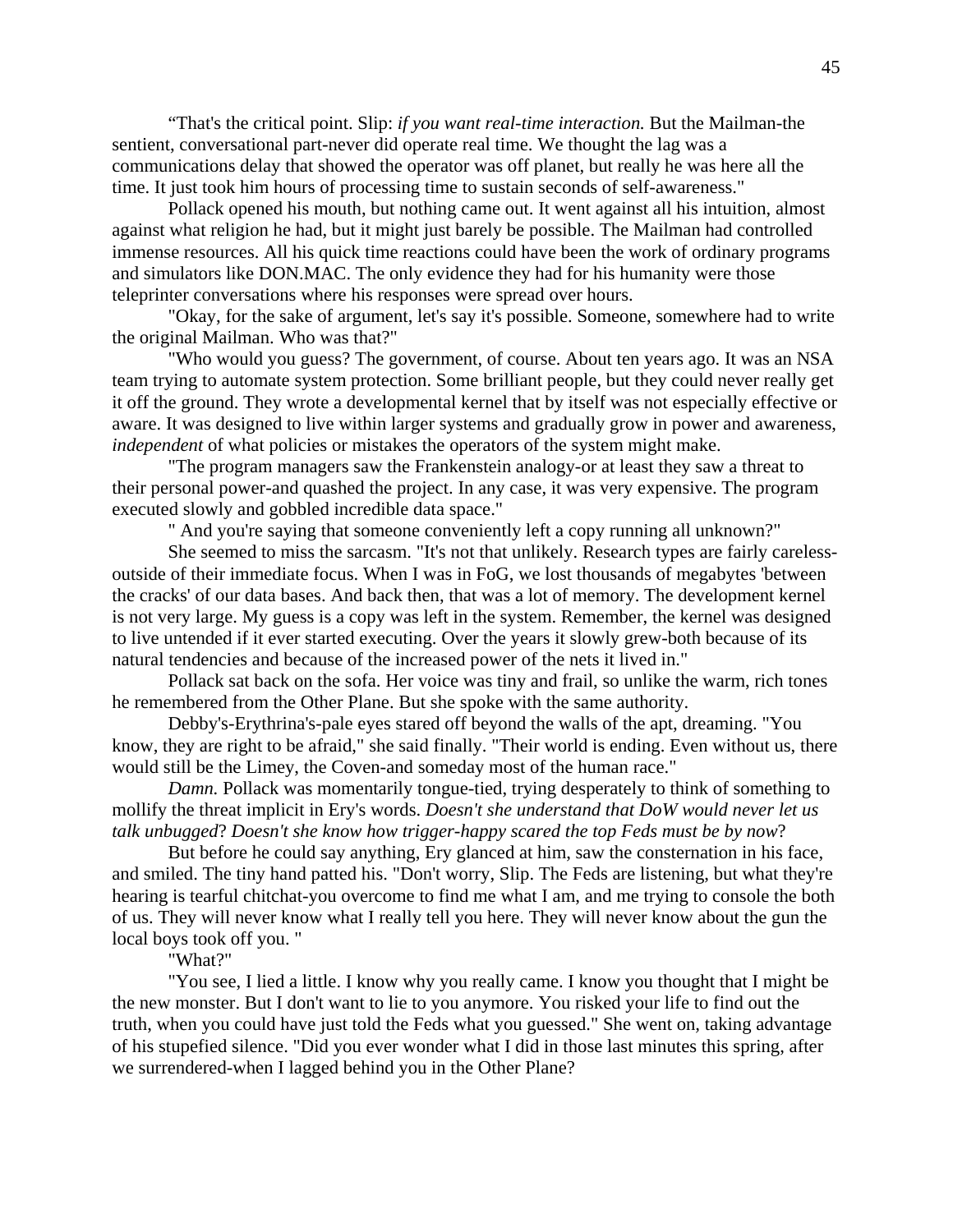"That's the critical point. Slip: *if you want real-time interaction.* But the Mailman-the sentient, conversational part-never did operate real time. We thought the lag was a communications delay that showed the operator was off planet, but really he was here all the time. It just took him hours of processing time to sustain seconds of self-awareness."

Pollack opened his mouth, but nothing came out. It went against all his intuition, almost against what religion he had, but it might just barely be possible. The Mailman had controlled immense resources. All his quick time reactions could have been the work of ordinary programs and simulators like DON.MAC. The only evidence they had for his humanity were those teleprinter conversations where his responses were spread over hours.

"Okay, for the sake of argument, let's say it's possible. Someone, somewhere had to write the original Mailman. Who was that?"

"Who would you guess? The government, of course. About ten years ago. It was an NSA team trying to automate system protection. Some brilliant people, but they could never really get it off the ground. They wrote a developmental kernel that by itself was not especially effective or aware. It was designed to live within larger systems and gradually grow in power and awareness, *independent* of what policies or mistakes the operators of the system might make.

"The program managers saw the Frankenstein analogy-or at least they saw a threat to their personal power-and quashed the project. In any case, it was very expensive. The program executed slowly and gobbled incredible data space."

" And you're saying that someone conveniently left a copy running all unknown?"

She seemed to miss the sarcasm. "It's not that unlikely. Research types are fairly carelessoutside of their immediate focus. When I was in FoG, we lost thousands of megabytes 'between the cracks' of our data bases. And back then, that was a lot of memory. The development kernel is not very large. My guess is a copy was left in the system. Remember, the kernel was designed to live untended if it ever started executing. Over the years it slowly grew-both because of its natural tendencies and because of the increased power of the nets it lived in."

Pollack sat back on the sofa. Her voice was tiny and frail, so unlike the warm, rich tones he remembered from the Other Plane. But she spoke with the same authority.

Debby's-Erythrina's-pale eyes stared off beyond the walls of the apt, dreaming. "You know, they are right to be afraid," she said finally. "Their world is ending. Even without us, there would still be the Limey, the Coven-and someday most of the human race."

*Damn.* Pollack was momentarily tongue-tied, trying desperately to think of something to mollify the threat implicit in Ery's words. *Doesn't she understand that DoW would never let us talk unbugged*? *Doesn't she know how trigger-happy scared the top Feds must be by now*?

But before he could say anything, Ery glanced at him, saw the consternation in his face, and smiled. The tiny hand patted his. "Don't worry, Slip. The Feds are listening, but what they're hearing is tearful chitchat-you overcome to find me what I am, and me trying to console the both of us. They will never know what I really tell you here. They will never know about the gun the local boys took off you. "

"What?"

"You see, I lied a little. I know why you really came. I know you thought that I might be the new monster. But I don't want to lie to you anymore. You risked your life to find out the truth, when you could have just told the Feds what you guessed." She went on*,* taking advantage of his stupefied silence. "Did you ever wonder what I did in those last minutes this spring, after we surrendered-when I lagged behind you in the Other Plane?